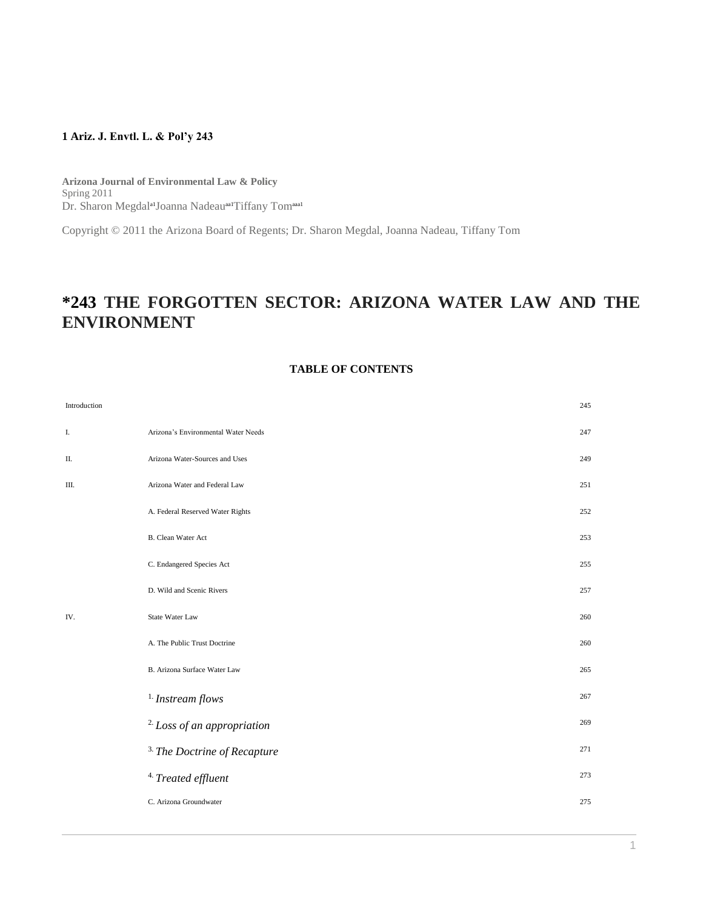## **1 Ariz. J. Envtl. L. & Pol'y 243**

**Arizona Journal of Environmental Law & Policy** Spring 2011 Dr. Sharon Megdal<sup>a1</sup>Joanna Nadeau<sup>aa1</sup>Tiffany Tom<sup>aaa1</sup>

Copyright © 2011 the Arizona Board of Regents; Dr. Sharon Megdal, Joanna Nadeau, Tiffany Tom

# **\*243 THE FORGOTTEN SECTOR: ARIZONA WATER LAW AND THE ENVIRONMENT**

# **TABLE OF CONTENTS**

| Introduction |                                         | 245 |
|--------------|-----------------------------------------|-----|
| I.           | Arizona's Environmental Water Needs     | 247 |
| П.           | Arizona Water-Sources and Uses          | 249 |
| Ш.           | Arizona Water and Federal Law           | 251 |
|              | A. Federal Reserved Water Rights        | 252 |
|              | <b>B.</b> Clean Water Act               | 253 |
|              | C. Endangered Species Act               | 255 |
|              | D. Wild and Scenic Rivers               | 257 |
| IV.          | State Water Law                         | 260 |
|              | A. The Public Trust Doctrine            | 260 |
|              | B. Arizona Surface Water Law            | 265 |
|              | $1$ . Instream flows                    | 267 |
|              | <sup>2.</sup> Loss of an appropriation  | 269 |
|              | <sup>3.</sup> The Doctrine of Recapture | 271 |
|              | <sup>4.</sup> Treated effluent          | 273 |
|              | C. Arizona Groundwater                  | 275 |
|              |                                         |     |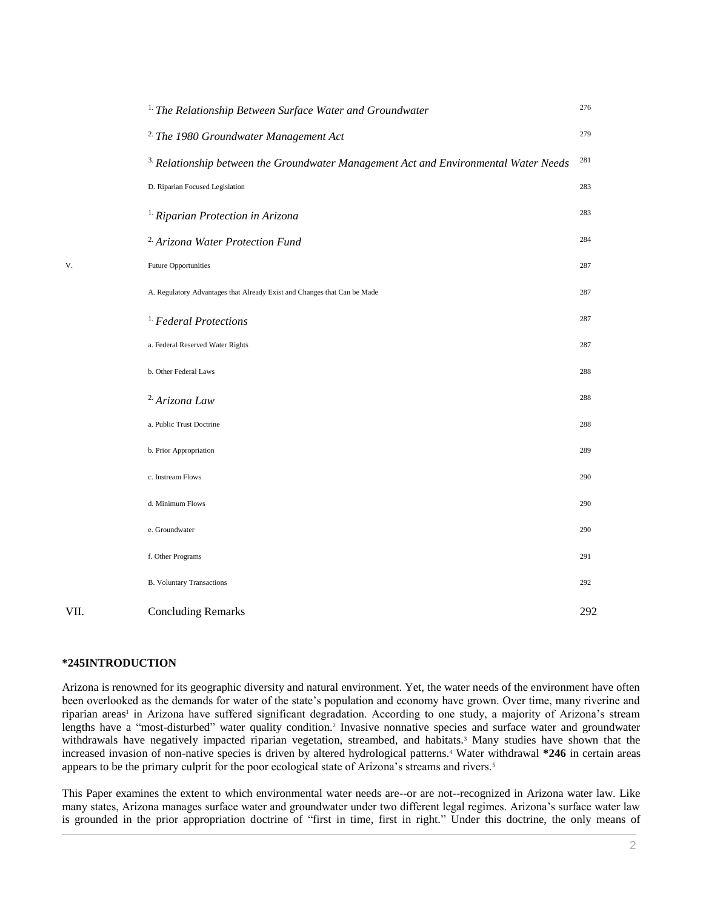|      | <sup>1.</sup> The Relationship Between Surface Water and Groundwater                            | 276 |
|------|-------------------------------------------------------------------------------------------------|-----|
|      | <sup>2</sup> The 1980 Groundwater Management Act                                                | 279 |
|      | <sup>3.</sup> Relationship between the Groundwater Management Act and Environmental Water Needs | 281 |
|      | D. Riparian Focused Legislation                                                                 | 283 |
|      | <sup>1</sup> Riparian Protection in Arizona                                                     | 283 |
|      | <sup>2</sup> Arizona Water Protection Fund                                                      | 284 |
| V.   | <b>Future Opportunities</b>                                                                     | 287 |
|      | A. Regulatory Advantages that Already Exist and Changes that Can be Made                        | 287 |
|      | <sup>1.</sup> Federal Protections                                                               | 287 |
|      | a. Federal Reserved Water Rights                                                                | 287 |
|      | b. Other Federal Laws                                                                           | 288 |
|      | <sup>2</sup> Arizona Law                                                                        | 288 |
|      | a. Public Trust Doctrine                                                                        | 288 |
|      | b. Prior Appropriation                                                                          | 289 |
|      | c. Instream Flows                                                                               | 290 |
|      | d. Minimum Flows                                                                                | 290 |
|      | e. Groundwater                                                                                  | 290 |
|      | f. Other Programs                                                                               | 291 |
|      | <b>B.</b> Voluntary Transactions                                                                | 292 |
| VII. | <b>Concluding Remarks</b>                                                                       | 292 |

# **\*245INTRODUCTION**

Arizona is renowned for its geographic diversity and natural environment. Yet, the water needs of the environment have often been overlooked as the demands for water of the state's population and economy have grown. Over time, many riverine and riparian areas<sup>1</sup> in Arizona have suffered significant degradation. According to one study, a majority of Arizona's stream lengths have a "most-disturbed" water quality condition.<sup>2</sup> Invasive nonnative species and surface water and groundwater withdrawals have negatively impacted riparian vegetation, streambed, and habitats.<sup>3</sup> Many studies have shown that the increased invasion of non-native species is driven by altered hydrological patterns.<sup>4</sup> Water withdrawal **\*246** in certain areas appears to be the primary culprit for the poor ecological state of Arizona's streams and rivers.<sup>5</sup>

This Paper examines the extent to which environmental water needs are--or are not--recognized in Arizona water law. Like many states, Arizona manages surface water and groundwater under two different legal regimes. Arizona's surface water law is grounded in the prior appropriation doctrine of "first in time, first in right." Under this doctrine, the only means of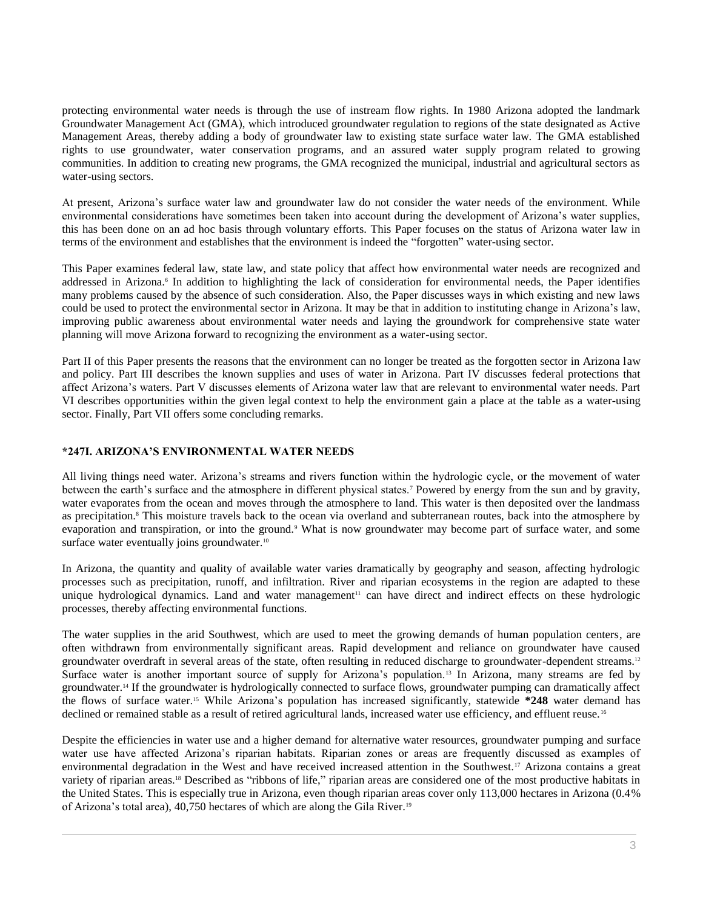protecting environmental water needs is through the use of instream flow rights. In 1980 Arizona adopted the landmark Groundwater Management Act (GMA), which introduced groundwater regulation to regions of the state designated as Active Management Areas, thereby adding a body of groundwater law to existing state surface water law. The GMA established rights to use groundwater, water conservation programs, and an assured water supply program related to growing communities. In addition to creating new programs, the GMA recognized the municipal, industrial and agricultural sectors as water-using sectors.

At present, Arizona's surface water law and groundwater law do not consider the water needs of the environment. While environmental considerations have sometimes been taken into account during the development of Arizona's water supplies, this has been done on an ad hoc basis through voluntary efforts. This Paper focuses on the status of Arizona water law in terms of the environment and establishes that the environment is indeed the "forgotten" water-using sector.

This Paper examines federal law, state law, and state policy that affect how environmental water needs are recognized and addressed in Arizona.<sup>6</sup> In addition to highlighting the lack of consideration for environmental needs, the Paper identifies many problems caused by the absence of such consideration. Also, the Paper discusses ways in which existing and new laws could be used to protect the environmental sector in Arizona. It may be that in addition to instituting change in Arizona's law, improving public awareness about environmental water needs and laying the groundwork for comprehensive state water planning will move Arizona forward to recognizing the environment as a water-using sector.

Part II of this Paper presents the reasons that the environment can no longer be treated as the forgotten sector in Arizona law and policy. Part III describes the known supplies and uses of water in Arizona. Part IV discusses federal protections that affect Arizona's waters. Part V discusses elements of Arizona water law that are relevant to environmental water needs. Part VI describes opportunities within the given legal context to help the environment gain a place at the table as a water-using sector. Finally, Part VII offers some concluding remarks.

# **\*247I. ARIZONA'S ENVIRONMENTAL WATER NEEDS**

All living things need water. Arizona's streams and rivers function within the hydrologic cycle, or the movement of water between the earth's surface and the atmosphere in different physical states.<sup>7</sup> Powered by energy from the sun and by gravity, water evaporates from the ocean and moves through the atmosphere to land. This water is then deposited over the landmass as precipitation.<sup>8</sup> This moisture travels back to the ocean via overland and subterranean routes, back into the atmosphere by evaporation and transpiration, or into the ground.<sup>9</sup> What is now groundwater may become part of surface water, and some surface water eventually joins groundwater.<sup>10</sup>

In Arizona, the quantity and quality of available water varies dramatically by geography and season, affecting hydrologic processes such as precipitation, runoff, and infiltration. River and riparian ecosystems in the region are adapted to these unique hydrological dynamics. Land and water management<sup>11</sup> can have direct and indirect effects on these hydrologic processes, thereby affecting environmental functions.

The water supplies in the arid Southwest, which are used to meet the growing demands of human population centers, are often withdrawn from environmentally significant areas. Rapid development and reliance on groundwater have caused groundwater overdraft in several areas of the state, often resulting in reduced discharge to groundwater-dependent streams.<sup>12</sup> Surface water is another important source of supply for Arizona's population.<sup>13</sup> In Arizona, many streams are fed by groundwater.<sup>14</sup> If the groundwater is hydrologically connected to surface flows, groundwater pumping can dramatically affect the flows of surface water.<sup>15</sup> While Arizona's population has increased significantly, statewide **\*248** water demand has declined or remained stable as a result of retired agricultural lands, increased water use efficiency, and effluent reuse.<sup>16</sup>

Despite the efficiencies in water use and a higher demand for alternative water resources, groundwater pumping and surface water use have affected Arizona's riparian habitats. Riparian zones or areas are frequently discussed as examples of environmental degradation in the West and have received increased attention in the Southwest.<sup>17</sup> Arizona contains a great variety of riparian areas.<sup>18</sup> Described as "ribbons of life," riparian areas are considered one of the most productive habitats in the United States. This is especially true in Arizona, even though riparian areas cover only 113,000 hectares in Arizona (0.4% of Arizona's total area), 40,750 hectares of which are along the Gila River.19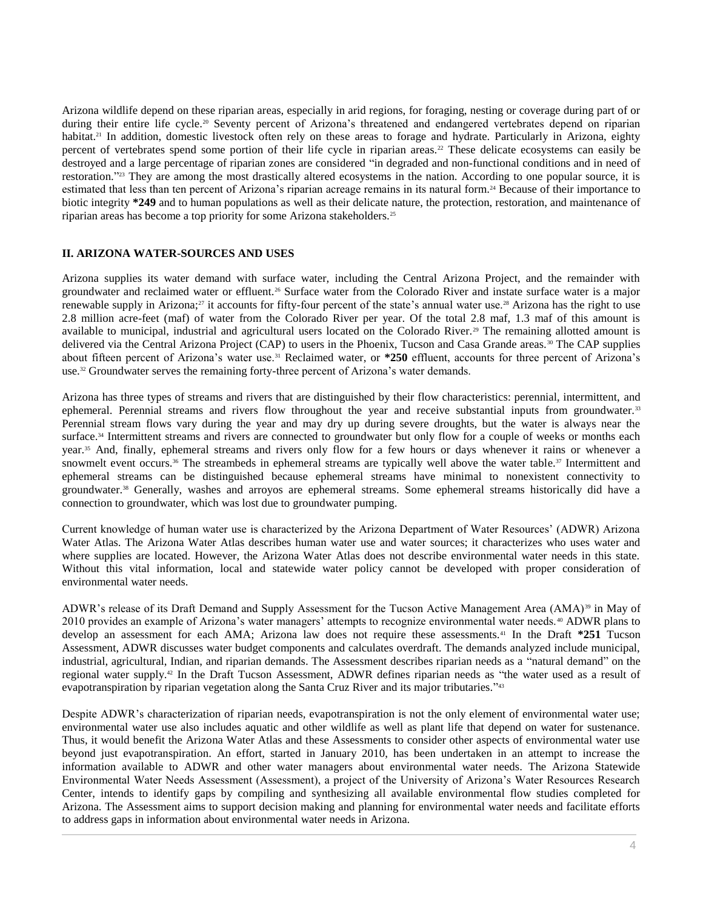Arizona wildlife depend on these riparian areas, especially in arid regions, for foraging, nesting or coverage during part of or during their entire life cycle.<sup>20</sup> Seventy percent of Arizona's threatened and endangered vertebrates depend on riparian habitat.<sup>21</sup> In addition, domestic livestock often rely on these areas to forage and hydrate. Particularly in Arizona, eighty percent of vertebrates spend some portion of their life cycle in riparian areas.<sup>22</sup> These delicate ecosystems can easily be destroyed and a large percentage of riparian zones are considered "in degraded and non-functional conditions and in need of restoration."<sup>23</sup> They are among the most drastically altered ecosystems in the nation. According to one popular source, it is estimated that less than ten percent of Arizona's riparian acreage remains in its natural form.<sup>24</sup> Because of their importance to biotic integrity **\*249** and to human populations as well as their delicate nature, the protection, restoration, and maintenance of riparian areas has become a top priority for some Arizona stakeholders.<sup>25</sup>

## **II. ARIZONA WATER-SOURCES AND USES**

Arizona supplies its water demand with surface water, including the Central Arizona Project, and the remainder with groundwater and reclaimed water or effluent.<sup>26</sup> Surface water from the Colorado River and instate surface water is a major renewable supply in Arizona;<sup>27</sup> it accounts for fifty-four percent of the state's annual water use.<sup>28</sup> Arizona has the right to use 2.8 million acre-feet (maf) of water from the Colorado River per year. Of the total 2.8 maf, 1.3 maf of this amount is available to municipal, industrial and agricultural users located on the Colorado River.<sup>29</sup> The remaining allotted amount is delivered via the Central Arizona Project (CAP) to users in the Phoenix, Tucson and Casa Grande areas.<sup>30</sup> The CAP supplies about fifteen percent of Arizona's water use.<sup>31</sup> Reclaimed water, or **\*250** effluent, accounts for three percent of Arizona's use.<sup>32</sup> Groundwater serves the remaining forty-three percent of Arizona's water demands.

Arizona has three types of streams and rivers that are distinguished by their flow characteristics: perennial, intermittent, and ephemeral. Perennial streams and rivers flow throughout the year and receive substantial inputs from groundwater.<sup>33</sup> Perennial stream flows vary during the year and may dry up during severe droughts, but the water is always near the surface.<sup>34</sup> Intermittent streams and rivers are connected to groundwater but only flow for a couple of weeks or months each year.<sup>35</sup> And, finally, ephemeral streams and rivers only flow for a few hours or days whenever it rains or whenever a snowmelt event occurs.<sup>36</sup> The streambeds in ephemeral streams are typically well above the water table.<sup>37</sup> Intermittent and ephemeral streams can be distinguished because ephemeral streams have minimal to nonexistent connectivity to groundwater.<sup>38</sup> Generally, washes and arroyos are ephemeral streams. Some ephemeral streams historically did have a connection to groundwater, which was lost due to groundwater pumping.

Current knowledge of human water use is characterized by the Arizona Department of Water Resources' (ADWR) Arizona Water Atlas. The Arizona Water Atlas describes human water use and water sources; it characterizes who uses water and where supplies are located. However, the Arizona Water Atlas does not describe environmental water needs in this state. Without this vital information, local and statewide water policy cannot be developed with proper consideration of environmental water needs.

ADWR's release of its Draft Demand and Supply Assessment for the Tucson Active Management Area (AMA)<sup>39</sup> in May of 2010 provides an example of Arizona's water managers' attempts to recognize environmental water needs.<sup>40</sup> ADWR plans to develop an assessment for each AMA; Arizona law does not require these assessments.<sup>41</sup> In the Draft **\*251** Tucson Assessment, ADWR discusses water budget components and calculates overdraft. The demands analyzed include municipal, industrial, agricultural, Indian, and riparian demands. The Assessment describes riparian needs as a "natural demand" on the regional water supply.<sup>42</sup> In the Draft Tucson Assessment, ADWR defines riparian needs as "the water used as a result of evapotranspiration by riparian vegetation along the Santa Cruz River and its major tributaries."<sup>43</sup>

Despite ADWR's characterization of riparian needs, evapotranspiration is not the only element of environmental water use; environmental water use also includes aquatic and other wildlife as well as plant life that depend on water for sustenance. Thus, it would benefit the Arizona Water Atlas and these Assessments to consider other aspects of environmental water use beyond just evapotranspiration. An effort, started in January 2010, has been undertaken in an attempt to increase the information available to ADWR and other water managers about environmental water needs. The Arizona Statewide Environmental Water Needs Assessment (Assessment), a project of the University of Arizona's Water Resources Research Center, intends to identify gaps by compiling and synthesizing all available environmental flow studies completed for Arizona. The Assessment aims to support decision making and planning for environmental water needs and facilitate efforts to address gaps in information about environmental water needs in Arizona.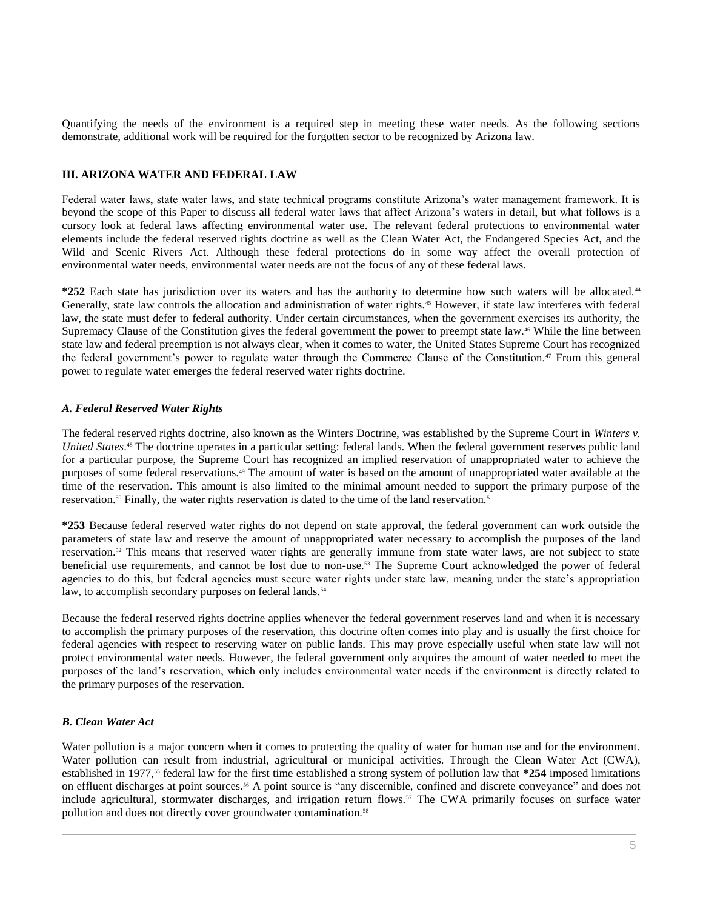Quantifying the needs of the environment is a required step in meeting these water needs. As the following sections demonstrate, additional work will be required for the forgotten sector to be recognized by Arizona law.

## **III. ARIZONA WATER AND FEDERAL LAW**

Federal water laws, state water laws, and state technical programs constitute Arizona's water management framework. It is beyond the scope of this Paper to discuss all federal water laws that affect Arizona's waters in detail, but what follows is a cursory look at federal laws affecting environmental water use. The relevant federal protections to environmental water elements include the federal reserved rights doctrine as well as the Clean Water Act, the Endangered Species Act, and the Wild and Scenic Rivers Act. Although these federal protections do in some way affect the overall protection of environmental water needs, environmental water needs are not the focus of any of these federal laws.

**\*252** Each state has jurisdiction over its waters and has the authority to determine how such waters will be allocated.<sup>44</sup> Generally, state law controls the allocation and administration of water rights.<sup>45</sup> However, if state law interferes with federal law, the state must defer to federal authority. Under certain circumstances, when the government exercises its authority, the Supremacy Clause of the Constitution gives the federal government the power to preempt state law.<sup>46</sup> While the line between state law and federal preemption is not always clear, when it comes to water, the United States Supreme Court has recognized the federal government's power to regulate water through the Commerce Clause of the Constitution.<sup>47</sup> From this general power to regulate water emerges the federal reserved water rights doctrine.

# *A. Federal Reserved Water Rights*

The federal reserved rights doctrine, also known as the Winters Doctrine, was established by the Supreme Court in *Winters v. United States*. <sup>48</sup> The doctrine operates in a particular setting: federal lands. When the federal government reserves public land for a particular purpose, the Supreme Court has recognized an implied reservation of unappropriated water to achieve the purposes of some federal reservations.<sup>49</sup> The amount of water is based on the amount of unappropriated water available at the time of the reservation. This amount is also limited to the minimal amount needed to support the primary purpose of the reservation.<sup>50</sup> Finally, the water rights reservation is dated to the time of the land reservation.<sup>51</sup>

**\*253** Because federal reserved water rights do not depend on state approval, the federal government can work outside the parameters of state law and reserve the amount of unappropriated water necessary to accomplish the purposes of the land reservation.<sup>52</sup> This means that reserved water rights are generally immune from state water laws, are not subject to state beneficial use requirements, and cannot be lost due to non-use.<sup>53</sup> The Supreme Court acknowledged the power of federal agencies to do this, but federal agencies must secure water rights under state law, meaning under the state's appropriation law, to accomplish secondary purposes on federal lands.<sup>54</sup>

Because the federal reserved rights doctrine applies whenever the federal government reserves land and when it is necessary to accomplish the primary purposes of the reservation, this doctrine often comes into play and is usually the first choice for federal agencies with respect to reserving water on public lands. This may prove especially useful when state law will not protect environmental water needs. However, the federal government only acquires the amount of water needed to meet the purposes of the land's reservation, which only includes environmental water needs if the environment is directly related to the primary purposes of the reservation.

## *B. Clean Water Act*

Water pollution is a major concern when it comes to protecting the quality of water for human use and for the environment. Water pollution can result from industrial, agricultural or municipal activities. Through the Clean Water Act (CWA), established in 1977,<sup>55</sup> federal law for the first time established a strong system of pollution law that **\*254** imposed limitations on effluent discharges at point sources.<sup>56</sup> A point source is "any discernible, confined and discrete conveyance" and does not include agricultural, stormwater discharges, and irrigation return flows.<sup>57</sup> The CWA primarily focuses on surface water pollution and does not directly cover groundwater contamination.<sup>58</sup>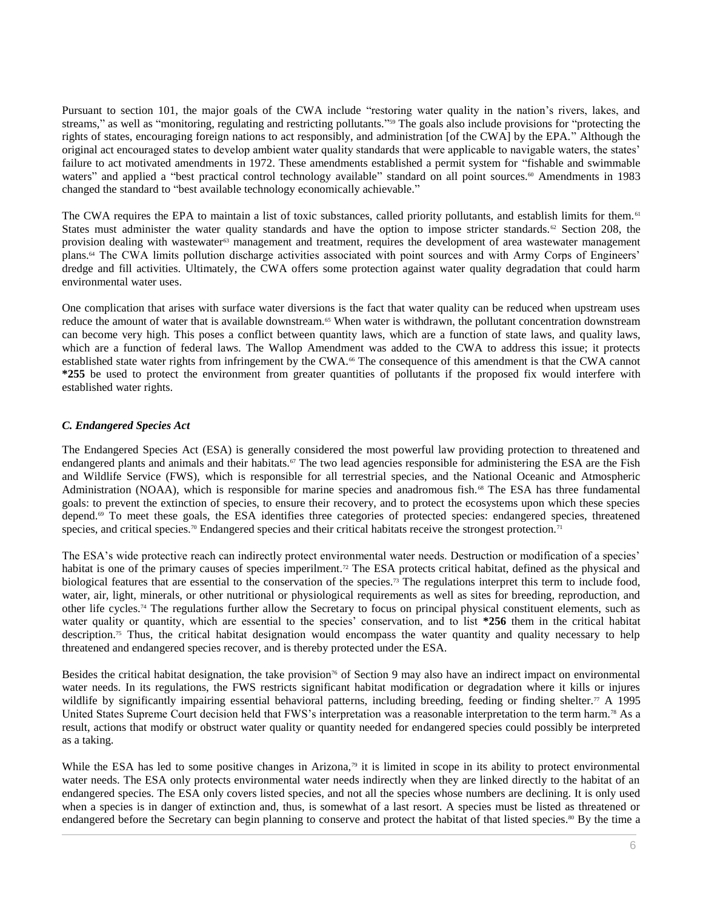Pursuant to section 101, the major goals of the CWA include "restoring water quality in the nation's rivers, lakes, and streams," as well as "monitoring, regulating and restricting pollutants."<sup>59</sup> The goals also include provisions for "protecting the rights of states, encouraging foreign nations to act responsibly, and administration [of the CWA] by the EPA." Although the original act encouraged states to develop ambient water quality standards that were applicable to navigable waters, the states' failure to act motivated amendments in 1972. These amendments established a permit system for "fishable and swimmable waters" and applied a "best practical control technology available" standard on all point sources.<sup>60</sup> Amendments in 1983 changed the standard to "best available technology economically achievable."

The CWA requires the EPA to maintain a list of toxic substances, called priority pollutants, and establish limits for them.<sup>61</sup> States must administer the water quality standards and have the option to impose stricter standards.<sup>62</sup> Section 208, the provision dealing with wastewater<sup>63</sup> management and treatment, requires the development of area wastewater management plans.<sup>64</sup> The CWA limits pollution discharge activities associated with point sources and with Army Corps of Engineers' dredge and fill activities. Ultimately, the CWA offers some protection against water quality degradation that could harm environmental water uses.

One complication that arises with surface water diversions is the fact that water quality can be reduced when upstream uses reduce the amount of water that is available downstream.<sup>65</sup> When water is withdrawn, the pollutant concentration downstream can become very high. This poses a conflict between quantity laws, which are a function of state laws, and quality laws, which are a function of federal laws. The Wallop Amendment was added to the CWA to address this issue; it protects established state water rights from infringement by the CWA.<sup>66</sup> The consequence of this amendment is that the CWA cannot **\*255** be used to protect the environment from greater quantities of pollutants if the proposed fix would interfere with established water rights.

# *C. Endangered Species Act*

The Endangered Species Act (ESA) is generally considered the most powerful law providing protection to threatened and endangered plants and animals and their habitats.<sup>67</sup> The two lead agencies responsible for administering the ESA are the Fish and Wildlife Service (FWS), which is responsible for all terrestrial species, and the National Oceanic and Atmospheric Administration (NOAA), which is responsible for marine species and anadromous fish.<sup>68</sup> The ESA has three fundamental goals: to prevent the extinction of species, to ensure their recovery, and to protect the ecosystems upon which these species depend.<sup>69</sup> To meet these goals, the ESA identifies three categories of protected species: endangered species, threatened species, and critical species.<sup>70</sup> Endangered species and their critical habitats receive the strongest protection.<sup>71</sup>

The ESA's wide protective reach can indirectly protect environmental water needs. Destruction or modification of a species' habitat is one of the primary causes of species imperilment.<sup>72</sup> The ESA protects critical habitat, defined as the physical and biological features that are essential to the conservation of the species.<sup>73</sup> The regulations interpret this term to include food, water, air, light, minerals, or other nutritional or physiological requirements as well as sites for breeding, reproduction, and other life cycles.<sup>74</sup> The regulations further allow the Secretary to focus on principal physical constituent elements, such as water quality or quantity, which are essential to the species' conservation, and to list **\*256** them in the critical habitat description.<sup>75</sup> Thus, the critical habitat designation would encompass the water quantity and quality necessary to help threatened and endangered species recover, and is thereby protected under the ESA.

Besides the critical habitat designation, the take provision<sup>76</sup> of Section 9 may also have an indirect impact on environmental water needs. In its regulations, the FWS restricts significant habitat modification or degradation where it kills or injures wildlife by significantly impairing essential behavioral patterns, including breeding, feeding or finding shelter.<sup>77</sup> A 1995 United States Supreme Court decision held that FWS's interpretation was a reasonable interpretation to the term harm.<sup>78</sup> As a result, actions that modify or obstruct water quality or quantity needed for endangered species could possibly be interpreted as a taking.

While the ESA has led to some positive changes in Arizona,<sup>79</sup> it is limited in scope in its ability to protect environmental water needs. The ESA only protects environmental water needs indirectly when they are linked directly to the habitat of an endangered species. The ESA only covers listed species, and not all the species whose numbers are declining. It is only used when a species is in danger of extinction and, thus, is somewhat of a last resort. A species must be listed as threatened or endangered before the Secretary can begin planning to conserve and protect the habitat of that listed species.<sup>80</sup> By the time a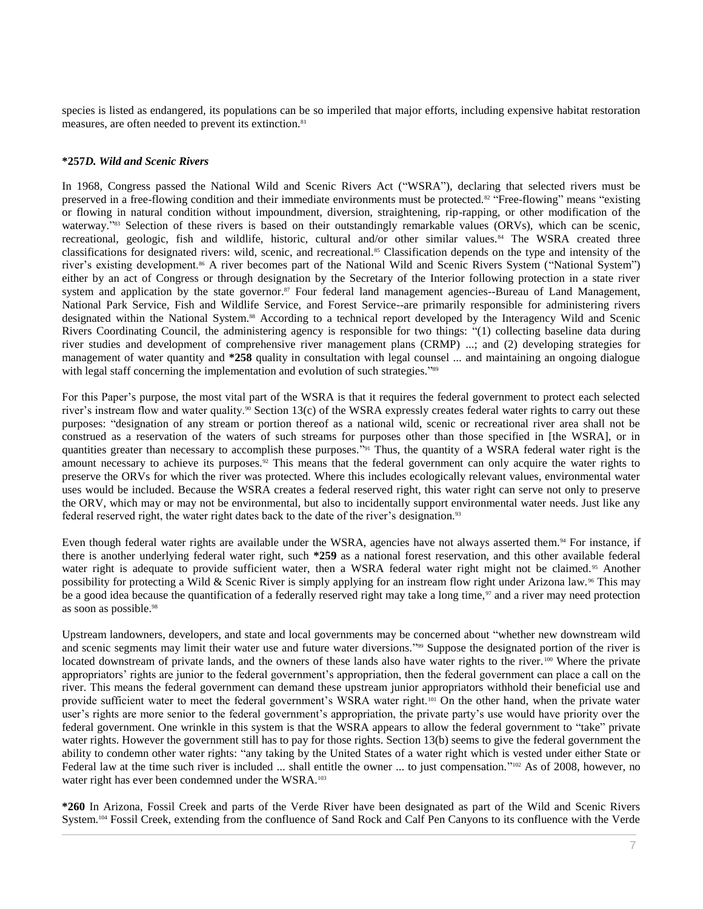species is listed as endangered, its populations can be so imperiled that major efforts, including expensive habitat restoration measures, are often needed to prevent its extinction.<sup>81</sup>

## **\*257***D. Wild and Scenic Rivers*

In 1968, Congress passed the National Wild and Scenic Rivers Act ("WSRA"), declaring that selected rivers must be preserved in a free-flowing condition and their immediate environments must be protected.<sup>82</sup> "Free-flowing" means "existing or flowing in natural condition without impoundment, diversion, straightening, rip-rapping, or other modification of the waterway."<sup>83</sup> Selection of these rivers is based on their outstandingly remarkable values (ORVs), which can be scenic, recreational, geologic, fish and wildlife, historic, cultural and/or other similar values.<sup>84</sup> The WSRA created three classifications for designated rivers: wild, scenic, and recreational.<sup>85</sup> Classification depends on the type and intensity of the river's existing development.<sup>86</sup> A river becomes part of the National Wild and Scenic Rivers System ("National System") either by an act of Congress or through designation by the Secretary of the Interior following protection in a state river system and application by the state governor.<sup>87</sup> Four federal land management agencies--Bureau of Land Management, National Park Service, Fish and Wildlife Service, and Forest Service--are primarily responsible for administering rivers designated within the National System.<sup>88</sup> According to a technical report developed by the Interagency Wild and Scenic Rivers Coordinating Council, the administering agency is responsible for two things: "(1) collecting baseline data during river studies and development of comprehensive river management plans (CRMP) ...; and (2) developing strategies for management of water quantity and **\*258** quality in consultation with legal counsel ... and maintaining an ongoing dialogue with legal staff concerning the implementation and evolution of such strategies."<sup>89</sup>

For this Paper's purpose, the most vital part of the WSRA is that it requires the federal government to protect each selected river's instream flow and water quality.<sup>90</sup> Section 13(c) of the WSRA expressly creates federal water rights to carry out these purposes: "designation of any stream or portion thereof as a national wild, scenic or recreational river area shall not be construed as a reservation of the waters of such streams for purposes other than those specified in [the WSRA], or in quantities greater than necessary to accomplish these purposes."<sup>91</sup> Thus, the quantity of a WSRA federal water right is the amount necessary to achieve its purposes.<sup>92</sup> This means that the federal government can only acquire the water rights to preserve the ORVs for which the river was protected. Where this includes ecologically relevant values, environmental water uses would be included. Because the WSRA creates a federal reserved right, this water right can serve not only to preserve the ORV, which may or may not be environmental, but also to incidentally support environmental water needs. Just like any federal reserved right, the water right dates back to the date of the river's designation.<sup>93</sup>

Even though federal water rights are available under the WSRA, agencies have not always asserted them.<sup>94</sup> For instance, if there is another underlying federal water right, such **\*259** as a national forest reservation, and this other available federal water right is adequate to provide sufficient water, then a WSRA federal water right might not be claimed.<sup>95</sup> Another possibility for protecting a Wild & Scenic River is simply applying for an instream flow right under Arizona law. <sup>96</sup> This may be a good idea because the quantification of a federally reserved right may take a long time, $\gamma$  and a river may need protection as soon as possible.<sup>98</sup>

Upstream landowners, developers, and state and local governments may be concerned about "whether new downstream wild and scenic segments may limit their water use and future water diversions."<sup>99</sup> Suppose the designated portion of the river is located downstream of private lands, and the owners of these lands also have water rights to the river.<sup>100</sup> Where the private appropriators' rights are junior to the federal government's appropriation, then the federal government can place a call on the river. This means the federal government can demand these upstream junior appropriators withhold their beneficial use and provide sufficient water to meet the federal government's WSRA water right.<sup>101</sup> On the other hand, when the private water user's rights are more senior to the federal government's appropriation, the private party's use would have priority over the federal government. One wrinkle in this system is that the WSRA appears to allow the federal government to "take" private water rights. However the government still has to pay for those rights. Section 13(b) seems to give the federal government the ability to condemn other water rights: "any taking by the United States of a water right which is vested under either State or Federal law at the time such river is included ... shall entitle the owner ... to just compensation."<sup>102</sup> As of 2008, however, no water right has ever been condemned under the WSRA.<sup>103</sup>

**\*260** In Arizona, Fossil Creek and parts of the Verde River have been designated as part of the Wild and Scenic Rivers System.<sup>104</sup> Fossil Creek, extending from the confluence of Sand Rock and Calf Pen Canyons to its confluence with the Verde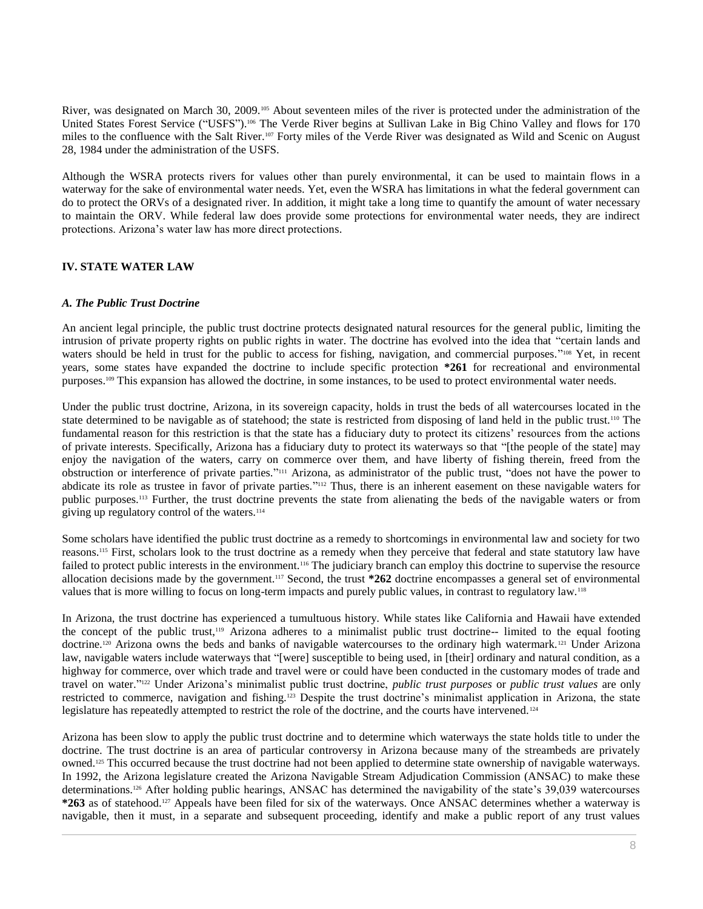River, was designated on March 30, 2009.<sup>105</sup> About seventeen miles of the river is protected under the administration of the United States Forest Service ("USFS").<sup>106</sup> The Verde River begins at Sullivan Lake in Big Chino Valley and flows for 170 miles to the confluence with the Salt River.<sup>107</sup> Forty miles of the Verde River was designated as Wild and Scenic on August 28, 1984 under the administration of the USFS.

Although the WSRA protects rivers for values other than purely environmental, it can be used to maintain flows in a waterway for the sake of environmental water needs. Yet, even the WSRA has limitations in what the federal government can do to protect the ORVs of a designated river. In addition, it might take a long time to quantify the amount of water necessary to maintain the ORV. While federal law does provide some protections for environmental water needs, they are indirect protections. Arizona's water law has more direct protections.

# **IV. STATE WATER LAW**

# *A. The Public Trust Doctrine*

An ancient legal principle, the public trust doctrine protects designated natural resources for the general public, limiting the intrusion of private property rights on public rights in water. The doctrine has evolved into the idea that "certain lands and waters should be held in trust for the public to access for fishing, navigation, and commercial purposes."<sup>108</sup> Yet, in recent years, some states have expanded the doctrine to include specific protection **\*261** for recreational and environmental purposes.<sup>109</sup> This expansion has allowed the doctrine, in some instances, to be used to protect environmental water needs.

Under the public trust doctrine, Arizona, in its sovereign capacity, holds in trust the beds of all watercourses located in the state determined to be navigable as of statehood; the state is restricted from disposing of land held in the public trust.<sup>110</sup> The fundamental reason for this restriction is that the state has a fiduciary duty to protect its citizens' resources from the actions of private interests. Specifically, Arizona has a fiduciary duty to protect its waterways so that "[the people of the state] may enjoy the navigation of the waters, carry on commerce over them, and have liberty of fishing therein, freed from the obstruction or interference of private parties." <sup>111</sup> Arizona, as administrator of the public trust, "does not have the power to abdicate its role as trustee in favor of private parties."<sup>112</sup> Thus, there is an inherent easement on these navigable waters for public purposes.<sup>113</sup> Further, the trust doctrine prevents the state from alienating the beds of the navigable waters or from giving up regulatory control of the waters.<sup>114</sup>

Some scholars have identified the public trust doctrine as a remedy to shortcomings in environmental law and society for two reasons.<sup>115</sup> First, scholars look to the trust doctrine as a remedy when they perceive that federal and state statutory law have failed to protect public interests in the environment.<sup>116</sup> The judiciary branch can employ this doctrine to supervise the resource allocation decisions made by the government.<sup>117</sup> Second, the trust **\*262** doctrine encompasses a general set of environmental values that is more willing to focus on long-term impacts and purely public values, in contrast to regulatory law.<sup>118</sup>

In Arizona, the trust doctrine has experienced a tumultuous history. While states like California and Hawaii have extended the concept of the public trust,<sup>119</sup> Arizona adheres to a minimalist public trust doctrine-- limited to the equal footing doctrine.<sup>120</sup> Arizona owns the beds and banks of navigable watercourses to the ordinary high watermark.<sup>121</sup> Under Arizona law, navigable waters include waterways that "[were] susceptible to being used, in [their] ordinary and natural condition, as a highway for commerce, over which trade and travel were or could have been conducted in the customary modes of trade and travel on water." <sup>122</sup> Under Arizona's minimalist public trust doctrine, *public trust purposes* or *public trust values* are only restricted to commerce, navigation and fishing.<sup>123</sup> Despite the trust doctrine's minimalist application in Arizona, the state legislature has repeatedly attempted to restrict the role of the doctrine, and the courts have intervened.<sup>124</sup>

Arizona has been slow to apply the public trust doctrine and to determine which waterways the state holds title to under the doctrine. The trust doctrine is an area of particular controversy in Arizona because many of the streambeds are privately owned.<sup>125</sup> This occurred because the trust doctrine had not been applied to determine state ownership of navigable waterways. In 1992, the Arizona legislature created the Arizona Navigable Stream Adjudication Commission (ANSAC) to make these determinations.<sup>126</sup> After holding public hearings, ANSAC has determined the navigability of the state's 39,039 watercourses **\*263** as of statehood.<sup>127</sup> Appeals have been filed for six of the waterways. Once ANSAC determines whether a waterway is navigable, then it must, in a separate and subsequent proceeding, identify and make a public report of any trust values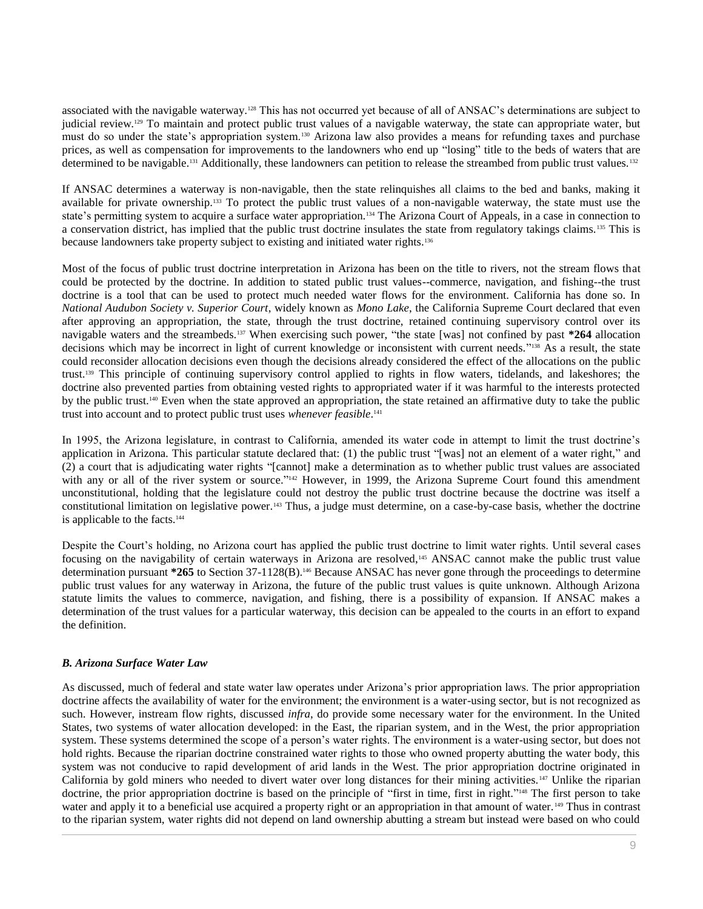associated with the navigable waterway.<sup>128</sup> This has not occurred yet because of all of ANSAC's determinations are subject to judicial review.<sup>129</sup> To maintain and protect public trust values of a navigable waterway, the state can appropriate water, but must do so under the state's appropriation system.<sup>130</sup> Arizona law also provides a means for refunding taxes and purchase prices, as well as compensation for improvements to the landowners who end up "losing" title to the beds of waters that are determined to be navigable.<sup>131</sup> Additionally, these landowners can petition to release the streambed from public trust values.<sup>132</sup>

If ANSAC determines a waterway is non-navigable, then the state relinquishes all claims to the bed and banks, making it available for private ownership.<sup>133</sup> To protect the public trust values of a non-navigable waterway, the state must use the state's permitting system to acquire a surface water appropriation.<sup>134</sup> The Arizona Court of Appeals, in a case in connection to a conservation district, has implied that the public trust doctrine insulates the state from regulatory takings claims.<sup>135</sup> This is because landowners take property subject to existing and initiated water rights.<sup>136</sup>

Most of the focus of public trust doctrine interpretation in Arizona has been on the title to rivers, not the stream flows that could be protected by the doctrine. In addition to stated public trust values--commerce, navigation, and fishing--the trust doctrine is a tool that can be used to protect much needed water flows for the environment. California has done so. In *National Audubon Society v. Superior Court*, widely known as *Mono Lake*, the California Supreme Court declared that even after approving an appropriation, the state, through the trust doctrine, retained continuing supervisory control over its navigable waters and the streambeds.<sup>137</sup> When exercising such power, "the state [was] not confined by past **\*264** allocation decisions which may be incorrect in light of current knowledge or inconsistent with current needs."<sup>138</sup> As a result, the state could reconsider allocation decisions even though the decisions already considered the effect of the allocations on the public trust.<sup>139</sup> This principle of continuing supervisory control applied to rights in flow waters, tidelands, and lakeshores; the doctrine also prevented parties from obtaining vested rights to appropriated water if it was harmful to the interests protected by the public trust.<sup>140</sup> Even when the state approved an appropriation, the state retained an affirmative duty to take the public trust into account and to protect public trust uses *whenever feasible*. 141

In 1995, the Arizona legislature, in contrast to California, amended its water code in attempt to limit the trust doctrine's application in Arizona. This particular statute declared that: (1) the public trust "[was] not an element of a water right," and (2) a court that is adjudicating water rights "[cannot] make a determination as to whether public trust values are associated with any or all of the river system or source."<sup>142</sup> However, in 1999, the Arizona Supreme Court found this amendment unconstitutional, holding that the legislature could not destroy the public trust doctrine because the doctrine was itself a constitutional limitation on legislative power.<sup>143</sup> Thus, a judge must determine, on a case-by-case basis, whether the doctrine is applicable to the facts.<sup>144</sup>

Despite the Court's holding, no Arizona court has applied the public trust doctrine to limit water rights. Until several cases focusing on the navigability of certain waterways in Arizona are resolved,<sup>145</sup> ANSAC cannot make the public trust value determination pursuant **\*265** to Section 37-1128(B).<sup>146</sup> Because ANSAC has never gone through the proceedings to determine public trust values for any waterway in Arizona, the future of the public trust values is quite unknown. Although Arizona statute limits the values to commerce, navigation, and fishing, there is a possibility of expansion. If ANSAC makes a determination of the trust values for a particular waterway, this decision can be appealed to the courts in an effort to expand the definition.

# *B. Arizona Surface Water Law*

As discussed, much of federal and state water law operates under Arizona's prior appropriation laws. The prior appropriation doctrine affects the availability of water for the environment; the environment is a water-using sector, but is not recognized as such. However, instream flow rights, discussed *infra*, do provide some necessary water for the environment. In the United States, two systems of water allocation developed: in the East, the riparian system, and in the West, the prior appropriation system. These systems determined the scope of a person's water rights. The environment is a water-using sector, but does not hold rights. Because the riparian doctrine constrained water rights to those who owned property abutting the water body, this system was not conducive to rapid development of arid lands in the West. The prior appropriation doctrine originated in California by gold miners who needed to divert water over long distances for their mining activities. <sup>147</sup> Unlike the riparian doctrine, the prior appropriation doctrine is based on the principle of "first in time, first in right." <sup>148</sup> The first person to take water and apply it to a beneficial use acquired a property right or an appropriation in that amount of water. <sup>149</sup> Thus in contrast to the riparian system, water rights did not depend on land ownership abutting a stream but instead were based on who could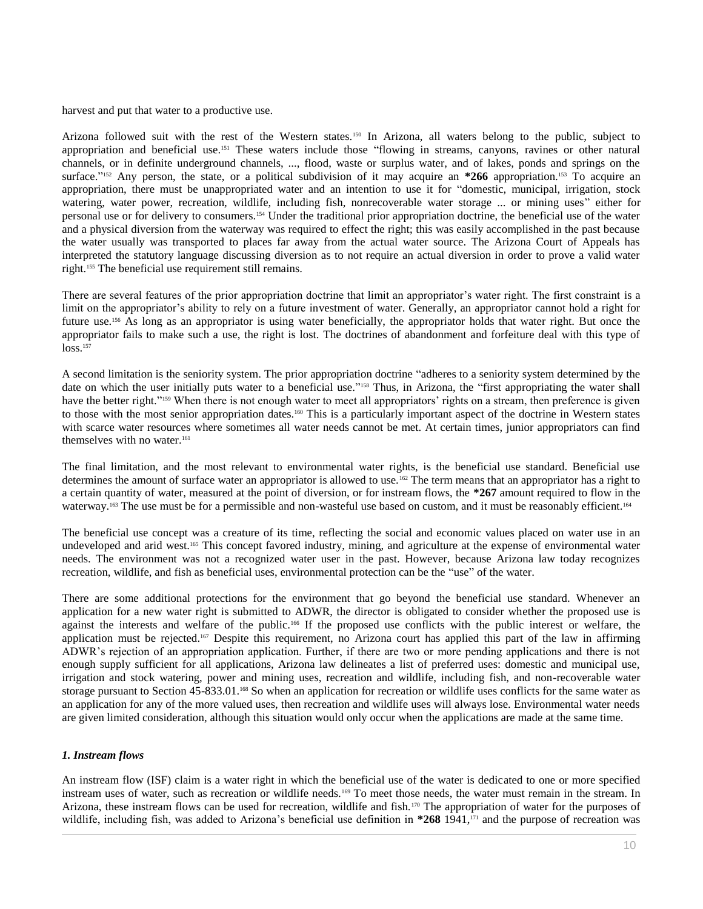harvest and put that water to a productive use.

Arizona followed suit with the rest of the Western states.<sup>150</sup> In Arizona, all waters belong to the public, subject to appropriation and beneficial use.<sup>151</sup> These waters include those "flowing in streams, canyons, ravines or other natural channels, or in definite underground channels, ..., flood, waste or surplus water, and of lakes, ponds and springs on the surface."<sup>152</sup> Any person, the state, or a political subdivision of it may acquire an  $*266$  appropriation.<sup>153</sup> To acquire an appropriation, there must be unappropriated water and an intention to use it for "domestic, municipal, irrigation, stock watering, water power, recreation, wildlife, including fish, nonrecoverable water storage ... or mining uses" either for personal use or for delivery to consumers.<sup>154</sup> Under the traditional prior appropriation doctrine, the beneficial use of the water and a physical diversion from the waterway was required to effect the right; this was easily accomplished in the past because the water usually was transported to places far away from the actual water source. The Arizona Court of Appeals has interpreted the statutory language discussing diversion as to not require an actual diversion in order to prove a valid water right.<sup>155</sup> The beneficial use requirement still remains.

There are several features of the prior appropriation doctrine that limit an appropriator's water right. The first constraint is a limit on the appropriator's ability to rely on a future investment of water. Generally, an appropriator cannot hold a right for future use.<sup>156</sup> As long as an appropriator is using water beneficially, the appropriator holds that water right. But once the appropriator fails to make such a use, the right is lost. The doctrines of abandonment and forfeiture deal with this type of loss.<sup>157</sup>

A second limitation is the seniority system. The prior appropriation doctrine "adheres to a seniority system determined by the date on which the user initially puts water to a beneficial use."<sup>158</sup> Thus, in Arizona, the "first appropriating the water shall have the better right."<sup>159</sup> When there is not enough water to meet all appropriators' rights on a stream, then preference is given to those with the most senior appropriation dates.<sup>160</sup> This is a particularly important aspect of the doctrine in Western states with scarce water resources where sometimes all water needs cannot be met. At certain times, junior appropriators can find themselves with no water.<sup>161</sup>

The final limitation, and the most relevant to environmental water rights, is the beneficial use standard. Beneficial use determines the amount of surface water an appropriator is allowed to use.<sup>162</sup> The term means that an appropriator has a right to a certain quantity of water, measured at the point of diversion, or for instream flows, the **\*267** amount required to flow in the waterway.<sup>163</sup> The use must be for a permissible and non-wasteful use based on custom, and it must be reasonably efficient.<sup>164</sup>

The beneficial use concept was a creature of its time, reflecting the social and economic values placed on water use in an undeveloped and arid west.<sup>165</sup> This concept favored industry, mining, and agriculture at the expense of environmental water needs. The environment was not a recognized water user in the past. However, because Arizona law today recognizes recreation, wildlife, and fish as beneficial uses, environmental protection can be the "use" of the water.

There are some additional protections for the environment that go beyond the beneficial use standard. Whenever an application for a new water right is submitted to ADWR, the director is obligated to consider whether the proposed use is against the interests and welfare of the public.<sup>166</sup> If the proposed use conflicts with the public interest or welfare, the application must be rejected.<sup>167</sup> Despite this requirement, no Arizona court has applied this part of the law in affirming ADWR's rejection of an appropriation application. Further, if there are two or more pending applications and there is not enough supply sufficient for all applications, Arizona law delineates a list of preferred uses: domestic and municipal use, irrigation and stock watering, power and mining uses, recreation and wildlife, including fish, and non-recoverable water storage pursuant to Section 45-833.01.<sup>168</sup> So when an application for recreation or wildlife uses conflicts for the same water as an application for any of the more valued uses, then recreation and wildlife uses will always lose. Environmental water needs are given limited consideration, although this situation would only occur when the applications are made at the same time.

# *1. Instream flows*

An instream flow (ISF) claim is a water right in which the beneficial use of the water is dedicated to one or more specified instream uses of water, such as recreation or wildlife needs.<sup>169</sup> To meet those needs, the water must remain in the stream. In Arizona, these instream flows can be used for recreation, wildlife and fish.<sup>170</sup> The appropriation of water for the purposes of wildlife, including fish, was added to Arizona's beneficial use definition in **\*268** 1941,<sup>171</sup> and the purpose of recreation was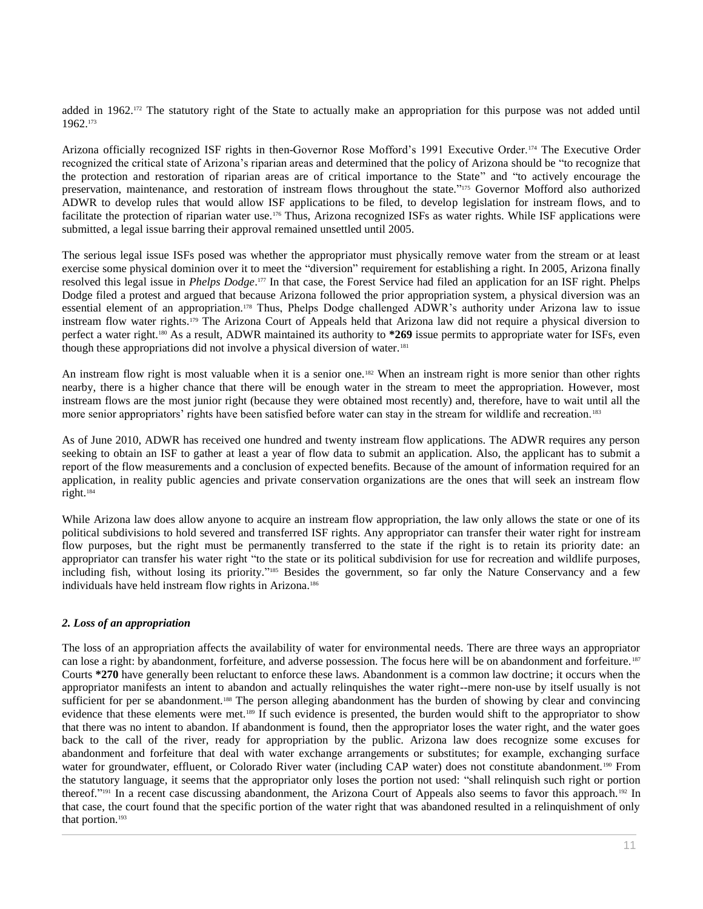added in 1962.<sup>172</sup> The statutory right of the State to actually make an appropriation for this purpose was not added until 1962.<sup>173</sup>

Arizona officially recognized ISF rights in then-Governor Rose Mofford's 1991 Executive Order.<sup>174</sup> The Executive Order recognized the critical state of Arizona's riparian areas and determined that the policy of Arizona should be "to recognize that the protection and restoration of riparian areas are of critical importance to the State" and "to actively encourage the preservation, maintenance, and restoration of instream flows throughout the state." <sup>175</sup> Governor Mofford also authorized ADWR to develop rules that would allow ISF applications to be filed, to develop legislation for instream flows, and to facilitate the protection of riparian water use.<sup>176</sup> Thus, Arizona recognized ISFs as water rights. While ISF applications were submitted, a legal issue barring their approval remained unsettled until 2005.

The serious legal issue ISFs posed was whether the appropriator must physically remove water from the stream or at least exercise some physical dominion over it to meet the "diversion" requirement for establishing a right. In 2005, Arizona finally resolved this legal issue in *Phelps Dodge*. <sup>177</sup> In that case, the Forest Service had filed an application for an ISF right. Phelps Dodge filed a protest and argued that because Arizona followed the prior appropriation system, a physical diversion was an essential element of an appropriation.<sup>178</sup> Thus, Phelps Dodge challenged ADWR's authority under Arizona law to issue instream flow water rights.<sup>179</sup> The Arizona Court of Appeals held that Arizona law did not require a physical diversion to perfect a water right.<sup>180</sup> As a result, ADWR maintained its authority to **\*269** issue permits to appropriate water for ISFs, even though these appropriations did not involve a physical diversion of water.<sup>181</sup>

An instream flow right is most valuable when it is a senior one.<sup>182</sup> When an instream right is more senior than other rights nearby, there is a higher chance that there will be enough water in the stream to meet the appropriation. However, most instream flows are the most junior right (because they were obtained most recently) and, therefore, have to wait until all the more senior appropriators' rights have been satisfied before water can stay in the stream for wildlife and recreation.<sup>183</sup>

As of June 2010, ADWR has received one hundred and twenty instream flow applications. The ADWR requires any person seeking to obtain an ISF to gather at least a year of flow data to submit an application. Also, the applicant has to submit a report of the flow measurements and a conclusion of expected benefits. Because of the amount of information required for an application, in reality public agencies and private conservation organizations are the ones that will seek an instream flow right.<sup>184</sup>

While Arizona law does allow anyone to acquire an instream flow appropriation, the law only allows the state or one of its political subdivisions to hold severed and transferred ISF rights. Any appropriator can transfer their water right for instream flow purposes, but the right must be permanently transferred to the state if the right is to retain its priority date: an appropriator can transfer his water right "to the state or its political subdivision for use for recreation and wildlife purposes, including fish, without losing its priority." <sup>185</sup> Besides the government, so far only the Nature Conservancy and a few individuals have held instream flow rights in Arizona.<sup>186</sup>

# *2. Loss of an appropriation*

The loss of an appropriation affects the availability of water for environmental needs. There are three ways an appropriator can lose a right: by abandonment, forfeiture, and adverse possession. The focus here will be on abandonment and forfeiture. <sup>187</sup> Courts **\*270** have generally been reluctant to enforce these laws. Abandonment is a common law doctrine; it occurs when the appropriator manifests an intent to abandon and actually relinquishes the water right--mere non-use by itself usually is not sufficient for per se abandonment.<sup>188</sup> The person alleging abandonment has the burden of showing by clear and convincing evidence that these elements were met.<sup>189</sup> If such evidence is presented, the burden would shift to the appropriator to show that there was no intent to abandon. If abandonment is found, then the appropriator loses the water right, and the water goes back to the call of the river, ready for appropriation by the public. Arizona law does recognize some excuses for abandonment and forfeiture that deal with water exchange arrangements or substitutes; for example, exchanging surface water for groundwater, effluent, or Colorado River water (including CAP water) does not constitute abandonment.<sup>190</sup> From the statutory language, it seems that the appropriator only loses the portion not used: "shall relinquish such right or portion thereof."<sup>191</sup> In a recent case discussing abandonment, the Arizona Court of Appeals also seems to favor this approach.<sup>192</sup> In that case, the court found that the specific portion of the water right that was abandoned resulted in a relinquishment of only that portion.193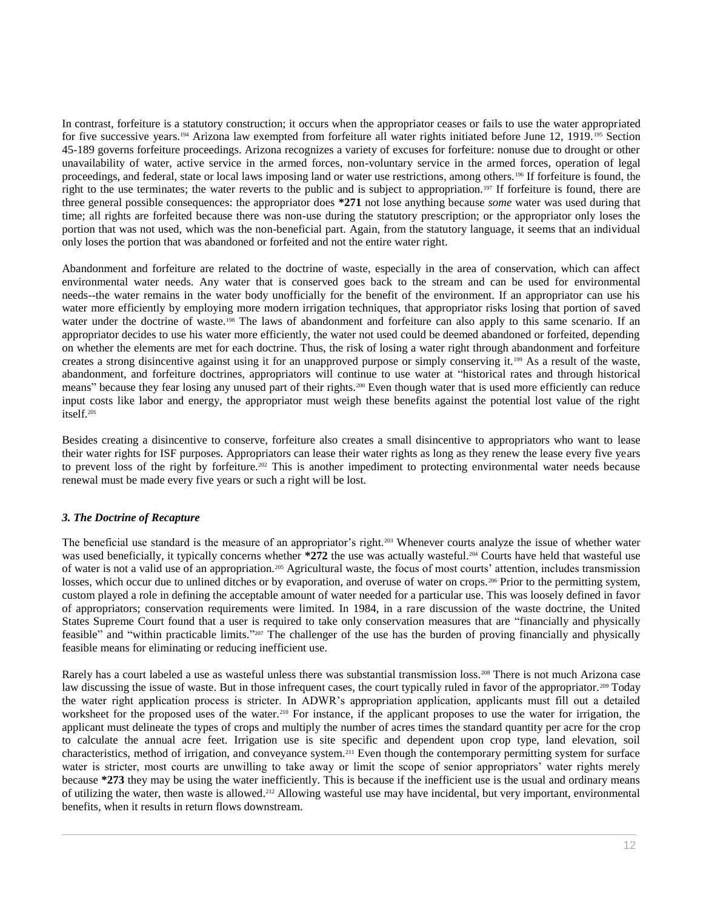In contrast, forfeiture is a statutory construction; it occurs when the appropriator ceases or fails to use the water appropriated for five successive years.<sup>194</sup> Arizona law exempted from forfeiture all water rights initiated before June 12, 1919.<sup>195</sup> Section 45-189 governs forfeiture proceedings. Arizona recognizes a variety of excuses for forfeiture: nonuse due to drought or other unavailability of water, active service in the armed forces, non-voluntary service in the armed forces, operation of legal proceedings, and federal, state or local laws imposing land or water use restrictions, among others.<sup>196</sup> If forfeiture is found, the right to the use terminates; the water reverts to the public and is subject to appropriation.<sup>197</sup> If forfeiture is found, there are three general possible consequences: the appropriator does **\*271** not lose anything because *some* water was used during that time; all rights are forfeited because there was non-use during the statutory prescription; or the appropriator only loses the portion that was not used, which was the non-beneficial part. Again, from the statutory language, it seems that an individual only loses the portion that was abandoned or forfeited and not the entire water right.

Abandonment and forfeiture are related to the doctrine of waste, especially in the area of conservation, which can affect environmental water needs. Any water that is conserved goes back to the stream and can be used for environmental needs--the water remains in the water body unofficially for the benefit of the environment. If an appropriator can use his water more efficiently by employing more modern irrigation techniques, that appropriator risks losing that portion of saved water under the doctrine of waste.<sup>198</sup> The laws of abandonment and forfeiture can also apply to this same scenario. If an appropriator decides to use his water more efficiently, the water not used could be deemed abandoned or forfeited, depending on whether the elements are met for each doctrine. Thus, the risk of losing a water right through abandonment and forfeiture creates a strong disincentive against using it for an unapproved purpose or simply conserving it.<sup>199</sup> As a result of the waste, abandonment, and forfeiture doctrines, appropriators will continue to use water at "historical rates and through historical means" because they fear losing any unused part of their rights.<sup>200</sup> Even though water that is used more efficiently can reduce input costs like labor and energy, the appropriator must weigh these benefits against the potential lost value of the right itself.<sup>201</sup>

Besides creating a disincentive to conserve, forfeiture also creates a small disincentive to appropriators who want to lease their water rights for ISF purposes. Appropriators can lease their water rights as long as they renew the lease every five years to prevent loss of the right by forfeiture.<sup>202</sup> This is another impediment to protecting environmental water needs because renewal must be made every five years or such a right will be lost.

# *3. The Doctrine of Recapture*

The beneficial use standard is the measure of an appropriator's right.<sup>203</sup> Whenever courts analyze the issue of whether water was used beneficially, it typically concerns whether **\*272** the use was actually wasteful.<sup>204</sup> Courts have held that wasteful use of water is not a valid use of an appropriation.<sup>205</sup> Agricultural waste, the focus of most courts' attention, includes transmission losses, which occur due to unlined ditches or by evaporation, and overuse of water on crops.<sup>206</sup> Prior to the permitting system, custom played a role in defining the acceptable amount of water needed for a particular use. This was loosely defined in favor of appropriators; conservation requirements were limited. In 1984, in a rare discussion of the waste doctrine, the United States Supreme Court found that a user is required to take only conservation measures that are "financially and physically feasible" and "within practicable limits." <sup>207</sup> The challenger of the use has the burden of proving financially and physically feasible means for eliminating or reducing inefficient use.

Rarely has a court labeled a use as wasteful unless there was substantial transmission loss.<sup>208</sup> There is not much Arizona case law discussing the issue of waste. But in those infrequent cases, the court typically ruled in favor of the appropriator.<sup>209</sup> Today the water right application process is stricter. In ADWR's appropriation application, applicants must fill out a detailed worksheet for the proposed uses of the water.<sup>210</sup> For instance, if the applicant proposes to use the water for irrigation, the applicant must delineate the types of crops and multiply the number of acres times the standard quantity per acre for the crop to calculate the annual acre feet. Irrigation use is site specific and dependent upon crop type, land elevation, soil characteristics, method of irrigation, and conveyance system.<sup>211</sup> Even though the contemporary permitting system for surface water is stricter, most courts are unwilling to take away or limit the scope of senior appropriators' water rights merely because **\*273** they may be using the water inefficiently. This is because if the inefficient use is the usual and ordinary means of utilizing the water, then waste is allowed.<sup>212</sup> Allowing wasteful use may have incidental, but very important, environmental benefits, when it results in return flows downstream.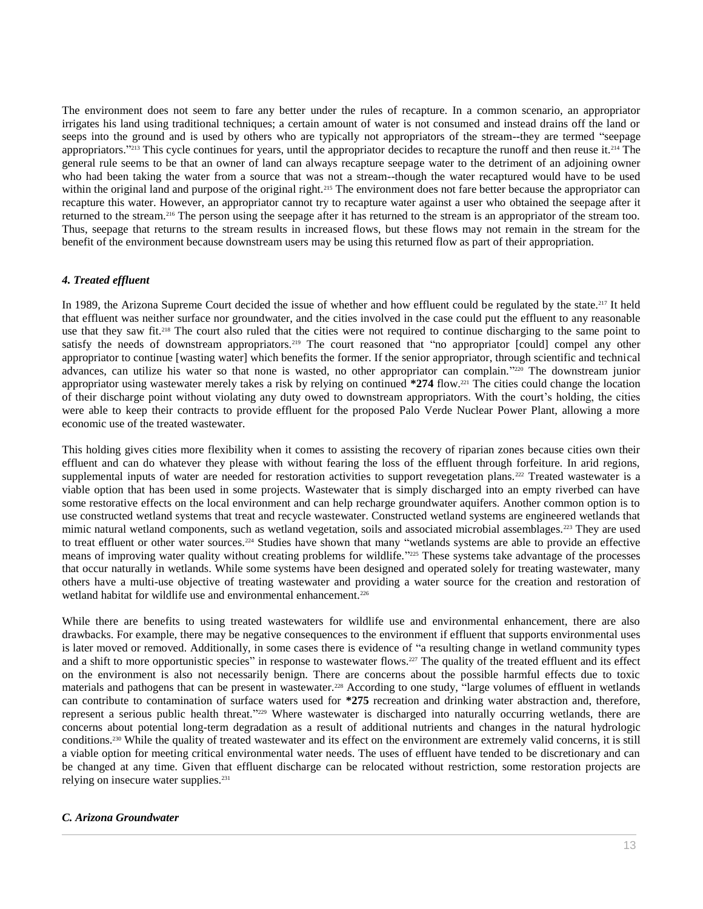The environment does not seem to fare any better under the rules of recapture. In a common scenario, an appropriator irrigates his land using traditional techniques; a certain amount of water is not consumed and instead drains off the land or seeps into the ground and is used by others who are typically not appropriators of the stream--they are termed "seepage appropriators."<sup>213</sup> This cycle continues for years, until the appropriator decides to recapture the runoff and then reuse it.<sup>214</sup> The general rule seems to be that an owner of land can always recapture seepage water to the detriment of an adjoining owner who had been taking the water from a source that was not a stream--though the water recaptured would have to be used within the original land and purpose of the original right.<sup>215</sup> The environment does not fare better because the appropriator can recapture this water. However, an appropriator cannot try to recapture water against a user who obtained the seepage after it returned to the stream.<sup>216</sup> The person using the seepage after it has returned to the stream is an appropriator of the stream too. Thus, seepage that returns to the stream results in increased flows, but these flows may not remain in the stream for the benefit of the environment because downstream users may be using this returned flow as part of their appropriation.

# *4. Treated effluent*

In 1989, the Arizona Supreme Court decided the issue of whether and how effluent could be regulated by the state.<sup>217</sup> It held that effluent was neither surface nor groundwater, and the cities involved in the case could put the effluent to any reasonable use that they saw fit.<sup>218</sup> The court also ruled that the cities were not required to continue discharging to the same point to satisfy the needs of downstream appropriators.<sup>219</sup> The court reasoned that "no appropriator [could] compel any other appropriator to continue [wasting water] which benefits the former. If the senior appropriator, through scientific and technical advances, can utilize his water so that none is wasted, no other appropriator can complain."<sup>220</sup> The downstream junior appropriator using wastewater merely takes a risk by relying on continued **\*274** flow.<sup>221</sup> The cities could change the location of their discharge point without violating any duty owed to downstream appropriators. With the court's holding, the cities were able to keep their contracts to provide effluent for the proposed Palo Verde Nuclear Power Plant, allowing a more economic use of the treated wastewater.

This holding gives cities more flexibility when it comes to assisting the recovery of riparian zones because cities own their effluent and can do whatever they please with without fearing the loss of the effluent through forfeiture. In arid regions, supplemental inputs of water are needed for restoration activities to support revegetation plans.<sup>222</sup> Treated wastewater is a viable option that has been used in some projects. Wastewater that is simply discharged into an empty riverbed can have some restorative effects on the local environment and can help recharge groundwater aquifers. Another common option is to use constructed wetland systems that treat and recycle wastewater. Constructed wetland systems are engineered wetlands that mimic natural wetland components, such as wetland vegetation, soils and associated microbial assemblages.<sup>223</sup> They are used to treat effluent or other water sources.<sup>224</sup> Studies have shown that many "wetlands systems are able to provide an effective means of improving water quality without creating problems for wildlife."<sup>225</sup> These systems take advantage of the processes that occur naturally in wetlands. While some systems have been designed and operated solely for treating wastewater, many others have a multi-use objective of treating wastewater and providing a water source for the creation and restoration of wetland habitat for wildlife use and environmental enhancement.<sup>226</sup>

While there are benefits to using treated wastewaters for wildlife use and environmental enhancement, there are also drawbacks. For example, there may be negative consequences to the environment if effluent that supports environmental uses is later moved or removed. Additionally, in some cases there is evidence of "a resulting change in wetland community types and a shift to more opportunistic species" in response to wastewater flows.<sup>227</sup> The quality of the treated effluent and its effect on the environment is also not necessarily benign. There are concerns about the possible harmful effects due to toxic materials and pathogens that can be present in wastewater.<sup>228</sup> According to one study, "large volumes of effluent in wetlands can contribute to contamination of surface waters used for **\*275** recreation and drinking water abstraction and, therefore, represent a serious public health threat." <sup>229</sup> Where wastewater is discharged into naturally occurring wetlands, there are concerns about potential long-term degradation as a result of additional nutrients and changes in the natural hydrologic conditions.<sup>230</sup> While the quality of treated wastewater and its effect on the environment are extremely valid concerns, it is still a viable option for meeting critical environmental water needs. The uses of effluent have tended to be discretionary and can be changed at any time. Given that effluent discharge can be relocated without restriction, some restoration projects are relying on insecure water supplies.<sup>231</sup>

#### *C. Arizona Groundwater*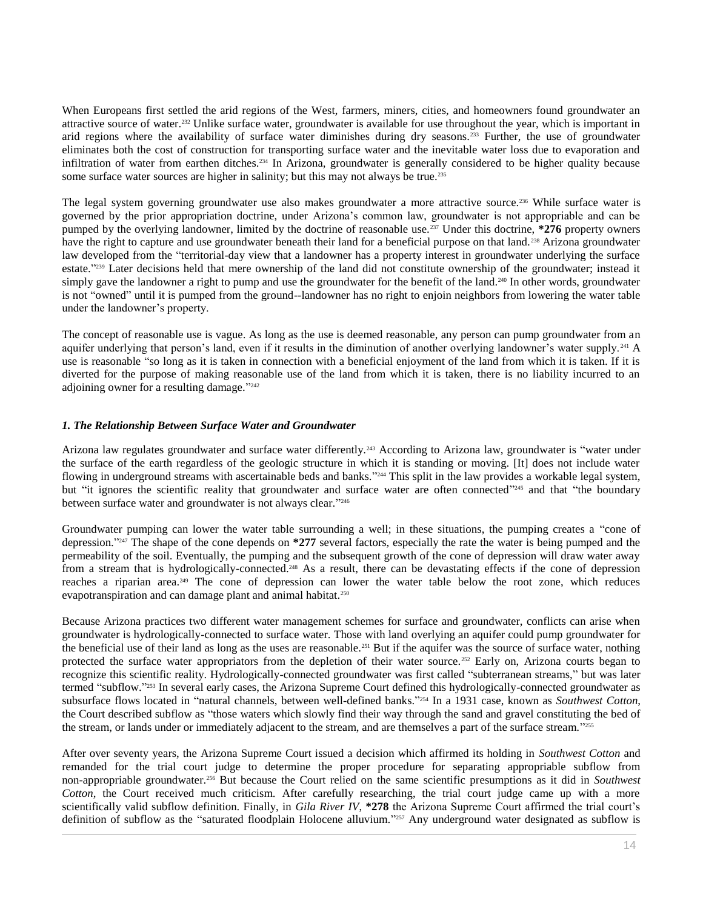When Europeans first settled the arid regions of the West, farmers, miners, cities, and homeowners found groundwater an attractive source of water.<sup>232</sup> Unlike surface water, groundwater is available for use throughout the year, which is important in arid regions where the availability of surface water diminishes during dry seasons.<sup>233</sup> Further, the use of groundwater eliminates both the cost of construction for transporting surface water and the inevitable water loss due to evaporation and infiltration of water from earthen ditches.<sup>234</sup> In Arizona, groundwater is generally considered to be higher quality because some surface water sources are higher in salinity; but this may not always be true.<sup>235</sup>

The legal system governing groundwater use also makes groundwater a more attractive source.<sup>236</sup> While surface water is governed by the prior appropriation doctrine, under Arizona's common law, groundwater is not appropriable and can be pumped by the overlying landowner, limited by the doctrine of reasonable use.<sup>237</sup> Under this doctrine, **\*276** property owners have the right to capture and use groundwater beneath their land for a beneficial purpose on that land.<sup>238</sup> Arizona groundwater law developed from the "territorial-day view that a landowner has a property interest in groundwater underlying the surface estate." <sup>239</sup> Later decisions held that mere ownership of the land did not constitute ownership of the groundwater; instead it simply gave the landowner a right to pump and use the groundwater for the benefit of the land.<sup>240</sup> In other words, groundwater is not "owned" until it is pumped from the ground--landowner has no right to enjoin neighbors from lowering the water table under the landowner's property.

The concept of reasonable use is vague. As long as the use is deemed reasonable, any person can pump groundwater from an aquifer underlying that person's land, even if it results in the diminution of another overlying landowner's water supply.<sup>241</sup> A use is reasonable "so long as it is taken in connection with a beneficial enjoyment of the land from which it is taken. If it is diverted for the purpose of making reasonable use of the land from which it is taken, there is no liability incurred to an adjoining owner for a resulting damage."<sup>242</sup>

## *1. The Relationship Between Surface Water and Groundwater*

Arizona law regulates groundwater and surface water differently.<sup>243</sup> According to Arizona law, groundwater is "water under the surface of the earth regardless of the geologic structure in which it is standing or moving. [It] does not include water flowing in underground streams with ascertainable beds and banks."<sup>244</sup> This split in the law provides a workable legal system, but "it ignores the scientific reality that groundwater and surface water are often connected"<sup>245</sup> and that "the boundary between surface water and groundwater is not always clear."246

Groundwater pumping can lower the water table surrounding a well; in these situations, the pumping creates a "cone of depression." <sup>247</sup> The shape of the cone depends on **\*277** several factors, especially the rate the water is being pumped and the permeability of the soil. Eventually, the pumping and the subsequent growth of the cone of depression will draw water away from a stream that is hydrologically-connected.<sup>248</sup> As a result, there can be devastating effects if the cone of depression reaches a riparian area.<sup>249</sup> The cone of depression can lower the water table below the root zone, which reduces evapotranspiration and can damage plant and animal habitat.<sup>250</sup>

Because Arizona practices two different water management schemes for surface and groundwater, conflicts can arise when groundwater is hydrologically-connected to surface water. Those with land overlying an aquifer could pump groundwater for the beneficial use of their land as long as the uses are reasonable.<sup>251</sup> But if the aquifer was the source of surface water, nothing protected the surface water appropriators from the depletion of their water source.<sup>252</sup> Early on, Arizona courts began to recognize this scientific reality. Hydrologically-connected groundwater was first called "subterranean streams," but was later termed "subflow." <sup>253</sup> In several early cases, the Arizona Supreme Court defined this hydrologically-connected groundwater as subsurface flows located in "natural channels, between well-defined banks." <sup>254</sup> In a 1931 case, known as *Southwest Cotton*, the Court described subflow as "those waters which slowly find their way through the sand and gravel constituting the bed of the stream, or lands under or immediately adjacent to the stream, and are themselves a part of the surface stream."<sup>2555</sup>

After over seventy years, the Arizona Supreme Court issued a decision which affirmed its holding in *Southwest Cotton* and remanded for the trial court judge to determine the proper procedure for separating appropriable subflow from non-appropriable groundwater.<sup>256</sup> But because the Court relied on the same scientific presumptions as it did in *Southwest Cotton*, the Court received much criticism. After carefully researching, the trial court judge came up with a more scientifically valid subflow definition. Finally, in *Gila River IV*, **\*278** the Arizona Supreme Court affirmed the trial court's definition of subflow as the "saturated floodplain Holocene alluvium." <sup>257</sup> Any underground water designated as subflow is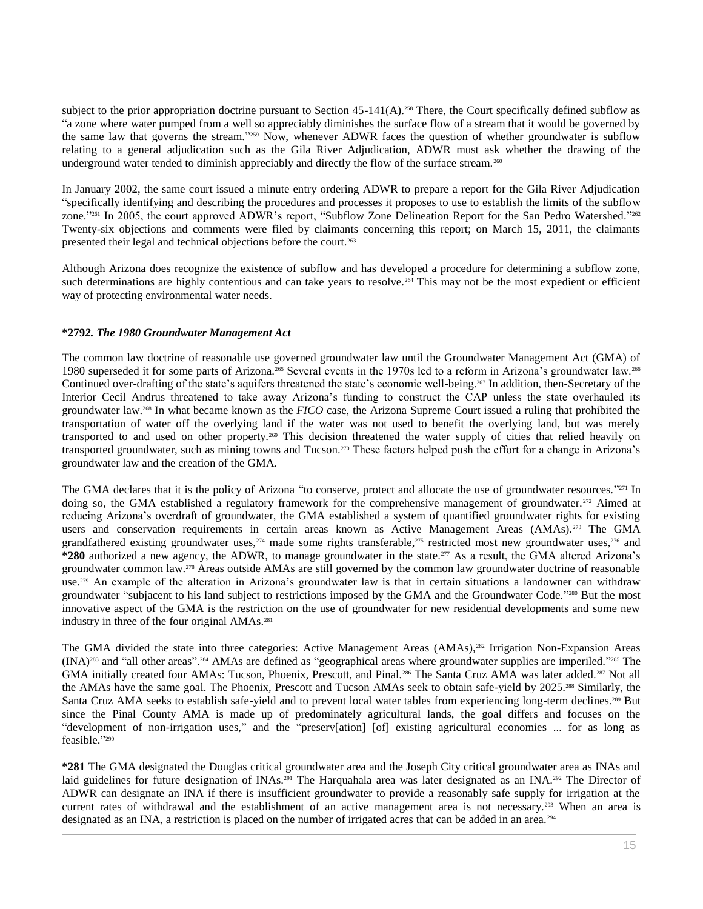subject to the prior appropriation doctrine pursuant to Section  $45-141(A)$ .<sup>258</sup> There, the Court specifically defined subflow as "a zone where water pumped from a well so appreciably diminishes the surface flow of a stream that it would be governed by the same law that governs the stream."<sup>259</sup> Now, whenever ADWR faces the question of whether groundwater is subflow relating to a general adjudication such as the Gila River Adjudication, ADWR must ask whether the drawing of the underground water tended to diminish appreciably and directly the flow of the surface stream.<sup>260</sup>

In January 2002, the same court issued a minute entry ordering ADWR to prepare a report for the Gila River Adjudication "specifically identifying and describing the procedures and processes it proposes to use to establish the limits of the subflow zone."<sup>261</sup> In 2005, the court approved ADWR's report, "Subflow Zone Delineation Report for the San Pedro Watershed."<sup>262</sup> Twenty-six objections and comments were filed by claimants concerning this report; on March 15, 2011, the claimants presented their legal and technical objections before the court.<sup>263</sup>

Although Arizona does recognize the existence of subflow and has developed a procedure for determining a subflow zone, such determinations are highly contentious and can take years to resolve.<sup>264</sup> This may not be the most expedient or efficient way of protecting environmental water needs.

## **\*279***2. The 1980 Groundwater Management Act*

The common law doctrine of reasonable use governed groundwater law until the Groundwater Management Act (GMA) of 1980 superseded it for some parts of Arizona.<sup>265</sup> Several events in the 1970s led to a reform in Arizona's groundwater law.<sup>266</sup> Continued over-drafting of the state's aquifers threatened the state's economic well-being.<sup>267</sup> In addition, then-Secretary of the Interior Cecil Andrus threatened to take away Arizona's funding to construct the CAP unless the state overhauled its groundwater law.<sup>268</sup> In what became known as the *FICO* case, the Arizona Supreme Court issued a ruling that prohibited the transportation of water off the overlying land if the water was not used to benefit the overlying land, but was merely transported to and used on other property.<sup>269</sup> This decision threatened the water supply of cities that relied heavily on transported groundwater, such as mining towns and Tucson.<sup>270</sup> These factors helped push the effort for a change in Arizona's groundwater law and the creation of the GMA.

The GMA declares that it is the policy of Arizona "to conserve, protect and allocate the use of groundwater resources."<sup>271</sup> In doing so, the GMA established a regulatory framework for the comprehensive management of groundwater.<sup>272</sup> Aimed at reducing Arizona's overdraft of groundwater, the GMA established a system of quantified groundwater rights for existing users and conservation requirements in certain areas known as Active Management Areas (AMAs).<sup>273</sup> The GMA grandfathered existing groundwater uses, $274$  made some rights transferable, $275$  restricted most new groundwater uses, $276$  and **\*280** authorized a new agency, the ADWR, to manage groundwater in the state.<sup>277</sup> As a result, the GMA altered Arizona's groundwater common law.<sup>278</sup> Areas outside AMAs are still governed by the common law groundwater doctrine of reasonable use.<sup>279</sup> An example of the alteration in Arizona's groundwater law is that in certain situations a landowner can withdraw groundwater "subjacent to his land subject to restrictions imposed by the GMA and the Groundwater Code."<sup>280</sup> But the most innovative aspect of the GMA is the restriction on the use of groundwater for new residential developments and some new industry in three of the four original AMAs.<sup>281</sup>

The GMA divided the state into three categories: Active Management Areas (AMAs),<sup>282</sup> Irrigation Non-Expansion Areas (INA)<sup>283</sup> and "all other areas". <sup>284</sup> AMAs are defined as "geographical areas where groundwater supplies are imperiled." <sup>285</sup> The GMA initially created four AMAs: Tucson, Phoenix, Prescott, and Pinal.<sup>286</sup> The Santa Cruz AMA was later added.<sup>287</sup> Not all the AMAs have the same goal. The Phoenix, Prescott and Tucson AMAs seek to obtain safe-yield by 2025.<sup>288</sup> Similarly, the Santa Cruz AMA seeks to establish safe-yield and to prevent local water tables from experiencing long-term declines.<sup>289</sup> But since the Pinal County AMA is made up of predominately agricultural lands, the goal differs and focuses on the "development of non-irrigation uses," and the "preserv[ation] [of] existing agricultural economies ... for as long as feasible." 290

**\*281** The GMA designated the Douglas critical groundwater area and the Joseph City critical groundwater area as INAs and laid guidelines for future designation of INAs.<sup>291</sup> The Harquahala area was later designated as an INA.<sup>292</sup> The Director of ADWR can designate an INA if there is insufficient groundwater to provide a reasonably safe supply for irrigation at the current rates of withdrawal and the establishment of an active management area is not necessary.<sup>293</sup> When an area is designated as an INA, a restriction is placed on the number of irrigated acres that can be added in an area.294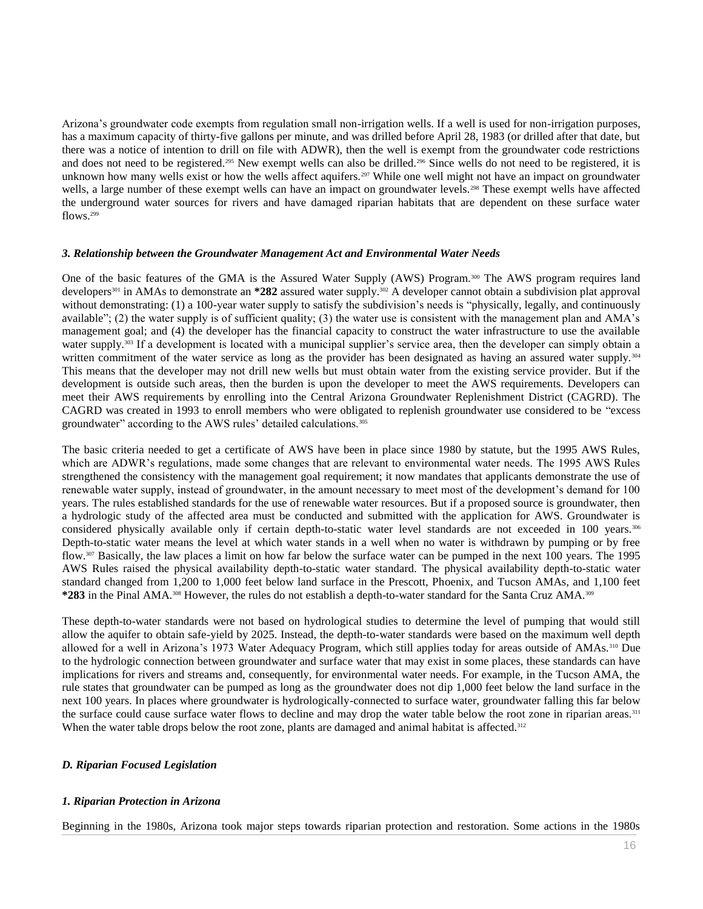Arizona's groundwater code exempts from regulation small non-irrigation wells. If a well is used for non-irrigation purposes, has a maximum capacity of thirty-five gallons per minute, and was drilled before April 28, 1983 (or drilled after that date, but there was a notice of intention to drill on file with ADWR), then the well is exempt from the groundwater code restrictions and does not need to be registered.<sup>295</sup> New exempt wells can also be drilled.<sup>296</sup> Since wells do not need to be registered, it is unknown how many wells exist or how the wells affect aquifers.<sup>297</sup> While one well might not have an impact on groundwater wells, a large number of these exempt wells can have an impact on groundwater levels.<sup>298</sup> These exempt wells have affected the underground water sources for rivers and have damaged riparian habitats that are dependent on these surface water flows.<sup>299</sup>

#### *3. Relationship between the Groundwater Management Act and Environmental Water Needs*

One of the basic features of the GMA is the Assured Water Supply (AWS) Program.<sup>300</sup> The AWS program requires land developers<sup>301</sup> in AMAs to demonstrate an \*282 assured water supply.<sup>302</sup> A developer cannot obtain a subdivision plat approval without demonstrating: (1) a 100-year water supply to satisfy the subdivision's needs is "physically, legally, and continuously available"; (2) the water supply is of sufficient quality; (3) the water use is consistent with the management plan and AMA's management goal; and (4) the developer has the financial capacity to construct the water infrastructure to use the available water supply.<sup>303</sup> If a development is located with a municipal supplier's service area, then the developer can simply obtain a written commitment of the water service as long as the provider has been designated as having an assured water supply.<sup>304</sup> This means that the developer may not drill new wells but must obtain water from the existing service provider. But if the development is outside such areas, then the burden is upon the developer to meet the AWS requirements. Developers can meet their AWS requirements by enrolling into the Central Arizona Groundwater Replenishment District (CAGRD). The CAGRD was created in 1993 to enroll members who were obligated to replenish groundwater use considered to be "excess groundwater" according to the AWS rules' detailed calculations.<sup>305</sup>

The basic criteria needed to get a certificate of AWS have been in place since 1980 by statute, but the 1995 AWS Rules, which are ADWR's regulations, made some changes that are relevant to environmental water needs. The 1995 AWS Rules strengthened the consistency with the management goal requirement; it now mandates that applicants demonstrate the use of renewable water supply, instead of groundwater, in the amount necessary to meet most of the development's demand for 100 years. The rules established standards for the use of renewable water resources. But if a proposed source is groundwater, then a hydrologic study of the affected area must be conducted and submitted with the application for AWS. Groundwater is considered physically available only if certain depth-to-static water level standards are not exceeded in 100 years.<sup>306</sup> Depth-to-static water means the level at which water stands in a well when no water is withdrawn by pumping or by free flow.<sup>307</sup> Basically, the law places a limit on how far below the surface water can be pumped in the next 100 years. The 1995 AWS Rules raised the physical availability depth-to-static water standard. The physical availability depth-to-static water standard changed from 1,200 to 1,000 feet below land surface in the Prescott, Phoenix, and Tucson AMAs, and 1,100 feet **\*283** in the Pinal AMA.<sup>308</sup> However, the rules do not establish a depth-to-water standard for the Santa Cruz AMA.<sup>309</sup>

These depth-to-water standards were not based on hydrological studies to determine the level of pumping that would still allow the aquifer to obtain safe-yield by 2025. Instead, the depth-to-water standards were based on the maximum well depth allowed for a well in Arizona's 1973 Water Adequacy Program, which still applies today for areas outside of AMAs.<sup>310</sup> Due to the hydrologic connection between groundwater and surface water that may exist in some places, these standards can have implications for rivers and streams and, consequently, for environmental water needs. For example, in the Tucson AMA, the rule states that groundwater can be pumped as long as the groundwater does not dip 1,000 feet below the land surface in the next 100 years. In places where groundwater is hydrologically-connected to surface water, groundwater falling this far below the surface could cause surface water flows to decline and may drop the water table below the root zone in riparian areas.<sup>311</sup> When the water table drops below the root zone, plants are damaged and animal habitat is affected.<sup>312</sup>

#### *D. Riparian Focused Legislation*

#### *1. Riparian Protection in Arizona*

Beginning in the 1980s, Arizona took major steps towards riparian protection and restoration. Some actions in the 1980s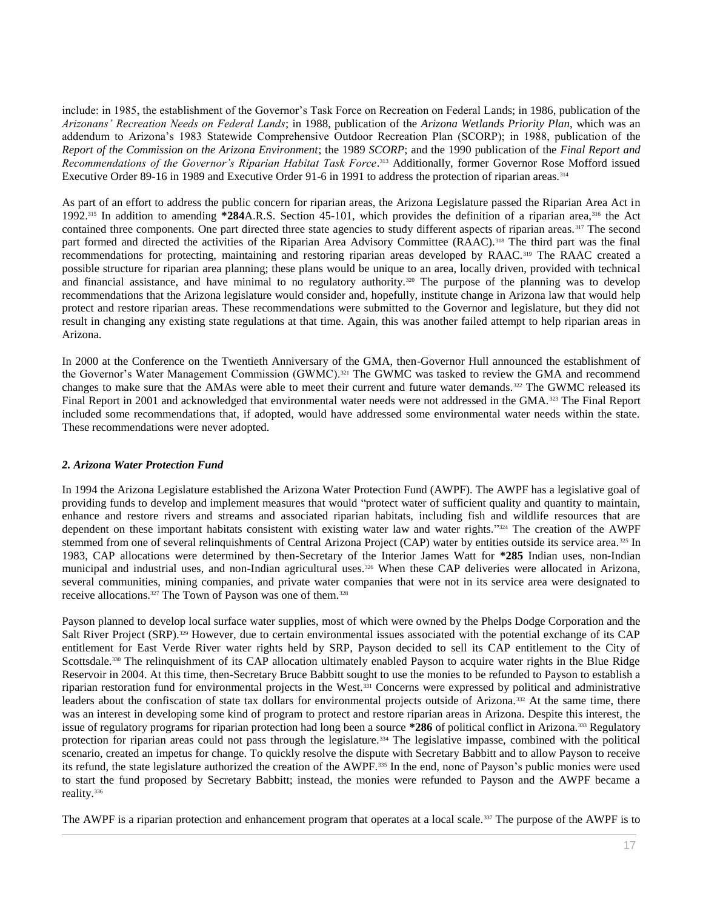include: in 1985, the establishment of the Governor's Task Force on Recreation on Federal Lands; in 1986, publication of the *Arizonans' Recreation Needs on Federal Lands*; in 1988, publication of the *Arizona Wetlands Priority Plan*, which was an addendum to Arizona's 1983 Statewide Comprehensive Outdoor Recreation Plan (SCORP); in 1988, publication of the *Report of the Commission on the Arizona Environment*; the 1989 *SCORP*; and the 1990 publication of the *Final Report and Recommendations of the Governor's Riparian Habitat Task Force*. <sup>313</sup> Additionally, former Governor Rose Mofford issued [Executive Order 89-16](http://www.westlaw.com/Link/Document/FullText?findType=Y&serNum=1941040673&pubNum=0001043&originatingDoc=I0ecc82a82df011e18b05fdf15589d8e8&refType=CA&originationContext=document&vr=3.0&rs=cblt1.0&transitionType=DocumentItem&contextData=(sc.Search)) in 1989 and [Executive Order 91-6](http://www.westlaw.com/Link/Document/FullText?findType=Y&pubNum=0001043&cite=EXECORDERNO91-6&originatingDoc=I0ecc82a82df011e18b05fdf15589d8e8&refType=CA&originationContext=document&vr=3.0&rs=cblt1.0&transitionType=DocumentItem&contextData=(sc.Search)) in 1991 to address the protection of riparian areas.<sup>314</sup>

As part of an effort to address the public concern for riparian areas, the Arizona Legislature passed the Riparian Area Act in 1992.<sup>315</sup> In addition to amending **\*284**[A.R.S. Section 45-101,](http://www.westlaw.com/Link/Document/FullText?findType=L&pubNum=1000251&cite=AZSTS45-101&originatingDoc=I0ecc82a82df011e18b05fdf15589d8e8&refType=LQ&originationContext=document&vr=3.0&rs=cblt1.0&transitionType=DocumentItem&contextData=(sc.Search)) which provides the definition of a riparian area,<sup>316</sup> the Act contained three components. One part directed three state agencies to study different aspects of riparian areas. <sup>317</sup> The second part formed and directed the activities of the Riparian Area Advisory Committee (RAAC).<sup>318</sup> The third part was the final recommendations for protecting, maintaining and restoring riparian areas developed by RAAC.<sup>319</sup> The RAAC created a possible structure for riparian area planning; these plans would be unique to an area, locally driven, provided with technical and financial assistance, and have minimal to no regulatory authority.<sup>320</sup> The purpose of the planning was to develop recommendations that the Arizona legislature would consider and, hopefully, institute change in Arizona law that would help protect and restore riparian areas. These recommendations were submitted to the Governor and legislature, but they did not result in changing any existing state regulations at that time. Again, this was another failed attempt to help riparian areas in Arizona.

In 2000 at the Conference on the Twentieth Anniversary of the GMA, then-Governor Hull announced the establishment of the Governor's Water Management Commission (GWMC).<sup>321</sup> The GWMC was tasked to review the GMA and recommend changes to make sure that the AMAs were able to meet their current and future water demands.<sup>322</sup> The GWMC released its Final Report in 2001 and acknowledged that environmental water needs were not addressed in the GMA.<sup>323</sup> The Final Report included some recommendations that, if adopted, would have addressed some environmental water needs within the state. These recommendations were never adopted.

# *2. Arizona Water Protection Fund*

In 1994 the Arizona Legislature established the Arizona Water Protection Fund (AWPF). The AWPF has a legislative goal of providing funds to develop and implement measures that would "protect water of sufficient quality and quantity to maintain, enhance and restore rivers and streams and associated riparian habitats, including fish and wildlife resources that are dependent on these important habitats consistent with existing water law and water rights." <sup>324</sup> The creation of the AWPF stemmed from one of several relinquishments of Central Arizona Project (CAP) water by entities outside its service area.<sup>325</sup> In 1983, CAP allocations were determined by then-Secretary of the Interior James Watt for **\*285** Indian uses, non-Indian municipal and industrial uses, and non-Indian agricultural uses.<sup>326</sup> When these CAP deliveries were allocated in Arizona, several communities, mining companies, and private water companies that were not in its service area were designated to receive allocations.<sup>327</sup> The Town of Payson was one of them.<sup>328</sup>

Payson planned to develop local surface water supplies, most of which were owned by the Phelps Dodge Corporation and the Salt River Project (SRP).<sup>329</sup> However, due to certain environmental issues associated with the potential exchange of its CAP entitlement for East Verde River water rights held by SRP, Payson decided to sell its CAP entitlement to the City of Scottsdale.<sup>330</sup> The relinquishment of its CAP allocation ultimately enabled Payson to acquire water rights in the Blue Ridge Reservoir in 2004. At this time, then-Secretary Bruce Babbitt sought to use the monies to be refunded to Payson to establish a riparian restoration fund for environmental projects in the West.<sup>331</sup> Concerns were expressed by political and administrative leaders about the confiscation of state tax dollars for environmental projects outside of Arizona.<sup>332</sup> At the same time, there was an interest in developing some kind of program to protect and restore riparian areas in Arizona. Despite this interest, the issue of regulatory programs for riparian protection had long been a source **\*286** of political conflict in Arizona.<sup>333</sup> Regulatory protection for riparian areas could not pass through the legislature.<sup>334</sup> The legislative impasse, combined with the political scenario, created an impetus for change. To quickly resolve the dispute with Secretary Babbitt and to allow Payson to receive its refund, the state legislature authorized the creation of the AWPF.<sup>335</sup> In the end, none of Payson's public monies were used to start the fund proposed by Secretary Babbitt; instead, the monies were refunded to Payson and the AWPF became a reality.<sup>336</sup>

The AWPF is a riparian protection and enhancement program that operates at a local scale.<sup>337</sup> The purpose of the AWPF is to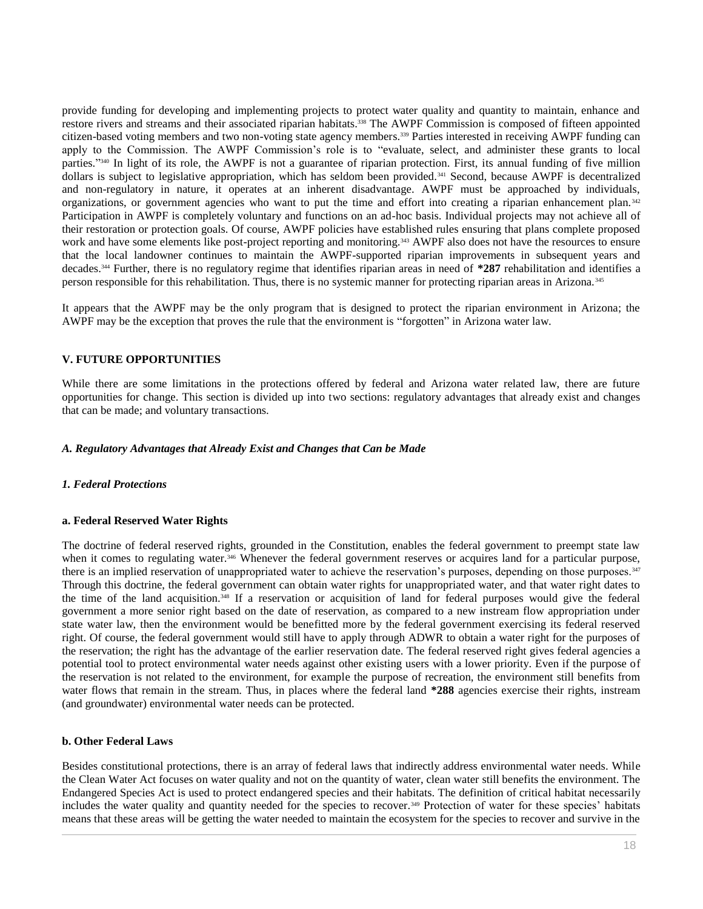provide funding for developing and implementing projects to protect water quality and quantity to maintain, enhance and restore rivers and streams and their associated riparian habitats.<sup>338</sup> The AWPF Commission is composed of fifteen appointed citizen-based voting members and two non-voting state agency members.<sup>339</sup> Parties interested in receiving AWPF funding can apply to the Commission. The AWPF Commission's role is to "evaluate, select, and administer these grants to local parties." <sup>340</sup> In light of its role, the AWPF is not a guarantee of riparian protection. First, its annual funding of five million dollars is subject to legislative appropriation, which has seldom been provided.<sup>341</sup> Second, because AWPF is decentralized and non-regulatory in nature, it operates at an inherent disadvantage. AWPF must be approached by individuals, organizations, or government agencies who want to put the time and effort into creating a riparian enhancement plan. <sup>342</sup> Participation in AWPF is completely voluntary and functions on an ad-hoc basis. Individual projects may not achieve all of their restoration or protection goals. Of course, AWPF policies have established rules ensuring that plans complete proposed work and have some elements like post-project reporting and monitoring.<sup>343</sup> AWPF also does not have the resources to ensure that the local landowner continues to maintain the AWPF-supported riparian improvements in subsequent years and decades.<sup>344</sup> Further, there is no regulatory regime that identifies riparian areas in need of **\*287** rehabilitation and identifies a person responsible for this rehabilitation. Thus, there is no systemic manner for protecting riparian areas in Arizona. <sup>345</sup>

It appears that the AWPF may be the only program that is designed to protect the riparian environment in Arizona; the AWPF may be the exception that proves the rule that the environment is "forgotten" in Arizona water law.

# **V. FUTURE OPPORTUNITIES**

While there are some limitations in the protections offered by federal and Arizona water related law, there are future opportunities for change. This section is divided up into two sections: regulatory advantages that already exist and changes that can be made; and voluntary transactions.

## *A. Regulatory Advantages that Already Exist and Changes that Can be Made*

# *1. Federal Protections*

# **a. Federal Reserved Water Rights**

The doctrine of federal reserved rights, grounded in the Constitution, enables the federal government to preempt state law when it comes to regulating water.<sup>346</sup> Whenever the federal government reserves or acquires land for a particular purpose, there is an implied reservation of unappropriated water to achieve the reservation's purposes, depending on those purposes.<sup>347</sup> Through this doctrine, the federal government can obtain water rights for unappropriated water, and that water right dates to the time of the land acquisition.<sup>348</sup> If a reservation or acquisition of land for federal purposes would give the federal government a more senior right based on the date of reservation, as compared to a new instream flow appropriation under state water law, then the environment would be benefitted more by the federal government exercising its federal reserved right. Of course, the federal government would still have to apply through ADWR to obtain a water right for the purposes of the reservation; the right has the advantage of the earlier reservation date. The federal reserved right gives federal agencies a potential tool to protect environmental water needs against other existing users with a lower priority. Even if the purpose of the reservation is not related to the environment, for example the purpose of recreation, the environment still benefits from water flows that remain in the stream. Thus, in places where the federal land **\*288** agencies exercise their rights, instream (and groundwater) environmental water needs can be protected.

#### **b. Other Federal Laws**

Besides constitutional protections, there is an array of federal laws that indirectly address environmental water needs. While the Clean Water Act focuses on water quality and not on the quantity of water, clean water still benefits the environment. The Endangered Species Act is used to protect endangered species and their habitats. The definition of critical habitat necessarily includes the water quality and quantity needed for the species to recover.<sup>349</sup> Protection of water for these species' habitats means that these areas will be getting the water needed to maintain the ecosystem for the species to recover and survive in the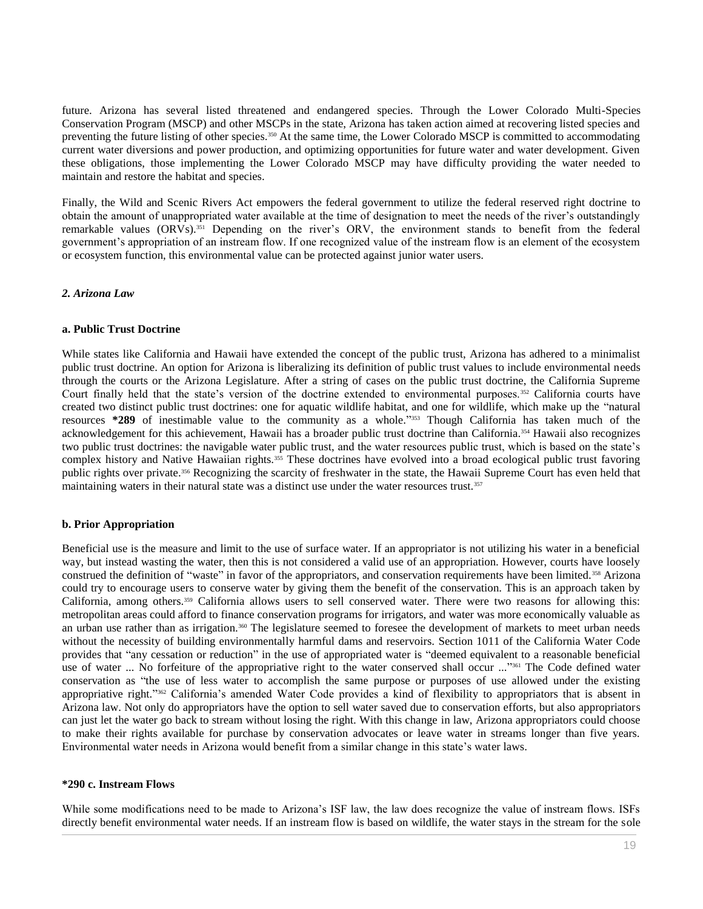future. Arizona has several listed threatened and endangered species. Through the Lower Colorado Multi-Species Conservation Program (MSCP) and other MSCPs in the state, Arizona has taken action aimed at recovering listed species and preventing the future listing of other species.<sup>350</sup> At the same time, the Lower Colorado MSCP is committed to accommodating current water diversions and power production, and optimizing opportunities for future water and water development. Given these obligations, those implementing the Lower Colorado MSCP may have difficulty providing the water needed to maintain and restore the habitat and species.

Finally, the Wild and Scenic Rivers Act empowers the federal government to utilize the federal reserved right doctrine to obtain the amount of unappropriated water available at the time of designation to meet the needs of the river's outstandingly remarkable values (ORVs).<sup>351</sup> Depending on the river's ORV, the environment stands to benefit from the federal government's appropriation of an instream flow. If one recognized value of the instream flow is an element of the ecosystem or ecosystem function, this environmental value can be protected against junior water users.

#### *2. Arizona Law*

#### **a. Public Trust Doctrine**

While states like California and Hawaii have extended the concept of the public trust, Arizona has adhered to a minimalist public trust doctrine. An option for Arizona is liberalizing its definition of public trust values to include environmental needs through the courts or the Arizona Legislature. After a string of cases on the public trust doctrine, the California Supreme Court finally held that the state's version of the doctrine extended to environmental purposes.<sup>352</sup> California courts have created two distinct public trust doctrines: one for aquatic wildlife habitat, and one for wildlife, which make up the "natural resources **\*289** of inestimable value to the community as a whole." <sup>353</sup> Though California has taken much of the acknowledgement for this achievement, Hawaii has a broader public trust doctrine than California.<sup>354</sup> Hawaii also recognizes two public trust doctrines: the navigable water public trust, and the water resources public trust, which is based on the state's complex history and Native Hawaiian rights.<sup>355</sup> These doctrines have evolved into a broad ecological public trust favoring public rights over private.<sup>356</sup> Recognizing the scarcity of freshwater in the state, the Hawaii Supreme Court has even held that maintaining waters in their natural state was a distinct use under the water resources trust.<sup>357</sup>

# **b. Prior Appropriation**

Beneficial use is the measure and limit to the use of surface water. If an appropriator is not utilizing his water in a beneficial way, but instead wasting the water, then this is not considered a valid use of an appropriation. However, courts have loosely construed the definition of "waste" in favor of the appropriators, and conservation requirements have been limited.<sup>358</sup> Arizona could try to encourage users to conserve water by giving them the benefit of the conservation. This is an approach taken by California, among others.<sup>359</sup> California allows users to sell conserved water. There were two reasons for allowing this: metropolitan areas could afford to finance conservation programs for irrigators, and water was more economically valuable as an urban use rather than as irrigation.<sup>360</sup> The legislature seemed to foresee the development of markets to meet urban needs without the necessity of building environmentally harmful dams and reservoirs. [Section 1011 of the California Water Code](http://www.westlaw.com/Link/Document/FullText?findType=L&pubNum=1000226&cite=CAWAS1011&originatingDoc=I0ecc82a82df011e18b05fdf15589d8e8&refType=LQ&originationContext=document&vr=3.0&rs=cblt1.0&transitionType=DocumentItem&contextData=(sc.Search)) provides that "any cessation or reduction" in the use of appropriated water is "deemed equivalent to a reasonable beneficial use of water ... No forfeiture of the appropriative right to the water conserved shall occur ..."<sup>361</sup> The Code defined water conservation as "the use of less water to accomplish the same purpose or purposes of use allowed under the existing appropriative right." <sup>362</sup> California's amended Water Code provides a kind of flexibility to appropriators that is absent in Arizona law. Not only do appropriators have the option to sell water saved due to conservation efforts, but also appropriators can just let the water go back to stream without losing the right. With this change in law, Arizona appropriators could choose to make their rights available for purchase by conservation advocates or leave water in streams longer than five years. Environmental water needs in Arizona would benefit from a similar change in this state's water laws.

#### **\*290 c. Instream Flows**

While some modifications need to be made to Arizona's ISF law, the law does recognize the value of instream flows. ISFs directly benefit environmental water needs. If an instream flow is based on wildlife, the water stays in the stream for the sole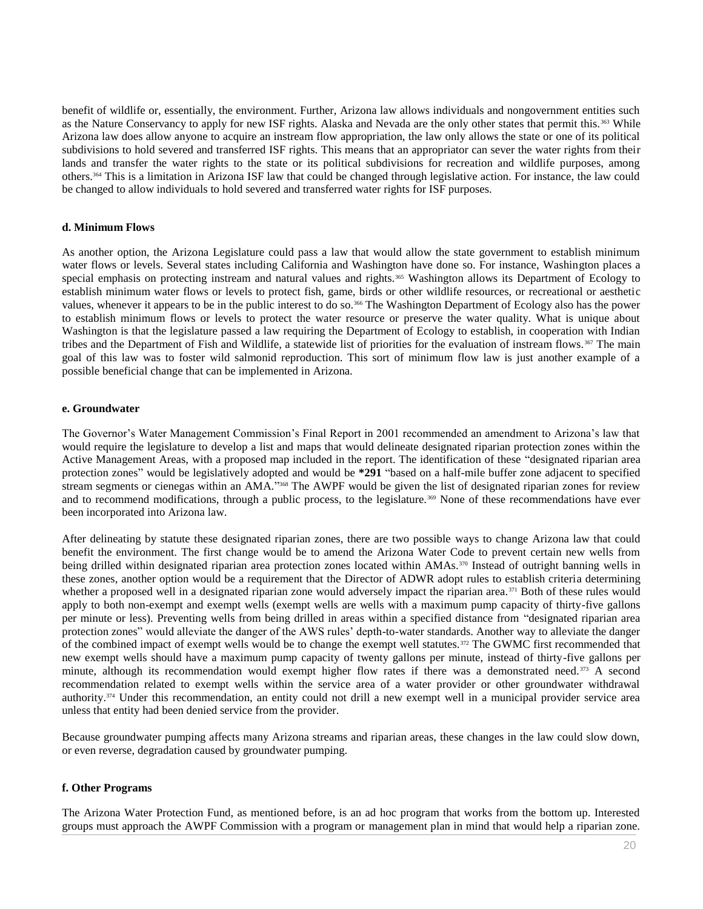benefit of wildlife or, essentially, the environment. Further, Arizona law allows individuals and nongovernment entities such as the Nature Conservancy to apply for new ISF rights. Alaska and Nevada are the only other states that permit this. <sup>363</sup> While Arizona law does allow anyone to acquire an instream flow appropriation, the law only allows the state or one of its political subdivisions to hold severed and transferred ISF rights. This means that an appropriator can sever the water rights from their lands and transfer the water rights to the state or its political subdivisions for recreation and wildlife purposes, among others.<sup>364</sup> This is a limitation in Arizona ISF law that could be changed through legislative action. For instance, the law could be changed to allow individuals to hold severed and transferred water rights for ISF purposes.

#### **d. Minimum Flows**

As another option, the Arizona Legislature could pass a law that would allow the state government to establish minimum water flows or levels. Several states including California and Washington have done so. For instance, Washington places a special emphasis on protecting instream and natural values and rights.<sup>365</sup> Washington allows its Department of Ecology to establish minimum water flows or levels to protect fish, game, birds or other wildlife resources, or recreational or aesthetic values, whenever it appears to be in the public interest to do so.<sup>366</sup> The Washington Department of Ecology also has the power to establish minimum flows or levels to protect the water resource or preserve the water quality. What is unique about Washington is that the legislature passed a law requiring the Department of Ecology to establish, in cooperation with Indian tribes and the Department of Fish and Wildlife, a statewide list of priorities for the evaluation of instream flows. 367 The main goal of this law was to foster wild salmonid reproduction. This sort of minimum flow law is just another example of a possible beneficial change that can be implemented in Arizona.

## **e. Groundwater**

The Governor's Water Management Commission's Final Report in 2001 recommended an amendment to Arizona's law that would require the legislature to develop a list and maps that would delineate designated riparian protection zones within the Active Management Areas, with a proposed map included in the report. The identification of these "designated riparian area protection zones" would be legislatively adopted and would be **\*291** "based on a half-mile buffer zone adjacent to specified stream segments or cienegas within an AMA."<sup>368</sup> The AWPF would be given the list of designated riparian zones for review and to recommend modifications, through a public process, to the legislature.<sup>369</sup> None of these recommendations have ever been incorporated into Arizona law.

After delineating by statute these designated riparian zones, there are two possible ways to change Arizona law that could benefit the environment. The first change would be to amend the Arizona Water Code to prevent certain new wells from being drilled within designated riparian area protection zones located within AMAs.<sup>370</sup> Instead of outright banning wells in these zones, another option would be a requirement that the Director of ADWR adopt rules to establish criteria determining whether a proposed well in a designated riparian zone would adversely impact the riparian area.<sup>371</sup> Both of these rules would apply to both non-exempt and exempt wells (exempt wells are wells with a maximum pump capacity of thirty-five gallons per minute or less). Preventing wells from being drilled in areas within a specified distance from "designated riparian area protection zones" would alleviate the danger of the AWS rules' depth-to-water standards. Another way to alleviate the danger of the combined impact of exempt wells would be to change the exempt well statutes.<sup>372</sup> The GWMC first recommended that new exempt wells should have a maximum pump capacity of twenty gallons per minute, instead of thirty-five gallons per minute, although its recommendation would exempt higher flow rates if there was a demonstrated need.<sup>373</sup> A second recommendation related to exempt wells within the service area of a water provider or other groundwater withdrawal authority. <sup>374</sup> Under this recommendation, an entity could not drill a new exempt well in a municipal provider service area unless that entity had been denied service from the provider.

Because groundwater pumping affects many Arizona streams and riparian areas, these changes in the law could slow down, or even reverse, degradation caused by groundwater pumping.

# **f. Other Programs**

The Arizona Water Protection Fund, as mentioned before, is an ad hoc program that works from the bottom up. Interested groups must approach the AWPF Commission with a program or management plan in mind that would help a riparian zone.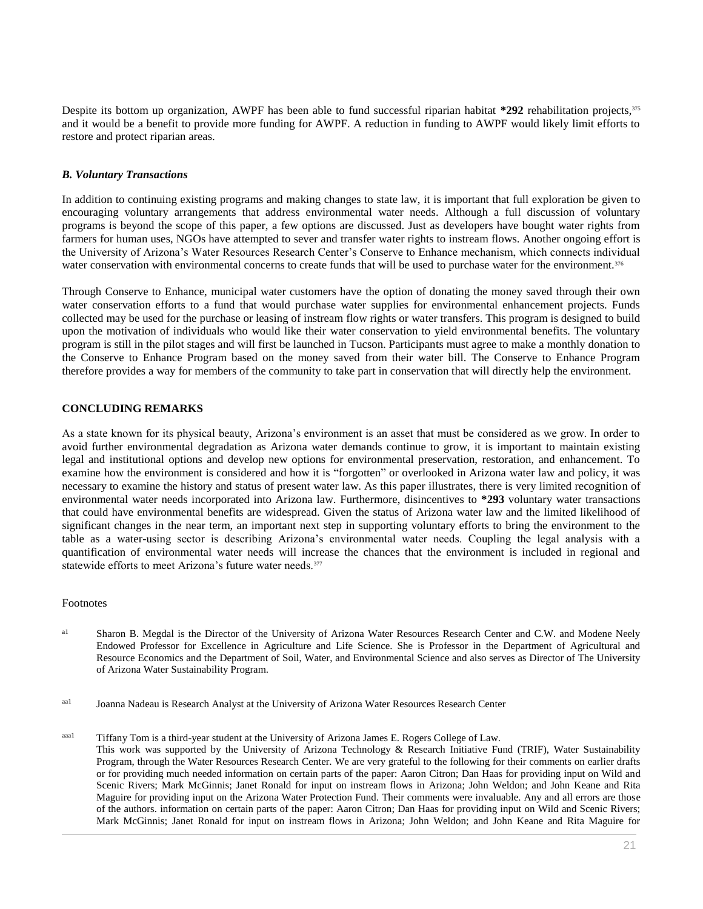Despite its bottom up organization, AWPF has been able to fund successful riparian habitat **\*292** rehabilitation projects,<sup>375</sup> and it would be a benefit to provide more funding for AWPF. A reduction in funding to AWPF would likely limit efforts to restore and protect riparian areas.

#### *B. Voluntary Transactions*

In addition to continuing existing programs and making changes to state law, it is important that full exploration be given to encouraging voluntary arrangements that address environmental water needs. Although a full discussion of voluntary programs is beyond the scope of this paper, a few options are discussed. Just as developers have bought water rights from farmers for human uses, NGOs have attempted to sever and transfer water rights to instream flows. Another ongoing effort is the University of Arizona's Water Resources Research Center's Conserve to Enhance mechanism, which connects individual water conservation with environmental concerns to create funds that will be used to purchase water for the environment.<sup>376</sup>

Through Conserve to Enhance, municipal water customers have the option of donating the money saved through their own water conservation efforts to a fund that would purchase water supplies for environmental enhancement projects. Funds collected may be used for the purchase or leasing of instream flow rights or water transfers. This program is designed to build upon the motivation of individuals who would like their water conservation to yield environmental benefits. The voluntary program is still in the pilot stages and will first be launched in Tucson. Participants must agree to make a monthly donation to the Conserve to Enhance Program based on the money saved from their water bill. The Conserve to Enhance Program therefore provides a way for members of the community to take part in conservation that will directly help the environment.

## **CONCLUDING REMARKS**

As a state known for its physical beauty, Arizona's environment is an asset that must be considered as we grow. In order to avoid further environmental degradation as Arizona water demands continue to grow, it is important to maintain existing legal and institutional options and develop new options for environmental preservation, restoration, and enhancement. To examine how the environment is considered and how it is "forgotten" or overlooked in Arizona water law and policy, it was necessary to examine the history and status of present water law. As this paper illustrates, there is very limited recognition of environmental water needs incorporated into Arizona law. Furthermore, disincentives to **\*293** voluntary water transactions that could have environmental benefits are widespread. Given the status of Arizona water law and the limited likelihood of significant changes in the near term, an important next step in supporting voluntary efforts to bring the environment to the table as a water-using sector is describing Arizona's environmental water needs. Coupling the legal analysis with a quantification of environmental water needs will increase the chances that the environment is included in regional and statewide efforts to meet Arizona's future water needs.<sup>377</sup>

#### Footnotes

- a<sup>1</sup> Sharon B. Megdal is the Director of the University of Arizona Water Resources Research Center and C.W. and Modene Neely Endowed Professor for Excellence in Agriculture and Life Science. She is Professor in the Department of Agricultural and Resource Economics and the Department of Soil, Water, and Environmental Science and also serves as Director of The University of Arizona Water Sustainability Program.
- aa1 Joanna Nadeau is Research Analyst at the University of Arizona Water Resources Research Center
- aaa1 Tiffany Tom is a third-year student at the University of Arizona James E. Rogers College of Law. This work was supported by the University of Arizona Technology & Research Initiative Fund (TRIF), Water Sustainability Program, through the Water Resources Research Center. We are very grateful to the following for their comments on earlier drafts or for providing much needed information on certain parts of the paper: Aaron Citron; Dan Haas for providing input on Wild and Scenic Rivers; Mark McGinnis; Janet Ronald for input on instream flows in Arizona; John Weldon; and John Keane and Rita Maguire for providing input on the Arizona Water Protection Fund. Their comments were invaluable. Any and all errors are those of the authors. information on certain parts of the paper: Aaron Citron; Dan Haas for providing input on Wild and Scenic Rivers; Mark McGinnis; Janet Ronald for input on instream flows in Arizona; John Weldon; and John Keane and Rita Maguire for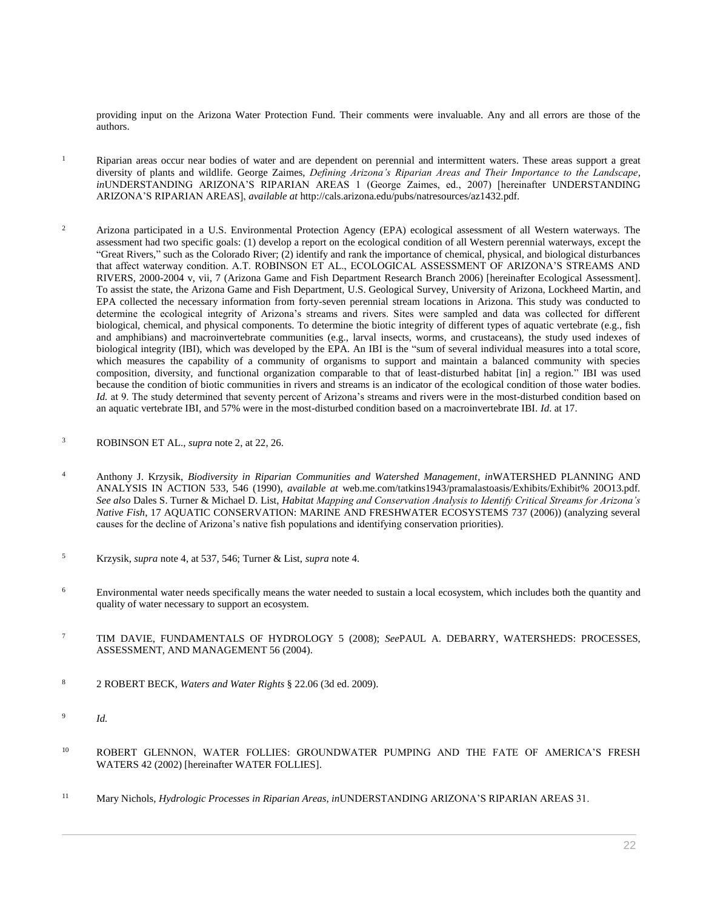providing input on the Arizona Water Protection Fund. Their comments were invaluable. Any and all errors are those of the authors.

- <sup>1</sup> Riparian areas occur near bodies of water and are dependent on perennial and intermittent waters. These areas support a great diversity of plants and wildlife. George Zaimes, *Defining Arizona's Riparian Areas and Their Importance to the Landscape*, *in*UNDERSTANDING ARIZONA'S RIPARIAN AREAS 1 (George Zaimes, ed., 2007) [hereinafter UNDERSTANDING ARIZONA'S RIPARIAN AREAS], *available at* http://cals.arizona.edu/pubs/natresources/az1432.pdf.
- <sup>2</sup> Arizona participated in a U.S. Environmental Protection Agency (EPA) ecological assessment of all Western waterways. The assessment had two specific goals: (1) develop a report on the ecological condition of all Western perennial waterways, except the "Great Rivers," such as the Colorado River; (2) identify and rank the importance of chemical, physical, and biological disturbances that affect waterway condition. A.T. ROBINSON ET AL., ECOLOGICAL ASSESSMENT OF ARIZONA'S STREAMS AND RIVERS, 2000-2004 v, vii, 7 (Arizona Game and Fish Department Research Branch 2006) [hereinafter Ecological Assessment]. To assist the state, the Arizona Game and Fish Department, U.S. Geological Survey, University of Arizona, Lockheed Martin, and EPA collected the necessary information from forty-seven perennial stream locations in Arizona. This study was conducted to determine the ecological integrity of Arizona's streams and rivers. Sites were sampled and data was collected for different biological, chemical, and physical components. To determine the biotic integrity of different types of aquatic vertebrate (e.g., fish and amphibians) and macroinvertebrate communities (e.g., larval insects, worms, and crustaceans), the study used indexes of biological integrity (IBI), which was developed by the EPA. An IBI is the "sum of several individual measures into a total score, which measures the capability of a community of organisms to support and maintain a balanced community with species composition, diversity, and functional organization comparable to that of least-disturbed habitat [in] a region." IBI was used because the condition of biotic communities in rivers and streams is an indicator of the ecological condition of those water bodies. *Id.* at 9. The study determined that seventy percent of Arizona's streams and rivers were in the most-disturbed condition based on an aquatic vertebrate IBI, and 57% were in the most-disturbed condition based on a macroinvertebrate IBI. *Id.* at 17.
- <sup>3</sup> ROBINSON ET AL., *supra* note 2, at 22, 26.
- <sup>4</sup> Anthony J. Krzysik, *Biodiversity in Riparian Communities and Watershed Management*, *in*WATERSHED PLANNING AND ANALYSIS IN ACTION 533, 546 (1990), *available at* web.me.com/tatkins1943/pramalastoasis/Exhibits/Exhibit% 20O13.pdf. *See also* Dales S. Turner & Michael D. List, *Habitat Mapping and Conservation Analysis to Identify Critical Streams for Arizona's Native Fish*, 17 AQUATIC CONSERVATION: MARINE AND FRESHWATER ECOSYSTEMS 737 (2006)) (analyzing several causes for the decline of Arizona's native fish populations and identifying conservation priorities).
- <sup>5</sup> Krzysik, *supra* note 4, at 537, 546; Turner & List, *supra* note 4.
- <sup>6</sup> Environmental water needs specifically means the water needed to sustain a local ecosystem, which includes both the quantity and quality of water necessary to support an ecosystem.
- <sup>7</sup> TIM DAVIE, FUNDAMENTALS OF HYDROLOGY 5 (2008); *See*PAUL A. DEBARRY, WATERSHEDS: PROCESSES, ASSESSMENT, AND MANAGEMENT 56 (2004).
- <sup>8</sup> 2 ROBERT BECK, *Waters and Water Rights* § 22.06 (3d ed. 2009).
- 9 *Id.*
- <sup>10</sup> ROBERT GLENNON, WATER FOLLIES: GROUNDWATER PUMPING AND THE FATE OF AMERICA'S FRESH WATERS 42 (2002) [hereinafter WATER FOLLIES].
- <sup>11</sup> Mary Nichols, *Hydrologic Processes in Riparian Areas*, *in*UNDERSTANDING ARIZONA'S RIPARIAN AREAS 31.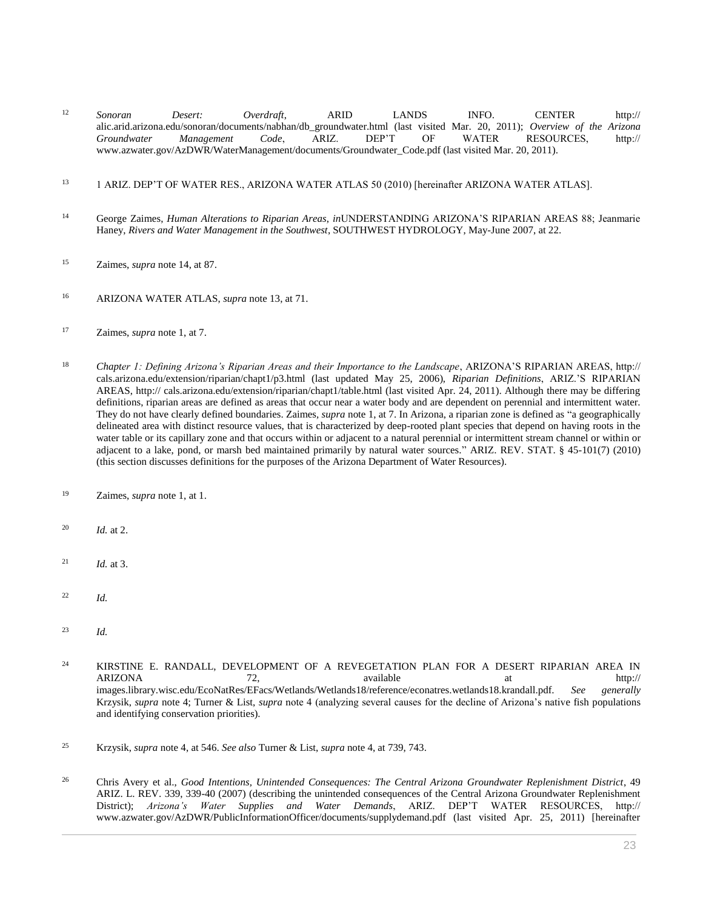- <sup>12</sup> *Sonoran Desert: Overdraft*, ARID LANDS INFO. CENTER http:// alic.arid.arizona.edu/sonoran/documents/nabhan/db\_groundwater.html (last visited Mar. 20, 2011); *Overview of the Arizona Groundwater Management Code*, ARIZ. DEP'T OF WATER RESOURCES, http:// www.azwater.gov/AzDWR/WaterManagement/documents/Groundwater\_Code.pdf (last visited Mar. 20, 2011).
- <sup>13</sup> 1 ARIZ. DEP'T OF WATER RES., ARIZONA WATER ATLAS 50 (2010) [hereinafter ARIZONA WATER ATLAS].
- <sup>14</sup> George Zaimes, *Human Alterations to Riparian Areas*, *in*UNDERSTANDING ARIZONA'S RIPARIAN AREAS 88; Jeanmarie Haney, *Rivers and Water Management in the Southwest*, SOUTHWEST HYDROLOGY, May-June 2007, at 22.
- <sup>15</sup> Zaimes, *supra* note 14, at 87.
- <sup>16</sup> ARIZONA WATER ATLAS, *supra* note 13, at 71.
- <sup>17</sup> Zaimes, *supra* note 1, at 7.
- <sup>18</sup> *Chapter 1: Defining Arizona's Riparian Areas and their Importance to the Landscape*, ARIZONA'S RIPARIAN AREAS, http:// cals.arizona.edu/extension/riparian/chapt1/p3.html (last updated May 25, 2006), *Riparian Definitions*, ARIZ.'S RIPARIAN AREAS, http:// cals.arizona.edu/extension/riparian/chapt1/table.html (last visited Apr. 24, 2011). Although there may be differing definitions, riparian areas are defined as areas that occur near a water body and are dependent on perennial and intermittent water. They do not have clearly defined boundaries. Zaimes*, supra* note 1, at 7. In Arizona, a riparian zone is defined as "a geographically delineated area with distinct resource values, that is characterized by deep-rooted plant species that depend on having roots in the water table or its capillary zone and that occurs within or adjacent to a natural perennial or intermittent stream channel or within or adjacent to a lake, pond, or marsh bed maintained primarily by natural water sources." [ARIZ. REV. STAT. § 45-101\(7\)](http://www.westlaw.com/Link/Document/FullText?findType=L&pubNum=1000251&cite=AZSTS45-101&originatingDoc=I0ecc82a82df011e18b05fdf15589d8e8&refType=LQ&originationContext=document&vr=3.0&rs=cblt1.0&transitionType=DocumentItem&contextData=(sc.Search)) (2010) (this section discusses definitions for the purposes of the Arizona Department of Water Resources).
- <sup>19</sup> Zaimes, *supra* note 1, at 1.
- <sup>20</sup> *Id.* at 2.
- <sup>21</sup> *Id.* at 3.
- <sup>22</sup> *Id.*
- <sup>23</sup> *Id.*

<sup>24</sup> KIRSTINE E. RANDALL, DEVELOPMENT OF A REVEGETATION PLAN FOR A DESERT RIPARIAN AREA IN ARIZONA 72, available at http:// images.library.wisc.edu/EcoNatRes/EFacs/Wetlands/Wetlands18/reference/econatres.wetlands18.krandall.pdf. *See generally* Krzysik, *supra* note 4; Turner & List, *supra* note 4 (analyzing several causes for the decline of Arizona's native fish populations and identifying conservation priorities).

- <sup>25</sup> Krzysik, *supra* note 4, at 546. *See also* Turner & List, *supra* note 4, at 739, 743.
- <sup>26</sup> Chris Avery et al., *[Good Intentions, Unintended Consequences: The Central Arizona Groundwater Replenishment District](http://www.westlaw.com/Link/Document/FullText?findType=Y&serNum=0332237052&pubNum=0001093&originatingDoc=I0ecc82a82df011e18b05fdf15589d8e8&refType=LR&originationContext=document&vr=3.0&rs=cblt1.0&transitionType=DocumentItem&contextData=(sc.Search))*, 49 [ARIZ. L. REV. 339, 339-40 \(2007\)](http://www.westlaw.com/Link/Document/FullText?findType=Y&serNum=0332237052&pubNum=0001093&originatingDoc=I0ecc82a82df011e18b05fdf15589d8e8&refType=LR&originationContext=document&vr=3.0&rs=cblt1.0&transitionType=DocumentItem&contextData=(sc.Search)) (describing the unintended consequences of the Central Arizona Groundwater Replenishment District); *Arizona's Water Supplies and Water Demands*, ARIZ. DEP'T WATER RESOURCES, http:// www.azwater.gov/AzDWR/PublicInformationOfficer/documents/supplydemand.pdf (last visited Apr. 25, 2011) [hereinafter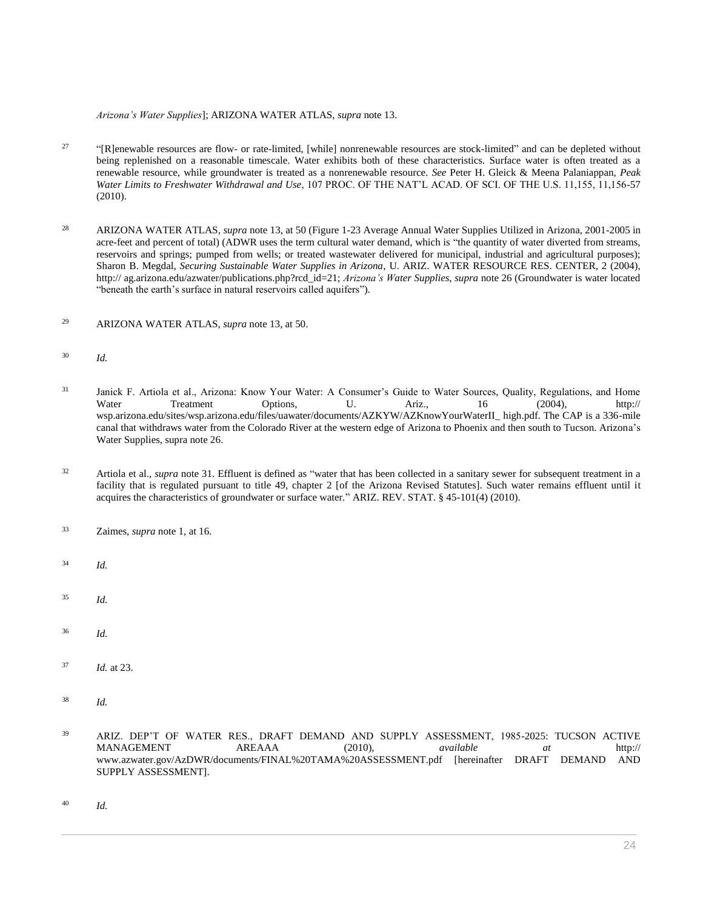*Arizona's Water Supplies*]; ARIZONA WATER ATLAS, *supra* note 13.

- $27$ "[R]enewable resources are flow- or rate-limited, [while] nonrenewable resources are stock-limited" and can be depleted without being replenished on a reasonable timescale. Water exhibits both of these characteristics. Surface water is often treated as a renewable resource, while groundwater is treated as a nonrenewable resource. *See* Peter H. Gleick & Meena Palaniappan, *Peak Water Limits to Freshwater Withdrawal and Use*, 107 PROC. OF THE NAT'L ACAD. OF SCI. OF THE U.S. 11,155, 11,156-57 (2010).
- <sup>28</sup> ARIZONA WATER ATLAS, *supra* note 13, at 50 (Figure 1-23 Average Annual Water Supplies Utilized in Arizona, 2001-2005 in acre-feet and percent of total) (ADWR uses the term cultural water demand, which is "the quantity of water diverted from streams, reservoirs and springs; pumped from wells; or treated wastewater delivered for municipal, industrial and agricultural purposes); Sharon B. Megdal, *Securing Sustainable Water Supplies in Arizona*, U. ARIZ. WATER RESOURCE RES. CENTER, 2 (2004), http:// ag.arizona.edu/azwater/publications.php?rcd\_id=21; *Arizona's Water Supplies*, *supra* note 26 (Groundwater is water located "beneath the earth's surface in natural reservoirs called aquifers").
- <sup>29</sup> ARIZONA WATER ATLAS, *supra* note 13, at 50.
- <sup>30</sup> *Id.*
- <sup>31</sup> Janick F. Artiola et al., Arizona: Know Your Water: A Consumer's Guide to Water Sources, Quality, Regulations, and Home Water Treatment Options, U. Ariz., 16 (2004), http:// wsp.arizona.edu/sites/wsp.arizona.edu/files/uawater/documents/AZKYW/AZKnowYourWaterII\_ high.pdf. The CAP is a 336-mile canal that withdraws water from the Colorado River at the western edge of Arizona to Phoenix and then south to Tucson. Arizona's Water Supplies, supra note 26.
- <sup>32</sup> Artiola et al., *supra* note 31. Effluent is defined as "water that has been collected in a sanitary sewer for subsequent treatment in a facility that is regulated pursuant to title 49, chapter 2 [of the Arizona Revised Statutes]. Such water remains effluent until it acquires the characteristics of groundwater or surface water." [ARIZ. REV. STAT. § 45-101\(4\)](http://www.westlaw.com/Link/Document/FullText?findType=L&pubNum=1000251&cite=AZSTS45-101&originatingDoc=I0ecc82a82df011e18b05fdf15589d8e8&refType=LQ&originationContext=document&vr=3.0&rs=cblt1.0&transitionType=DocumentItem&contextData=(sc.Search)) (2010).
- <sup>33</sup> Zaimes, *supra* note 1, at 16.
- <sup>34</sup> *Id.*
- <sup>35</sup> *Id.*
- <sup>36</sup> *Id.*
- <sup>37</sup> *Id.* at 23.
- <sup>38</sup> *Id.*
- <sup>39</sup> ARIZ. DEP'T OF WATER RES., DRAFT DEMAND AND SUPPLY ASSESSMENT, 1985-2025: TUCSON ACTIVE MANAGEMENT AREAAA (2010), *available at* http:// www.azwater.gov/AzDWR/documents/FINAL%20TAMA%20ASSESSMENT.pdf [hereinafter DRAFT DEMAND AND SUPPLY ASSESSMENT].
- <sup>40</sup> *Id.*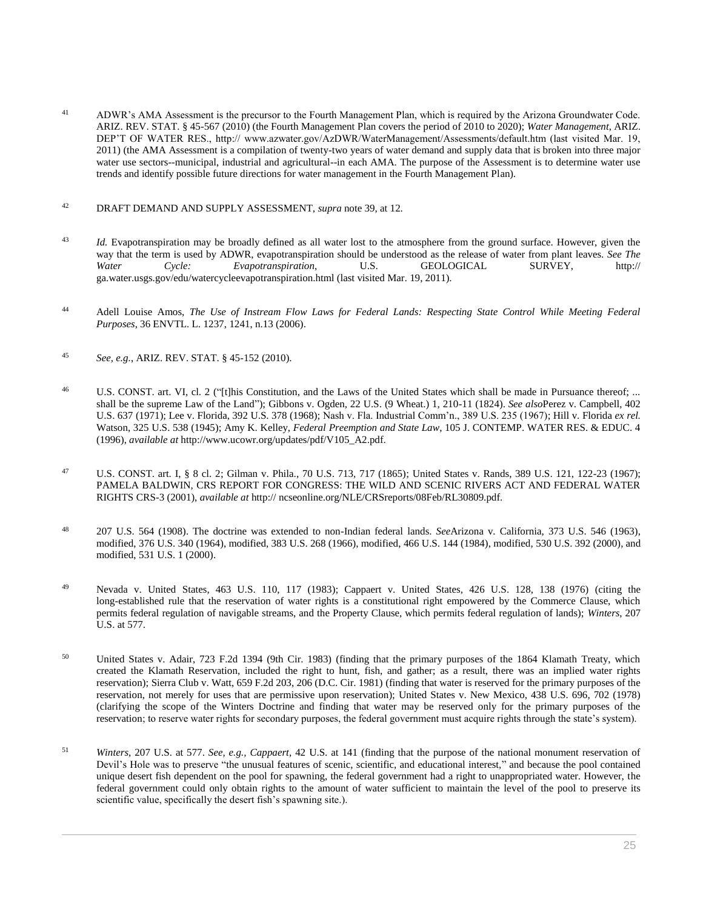<sup>41</sup> ADWR's AMA Assessment is the precursor to the Fourth Management Plan, which is required by the Arizona Groundwater Code. [ARIZ. REV. STAT. § 45-567](http://www.westlaw.com/Link/Document/FullText?findType=L&pubNum=1000251&cite=AZSTS45-567&originatingDoc=I0ecc82a82df011e18b05fdf15589d8e8&refType=LQ&originationContext=document&vr=3.0&rs=cblt1.0&transitionType=DocumentItem&contextData=(sc.Search)) (2010) (the Fourth Management Plan covers the period of 2010 to 2020); *Water Management*, ARIZ. DEP'T OF WATER RES., http:// www.azwater.gov/AzDWR/WaterManagement/Assessments/default.htm (last visited Mar. 19, 2011) (the AMA Assessment is a compilation of twenty-two years of water demand and supply data that is broken into three major water use sectors--municipal, industrial and agricultural--in each AMA. The purpose of the Assessment is to determine water use trends and identify possible future directions for water management in the Fourth Management Plan).

# <sup>42</sup> DRAFT DEMAND AND SUPPLY ASSESSMENT, *supra* note 39, at 12.

- <sup>43</sup> *Id.* Evapotranspiration may be broadly defined as all water lost to the atmosphere from the ground surface. However, given the way that the term is used by ADWR, evapotranspiration should be understood as the release of water from plant leaves. *See The Water Cycle: Evapotranspiration*, U.S. GEOLOGICAL SURVEY, http:// ga.water.usgs.gov/edu/watercycleevapotranspiration.html (last visited Mar. 19, 2011).
- <sup>44</sup> Adell Louise Amos, *[The Use of Instream Flow Laws for Federal Lands: Respecting State Control While Meeting Federal](http://www.westlaw.com/Link/Document/FullText?findType=Y&serNum=0329256617&pubNum=0003094&originatingDoc=I0ecc82a82df011e18b05fdf15589d8e8&refType=LR&fi=co_pp_sp_3094_1241&originationContext=document&vr=3.0&rs=cblt1.0&transitionType=DocumentItem&contextData=(sc.Search)#co_pp_sp_3094_1241)  Purposes*[, 36 ENVTL. L. 1237, 1241, n.13 \(2006\).](http://www.westlaw.com/Link/Document/FullText?findType=Y&serNum=0329256617&pubNum=0003094&originatingDoc=I0ecc82a82df011e18b05fdf15589d8e8&refType=LR&fi=co_pp_sp_3094_1241&originationContext=document&vr=3.0&rs=cblt1.0&transitionType=DocumentItem&contextData=(sc.Search)#co_pp_sp_3094_1241)
- <sup>45</sup> *See, e.g.*[, ARIZ. REV. STAT. § 45-152](http://www.westlaw.com/Link/Document/FullText?findType=L&pubNum=1000251&cite=AZSTS45-152&originatingDoc=I0ecc82a82df011e18b05fdf15589d8e8&refType=LQ&originationContext=document&vr=3.0&rs=cblt1.0&transitionType=DocumentItem&contextData=(sc.Search)) (2010).
- <sup>46</sup> [U.S. CONST. art. VI, cl. 2](http://www.westlaw.com/Link/Document/FullText?findType=L&pubNum=1000583&cite=USCOARTVICL2&originatingDoc=I0ecc82a82df011e18b05fdf15589d8e8&refType=LQ&originationContext=document&vr=3.0&rs=cblt1.0&transitionType=DocumentItem&contextData=(sc.Search)) ("[t]his Constitution, and the Laws of the United States which shall be made in Pursuance thereof; ... shall be the supreme Law of the Land"); [Gibbons v. Ogden, 22 U.S. \(9 Wheat.\) 1, 210-11 \(1824\).](http://www.westlaw.com/Link/Document/FullText?findType=Y&serNum=1800117190&pubNum=0000780&originatingDoc=I0ecc82a82df011e18b05fdf15589d8e8&refType=RP&fi=co_pp_sp_780_210&originationContext=document&vr=3.0&rs=cblt1.0&transitionType=DocumentItem&contextData=(sc.Search)#co_pp_sp_780_210) *See also*[Perez v. Campbell, 402](http://www.westlaw.com/Link/Document/FullText?findType=Y&serNum=1971127077&pubNum=0000780&originatingDoc=I0ecc82a82df011e18b05fdf15589d8e8&refType=RP&originationContext=document&vr=3.0&rs=cblt1.0&transitionType=DocumentItem&contextData=(sc.Search))  [U.S. 637 \(1971\);](http://www.westlaw.com/Link/Document/FullText?findType=Y&serNum=1971127077&pubNum=0000780&originatingDoc=I0ecc82a82df011e18b05fdf15589d8e8&refType=RP&originationContext=document&vr=3.0&rs=cblt1.0&transitionType=DocumentItem&contextData=(sc.Search)) [Lee v. Florida, 392 U.S. 378 \(1968\);](http://www.westlaw.com/Link/Document/FullText?findType=Y&serNum=1968131229&pubNum=0000780&originatingDoc=I0ecc82a82df011e18b05fdf15589d8e8&refType=RP&originationContext=document&vr=3.0&rs=cblt1.0&transitionType=DocumentItem&contextData=(sc.Search)) [Nash v. Fla. Industrial Comm'n., 389 U.S. 235 \(1967\);](http://www.westlaw.com/Link/Document/FullText?findType=Y&serNum=1967129573&pubNum=0000780&originatingDoc=I0ecc82a82df011e18b05fdf15589d8e8&refType=RP&originationContext=document&vr=3.0&rs=cblt1.0&transitionType=DocumentItem&contextData=(sc.Search)) [Hill v. Florida](http://www.westlaw.com/Link/Document/FullText?findType=Y&serNum=1945114853&pubNum=0000780&originatingDoc=I0ecc82a82df011e18b05fdf15589d8e8&refType=RP&originationContext=document&vr=3.0&rs=cblt1.0&transitionType=DocumentItem&contextData=(sc.Search)) *ex rel.* [Watson, 325 U.S. 538 \(1945\);](http://www.westlaw.com/Link/Document/FullText?findType=Y&serNum=1945114853&pubNum=0000780&originatingDoc=I0ecc82a82df011e18b05fdf15589d8e8&refType=RP&originationContext=document&vr=3.0&rs=cblt1.0&transitionType=DocumentItem&contextData=(sc.Search)) Amy K. Kelley, *Federal Preemption and State Law*, 105 J. CONTEMP. WATER RES. & EDUC. 4 (1996), *available at* http://www.ucowr.org/updates/pdf/V105\_A2.pdf.
- <sup>47</sup> [U.S. CONST. art. I, § 8 cl. 2;](http://www.westlaw.com/Link/Document/FullText?findType=L&pubNum=1000583&cite=USCOARTIS8CL2&originatingDoc=I0ecc82a82df011e18b05fdf15589d8e8&refType=LQ&originationContext=document&vr=3.0&rs=cblt1.0&transitionType=DocumentItem&contextData=(sc.Search)) [Gilman v. Phila., 70 U.S. 713, 717 \(1865\);](http://www.westlaw.com/Link/Document/FullText?findType=Y&serNum=1865197292&pubNum=0000780&originatingDoc=I0ecc82a82df011e18b05fdf15589d8e8&refType=RP&fi=co_pp_sp_780_717&originationContext=document&vr=3.0&rs=cblt1.0&transitionType=DocumentItem&contextData=(sc.Search)#co_pp_sp_780_717) [United States v. Rands, 389 U.S. 121, 122-23 \(1967\);](http://www.westlaw.com/Link/Document/FullText?findType=Y&serNum=1967129570&pubNum=0000780&originatingDoc=I0ecc82a82df011e18b05fdf15589d8e8&refType=RP&fi=co_pp_sp_780_122&originationContext=document&vr=3.0&rs=cblt1.0&transitionType=DocumentItem&contextData=(sc.Search)#co_pp_sp_780_122) PAMELA BALDWIN, CRS REPORT FOR CONGRESS: THE WILD AND SCENIC RIVERS ACT AND FEDERAL WATER RIGHTS CRS-3 (2001), *available at* http:// ncseonline.org/NLE/CRSreports/08Feb/RL30809.pdf.
- <sup>48</sup> [207 U.S. 564 \(1908\).](http://www.westlaw.com/Link/Document/FullText?findType=Y&serNum=1908100233&pubNum=0000780&originatingDoc=I0ecc82a82df011e18b05fdf15589d8e8&refType=RP&originationContext=document&vr=3.0&rs=cblt1.0&transitionType=DocumentItem&contextData=(sc.Search)) The doctrine was extended to non-Indian federal lands. *See*[Arizona v. California, 373 U.S. 546 \(1963\),](http://www.westlaw.com/Link/Document/FullText?findType=Y&serNum=1963104966&pubNum=0000780&originatingDoc=I0ecc82a82df011e18b05fdf15589d8e8&refType=RP&originationContext=document&vr=3.0&rs=cblt1.0&transitionType=DocumentItem&contextData=(sc.Search)) modified, [376 U.S. 340 \(1964\),](http://www.westlaw.com/Link/Document/FullText?findType=Y&serNum=1964210194&pubNum=0000780&originatingDoc=I0ecc82a82df011e18b05fdf15589d8e8&refType=RP&originationContext=document&vr=3.0&rs=cblt1.0&transitionType=DocumentItem&contextData=(sc.Search)) modified[, 383 U.S. 268 \(1966\),](http://www.westlaw.com/Link/Document/FullText?findType=Y&serNum=1966204049&pubNum=0000780&originatingDoc=I0ecc82a82df011e18b05fdf15589d8e8&refType=RP&originationContext=document&vr=3.0&rs=cblt1.0&transitionType=DocumentItem&contextData=(sc.Search)) modified[, 466 U.S. 144 \(1984\),](http://www.westlaw.com/Link/Document/FullText?findType=Y&serNum=1984215332&pubNum=0000780&originatingDoc=I0ecc82a82df011e18b05fdf15589d8e8&refType=RP&originationContext=document&vr=3.0&rs=cblt1.0&transitionType=DocumentItem&contextData=(sc.Search)) modified[, 530 U.S. 392 \(2000\),](http://www.westlaw.com/Link/Document/FullText?findType=Y&serNum=2000382970&pubNum=0000780&originatingDoc=I0ecc82a82df011e18b05fdf15589d8e8&refType=RP&originationContext=document&vr=3.0&rs=cblt1.0&transitionType=DocumentItem&contextData=(sc.Search)) and modified, [531 U.S. 1 \(2000\).](http://www.westlaw.com/Link/Document/FullText?findType=Y&serNum=2000563487&pubNum=0000780&originatingDoc=I0ecc82a82df011e18b05fdf15589d8e8&refType=RP&originationContext=document&vr=3.0&rs=cblt1.0&transitionType=DocumentItem&contextData=(sc.Search))
- <sup>49</sup> [Nevada v. United States, 463 U.S. 110, 117 \(1983\);](http://www.westlaw.com/Link/Document/FullText?findType=Y&serNum=1983129664&pubNum=0000780&originatingDoc=I0ecc82a82df011e18b05fdf15589d8e8&refType=RP&fi=co_pp_sp_780_117&originationContext=document&vr=3.0&rs=cblt1.0&transitionType=DocumentItem&contextData=(sc.Search)#co_pp_sp_780_117) [Cappaert v. United States, 426 U.S. 128, 138 \(1976\)](http://www.westlaw.com/Link/Document/FullText?findType=Y&serNum=1976142393&pubNum=0000780&originatingDoc=I0ecc82a82df011e18b05fdf15589d8e8&refType=RP&fi=co_pp_sp_780_138&originationContext=document&vr=3.0&rs=cblt1.0&transitionType=DocumentItem&contextData=(sc.Search)#co_pp_sp_780_138) (citing the long-established rule that the reservation of water rights is a constitutional right empowered by the Commerce Clause, which permits federal regulation of navigable streams, and the Property Clause, which permits federal regulation of lands); *[Winters](http://www.westlaw.com/Link/Document/FullText?findType=Y&serNum=1908100233&pubNum=0000780&originatingDoc=I0ecc82a82df011e18b05fdf15589d8e8&refType=RP&fi=co_pp_sp_780_577&originationContext=document&vr=3.0&rs=cblt1.0&transitionType=DocumentItem&contextData=(sc.Search)#co_pp_sp_780_577)*, 207 [U.S. at 577.](http://www.westlaw.com/Link/Document/FullText?findType=Y&serNum=1908100233&pubNum=0000780&originatingDoc=I0ecc82a82df011e18b05fdf15589d8e8&refType=RP&fi=co_pp_sp_780_577&originationContext=document&vr=3.0&rs=cblt1.0&transitionType=DocumentItem&contextData=(sc.Search)#co_pp_sp_780_577)
- <sup>50</sup> [United States v. Adair, 723 F.2d 1394 \(9th Cir. 1983\)](http://www.westlaw.com/Link/Document/FullText?findType=Y&serNum=1983152051&pubNum=0000350&originatingDoc=I0ecc82a82df011e18b05fdf15589d8e8&refType=RP&originationContext=document&vr=3.0&rs=cblt1.0&transitionType=DocumentItem&contextData=(sc.Search)) (finding that the primary purposes of the 1864 Klamath Treaty, which created the Klamath Reservation, included the right to hunt, fish, and gather; as a result, there was an implied water rights reservation); [Sierra Club v. Watt, 659 F.2d 203, 206 \(D.C. Cir. 1981\)](http://www.westlaw.com/Link/Document/FullText?findType=Y&serNum=1981139625&pubNum=0000350&originatingDoc=I0ecc82a82df011e18b05fdf15589d8e8&refType=RP&fi=co_pp_sp_350_206&originationContext=document&vr=3.0&rs=cblt1.0&transitionType=DocumentItem&contextData=(sc.Search)#co_pp_sp_350_206) (finding that water is reserved for the primary purposes of the reservation, not merely for uses that are permissive upon reservation); [United States v. New Mexico, 438 U.S. 696, 702 \(1978\)](http://www.westlaw.com/Link/Document/FullText?findType=Y&serNum=1978139516&pubNum=0000780&originatingDoc=I0ecc82a82df011e18b05fdf15589d8e8&refType=RP&fi=co_pp_sp_780_702&originationContext=document&vr=3.0&rs=cblt1.0&transitionType=DocumentItem&contextData=(sc.Search)#co_pp_sp_780_702) (clarifying the scope of the Winters Doctrine and finding that water may be reserved only for the primary purposes of the reservation; to reserve water rights for secondary purposes, the federal government must acquire rights through the state's system).
- <sup>51</sup> *Winters*[, 207 U.S. at 577.](http://www.westlaw.com/Link/Document/FullText?findType=Y&serNum=1908100233&pubNum=0000780&originatingDoc=I0ecc82a82df011e18b05fdf15589d8e8&refType=RP&fi=co_pp_sp_780_577&originationContext=document&vr=3.0&rs=cblt1.0&transitionType=DocumentItem&contextData=(sc.Search)#co_pp_sp_780_577) *See, e.g., Cappaert*, 42 U.S. at 141 (finding that the purpose of the national monument reservation of Devil's Hole was to preserve "the unusual features of scenic, scientific, and educational interest," and because the pool contained unique desert fish dependent on the pool for spawning, the federal government had a right to unappropriated water. However, the federal government could only obtain rights to the amount of water sufficient to maintain the level of the pool to preserve its scientific value, specifically the desert fish's spawning site.).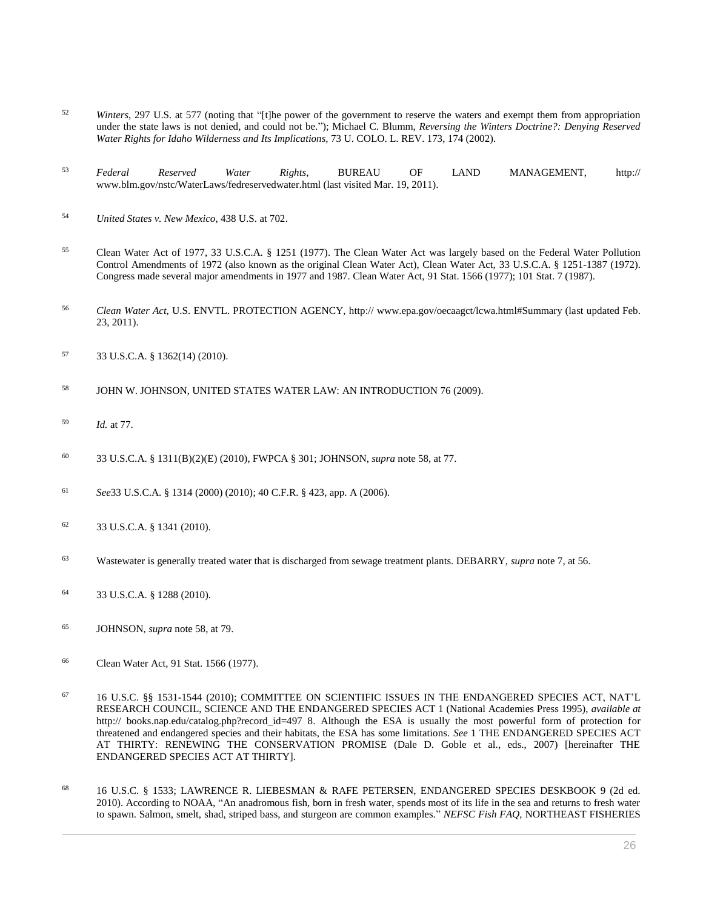- <sup>52</sup> *Winters*, 297 U.S. at 577 (noting that "[t]he power of the government to reserve the waters and exempt them from appropriation under the state laws is not denied, and could not be."); Michael C. Blumm, *[Reversing the Winters Doctrine?: Denying Reserved](http://www.westlaw.com/Link/Document/FullText?findType=Y&serNum=0288274556&pubNum=0001260&originatingDoc=I0ecc82a82df011e18b05fdf15589d8e8&refType=LR&fi=co_pp_sp_1260_174&originationContext=document&vr=3.0&rs=cblt1.0&transitionType=DocumentItem&contextData=(sc.Search)#co_pp_sp_1260_174)  Water [Rights for Idaho Wilderness and Its Implications,](http://www.westlaw.com/Link/Document/FullText?findType=Y&serNum=0288274556&pubNum=0001260&originatingDoc=I0ecc82a82df011e18b05fdf15589d8e8&refType=LR&fi=co_pp_sp_1260_174&originationContext=document&vr=3.0&rs=cblt1.0&transitionType=DocumentItem&contextData=(sc.Search)#co_pp_sp_1260_174)* 73 U. COLO. L. REV. 173, 174 (2002).
- <sup>53</sup> *Federal Reserved Water Rights*, BUREAU OF LAND MANAGEMENT, http:// www.blm.gov/nstc/WaterLaws/fedreservedwater.html (last visited Mar. 19, 2011).
- <sup>54</sup> *[United States v. New Mexico](http://www.westlaw.com/Link/Document/FullText?findType=Y&serNum=1978139516&pubNum=0000780&originatingDoc=I0ecc82a82df011e18b05fdf15589d8e8&refType=RP&fi=co_pp_sp_780_702&originationContext=document&vr=3.0&rs=cblt1.0&transitionType=DocumentItem&contextData=(sc.Search)#co_pp_sp_780_702)*, 438 U.S. at 702.
- <sup>55</sup> Clean Water Act of 1977, [33 U.S.C.A. § 1251 \(1977\).](http://www.westlaw.com/Link/Document/FullText?findType=L&pubNum=1000546&cite=33USCAS1251&originatingDoc=I0ecc82a82df011e18b05fdf15589d8e8&refType=LQ&originationContext=document&vr=3.0&rs=cblt1.0&transitionType=DocumentItem&contextData=(sc.Search)) The Clean Water Act was largely based on the Federal Water Pollution Control Amendments of 1972 (also known as the original Clean Water Act), Clean Water Act, [33 U.S.C.A. § 1251](http://www.westlaw.com/Link/Document/FullText?findType=L&pubNum=1000546&cite=33USCAS1251&originatingDoc=I0ecc82a82df011e18b05fdf15589d8e8&refType=LQ&originationContext=document&vr=3.0&rs=cblt1.0&transitionType=DocumentItem&contextData=(sc.Search))[-1387 \(1972\).](http://www.westlaw.com/Link/Document/FullText?findType=L&pubNum=1000546&cite=33USCAS1387&originatingDoc=I0ecc82a82df011e18b05fdf15589d8e8&refType=LQ&originationContext=document&vr=3.0&rs=cblt1.0&transitionType=DocumentItem&contextData=(sc.Search)) Congress made several major amendments in 1977 and 1987. Clean Water Act, 91 Stat. 1566 (1977); 101 Stat. 7 (1987).
- <sup>56</sup> *Clean Water Act*, U.S. ENVTL. PROTECTION AGENCY, http:// www.epa.gov/oecaagct/lcwa.html#Summary (last updated Feb. 23, 2011).
- <sup>57</sup> [33 U.S.C.A. § 1362\(14\) \(2010\).](http://www.westlaw.com/Link/Document/FullText?findType=L&pubNum=1000546&cite=33USCAS1362&originatingDoc=I0ecc82a82df011e18b05fdf15589d8e8&refType=RB&originationContext=document&vr=3.0&rs=cblt1.0&transitionType=DocumentItem&contextData=(sc.Search)#co_pp_7c720000bea05)
- <sup>58</sup> JOHN W. JOHNSON, UNITED STATES WATER LAW: AN INTRODUCTION 76 (2009).
- <sup>59</sup> *Id.* at 77.
- <sup>60</sup> [33 U.S.C.A. § 1311\(B\)\(2\)\(E\)](http://www.westlaw.com/Link/Document/FullText?findType=L&pubNum=1000546&cite=33USCAS1311&originatingDoc=I0ecc82a82df011e18b05fdf15589d8e8&refType=LQ&originationContext=document&vr=3.0&rs=cblt1.0&transitionType=DocumentItem&contextData=(sc.Search)) (2010), FWPCA § 301; JOHNSON, *supra* note 58, at 77.
- <sup>61</sup> *See*[33 U.S.C.A. § 1314 \(2000\) \(2010\);](http://www.westlaw.com/Link/Document/FullText?findType=L&pubNum=1000546&cite=33USCAS1314&originatingDoc=I0ecc82a82df011e18b05fdf15589d8e8&refType=LQ&originationContext=document&vr=3.0&rs=cblt1.0&transitionType=DocumentItem&contextData=(sc.Search)) 40 C.F.R. § 423, app. A (2006).
- <sup>62</sup> [33 U.S.C.A. § 1341 \(2010\).](http://www.westlaw.com/Link/Document/FullText?findType=L&pubNum=1000546&cite=33USCAS1341&originatingDoc=I0ecc82a82df011e18b05fdf15589d8e8&refType=LQ&originationContext=document&vr=3.0&rs=cblt1.0&transitionType=DocumentItem&contextData=(sc.Search))
- <sup>63</sup> Wastewater is generally treated water that is discharged from sewage treatment plants. DEBARRY, *supra* note 7, at 56.
- <sup>64</sup> [33 U.S.C.A. § 1288 \(2010\).](http://www.westlaw.com/Link/Document/FullText?findType=L&pubNum=1000546&cite=33USCAS1288&originatingDoc=I0ecc82a82df011e18b05fdf15589d8e8&refType=LQ&originationContext=document&vr=3.0&rs=cblt1.0&transitionType=DocumentItem&contextData=(sc.Search))
- <sup>65</sup> JOHNSON, *supra* note 58, at 79.
- <sup>66</sup> Clean Water Act, 91 Stat. 1566 (1977).
- <sup>67</sup> [16 U.S.C. §§ 1531](http://www.westlaw.com/Link/Document/FullText?findType=L&pubNum=1000546&cite=16USCAS1531&originatingDoc=I0ecc82a82df011e18b05fdf15589d8e8&refType=LQ&originationContext=document&vr=3.0&rs=cblt1.0&transitionType=DocumentItem&contextData=(sc.Search))[-1544 \(2010\);](http://www.westlaw.com/Link/Document/FullText?findType=L&pubNum=1000546&cite=16USCAS1544&originatingDoc=I0ecc82a82df011e18b05fdf15589d8e8&refType=LQ&originationContext=document&vr=3.0&rs=cblt1.0&transitionType=DocumentItem&contextData=(sc.Search)) COMMITTEE ON SCIENTIFIC ISSUES IN THE ENDANGERED SPECIES ACT, NAT'L RESEARCH COUNCIL, SCIENCE AND THE ENDANGERED SPECIES ACT 1 (National Academies Press 1995), *available at* http:// books.nap.edu/catalog.php?record\_id=497 8. Although the ESA is usually the most powerful form of protection for threatened and endangered species and their habitats, the ESA has some limitations. *See* 1 THE ENDANGERED SPECIES ACT AT THIRTY: RENEWING THE CONSERVATION PROMISE (Dale D. Goble et al., eds., 2007) [hereinafter THE ENDANGERED SPECIES ACT AT THIRTY].
- <sup>68</sup> [16 U.S.C. § 1533;](http://www.westlaw.com/Link/Document/FullText?findType=L&pubNum=1000546&cite=16USCAS1533&originatingDoc=I0ecc82a82df011e18b05fdf15589d8e8&refType=LQ&originationContext=document&vr=3.0&rs=cblt1.0&transitionType=DocumentItem&contextData=(sc.Search)) LAWRENCE R. LIEBESMAN & RAFE PETERSEN, ENDANGERED SPECIES DESKBOOK 9 (2d ed. 2010). According to NOAA, "An anadromous fish, born in fresh water, spends most of its life in the sea and returns to fresh water to spawn. Salmon, smelt, shad, striped bass, and sturgeon are common examples." *NEFSC Fish FAQ*, NORTHEAST FISHERIES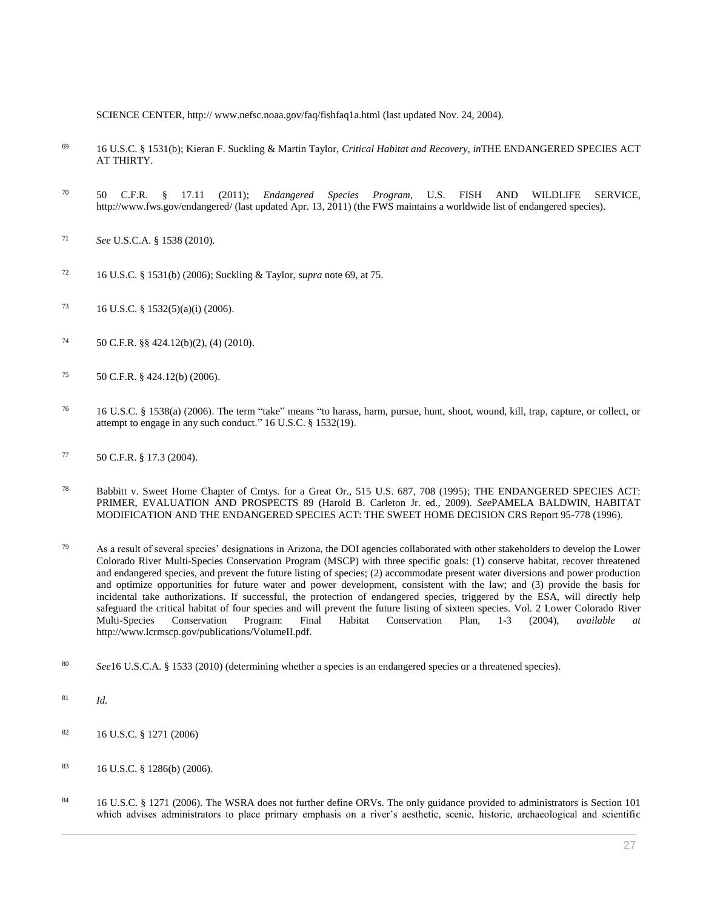SCIENCE CENTER, http:// www.nefsc.noaa.gov/faq/fishfaq1a.html (last updated Nov. 24, 2004).

- <sup>69</sup> [16 U.S.C. § 1531\(b\);](http://www.westlaw.com/Link/Document/FullText?findType=L&pubNum=1000546&cite=16USCAS1531&originatingDoc=I0ecc82a82df011e18b05fdf15589d8e8&refType=RB&originationContext=document&vr=3.0&rs=cblt1.0&transitionType=DocumentItem&contextData=(sc.Search)#co_pp_a83b000018c76) Kieran F. Suckling & Martin Taylor, *Critical Habitat and Recovery*, *in*THE ENDANGERED SPECIES ACT AT THIRTY.
- <sup>70</sup> [50 C.F.R. § 17.11 \(2011\);](http://www.westlaw.com/Link/Document/FullText?findType=L&pubNum=1000547&cite=50CFRS17.11&originatingDoc=I0ecc82a82df011e18b05fdf15589d8e8&refType=LQ&originationContext=document&vr=3.0&rs=cblt1.0&transitionType=DocumentItem&contextData=(sc.Search)) *Endangered Species Program*, U.S. FISH AND WILDLIFE SERVICE, http://www.fws.gov/endangered/ (last updated Apr. 13, 2011) (the FWS maintains a worldwide list of endangered species).
- <sup>71</sup> *See* U.S.C.A. § 1538 (2010).
- <sup>72</sup> [16 U.S.C. § 1531\(b\) \(2006\);](http://www.westlaw.com/Link/Document/FullText?findType=L&pubNum=1000546&cite=16USCAS1531&originatingDoc=I0ecc82a82df011e18b05fdf15589d8e8&refType=RB&originationContext=document&vr=3.0&rs=cblt1.0&transitionType=DocumentItem&contextData=(sc.Search)#co_pp_a83b000018c76) Suckling & Taylor, *supra* note 69, at 75.
- 73 [16 U.S.C. § 1532\(5\)\(a\)\(i\) \(2006\).](http://www.westlaw.com/Link/Document/FullText?findType=L&pubNum=1000546&cite=16USCAS1532&originatingDoc=I0ecc82a82df011e18b05fdf15589d8e8&refType=RB&originationContext=document&vr=3.0&rs=cblt1.0&transitionType=DocumentItem&contextData=(sc.Search)#co_pp_362c000048fd7)
- <sup>74</sup> [50 C.F.R. §§ 424.12\(b\)\(2\), \(4\) \(2010\).](http://www.westlaw.com/Link/Document/FullText?findType=L&pubNum=1000547&cite=50CFRS424.12&originatingDoc=I0ecc82a82df011e18b05fdf15589d8e8&refType=RB&originationContext=document&vr=3.0&rs=cblt1.0&transitionType=DocumentItem&contextData=(sc.Search)#co_pp_c0ae00006c482)
- <sup>75</sup> [50 C.F.R. § 424.12\(b\) \(2006\).](http://www.westlaw.com/Link/Document/FullText?findType=L&pubNum=1000547&cite=50CFRS424.12&originatingDoc=I0ecc82a82df011e18b05fdf15589d8e8&refType=RB&originationContext=document&vr=3.0&rs=cblt1.0&transitionType=DocumentItem&contextData=(sc.Search)#co_pp_a83b000018c76)
- <sup>76</sup> [16 U.S.C. § 1538\(a\) \(2006\).](http://www.westlaw.com/Link/Document/FullText?findType=L&pubNum=1000546&cite=16USCAS1538&originatingDoc=I0ecc82a82df011e18b05fdf15589d8e8&refType=RB&originationContext=document&vr=3.0&rs=cblt1.0&transitionType=DocumentItem&contextData=(sc.Search)#co_pp_8b3b0000958a4) The term "take" means "to harass, harm, pursue, hunt, shoot, wound, kill, trap, capture, or collect, or attempt to engage in any such conduct." [16 U.S.C. § 1532\(19\).](http://www.westlaw.com/Link/Document/FullText?findType=L&pubNum=1000546&cite=16USCAS1532&originatingDoc=I0ecc82a82df011e18b05fdf15589d8e8&refType=RB&originationContext=document&vr=3.0&rs=cblt1.0&transitionType=DocumentItem&contextData=(sc.Search)#co_pp_828f000092994)
- <sup>77</sup> [50 C.F.R. § 17.3 \(2004\).](http://www.westlaw.com/Link/Document/FullText?findType=L&pubNum=1000547&cite=50CFRS17.3&originatingDoc=I0ecc82a82df011e18b05fdf15589d8e8&refType=LQ&originationContext=document&vr=3.0&rs=cblt1.0&transitionType=DocumentItem&contextData=(sc.Search))
- <sup>78</sup> [Babbitt v. Sweet Home Chapter of Cmtys. for a Great Or., 515 U.S. 687, 708 \(1995\);](http://www.westlaw.com/Link/Document/FullText?findType=Y&serNum=1995137649&pubNum=0000780&originatingDoc=I0ecc82a82df011e18b05fdf15589d8e8&refType=RP&fi=co_pp_sp_780_708&originationContext=document&vr=3.0&rs=cblt1.0&transitionType=DocumentItem&contextData=(sc.Search)#co_pp_sp_780_708) THE ENDANGERED SPECIES ACT: PRIMER, EVALUATION AND PROSPECTS 89 (Harold B. Carleton Jr. ed., 2009). *See*PAMELA BALDWIN, HABITAT MODIFICATION AND THE ENDANGERED SPECIES ACT: THE SWEET HOME DECISION CRS Report 95-778 (1996).
- <sup>79</sup> As a result of several species' designations in Arizona, the DOI agencies collaborated with other stakeholders to develop the Lower Colorado River Multi-Species Conservation Program (MSCP) with three specific goals: (1) conserve habitat, recover threatened and endangered species, and prevent the future listing of species; (2) accommodate present water diversions and power production and optimize opportunities for future water and power development, consistent with the law; and (3) provide the basis for incidental take authorizations. If successful, the protection of endangered species, triggered by the ESA, will directly help safeguard the critical habitat of four species and will prevent the future listing of sixteen species. Vol. 2 Lower Colorado River Multi-Species Conservation Program: Final Habitat Conservation Plan, 1-3 (2004), *available at* http://www.lcrmscp.gov/publications/VolumeII.pdf.
- <sup>80</sup> *See*[16 U.S.C.A. § 1533 \(2010\)](http://www.westlaw.com/Link/Document/FullText?findType=L&pubNum=1000546&cite=16USCAS1533&originatingDoc=I0ecc82a82df011e18b05fdf15589d8e8&refType=LQ&originationContext=document&vr=3.0&rs=cblt1.0&transitionType=DocumentItem&contextData=(sc.Search)) (determining whether a species is an endangered species or a threatened species).
- <sup>81</sup> *Id.*
- <sup>82</sup> [16 U.S.C. § 1271 \(2006\)](http://www.westlaw.com/Link/Document/FullText?findType=L&pubNum=1000546&cite=16USCAS1271&originatingDoc=I0ecc82a82df011e18b05fdf15589d8e8&refType=LQ&originationContext=document&vr=3.0&rs=cblt1.0&transitionType=DocumentItem&contextData=(sc.Search))
- <sup>83</sup> [16 U.S.C. § 1286\(b\) \(2006\).](http://www.westlaw.com/Link/Document/FullText?findType=L&pubNum=1000546&cite=16USCAS1286&originatingDoc=I0ecc82a82df011e18b05fdf15589d8e8&refType=RB&originationContext=document&vr=3.0&rs=cblt1.0&transitionType=DocumentItem&contextData=(sc.Search)#co_pp_a83b000018c76)
- 84 [16 U.S.C. § 1271 \(2006\).](http://www.westlaw.com/Link/Document/FullText?findType=L&pubNum=1000546&cite=16USCAS1271&originatingDoc=I0ecc82a82df011e18b05fdf15589d8e8&refType=LQ&originationContext=document&vr=3.0&rs=cblt1.0&transitionType=DocumentItem&contextData=(sc.Search)) The WSRA does not further define ORVs. The only guidance provided to administrators is Section 101 which advises administrators to place primary emphasis on a river's aesthetic, scenic, historic, archaeological and scientific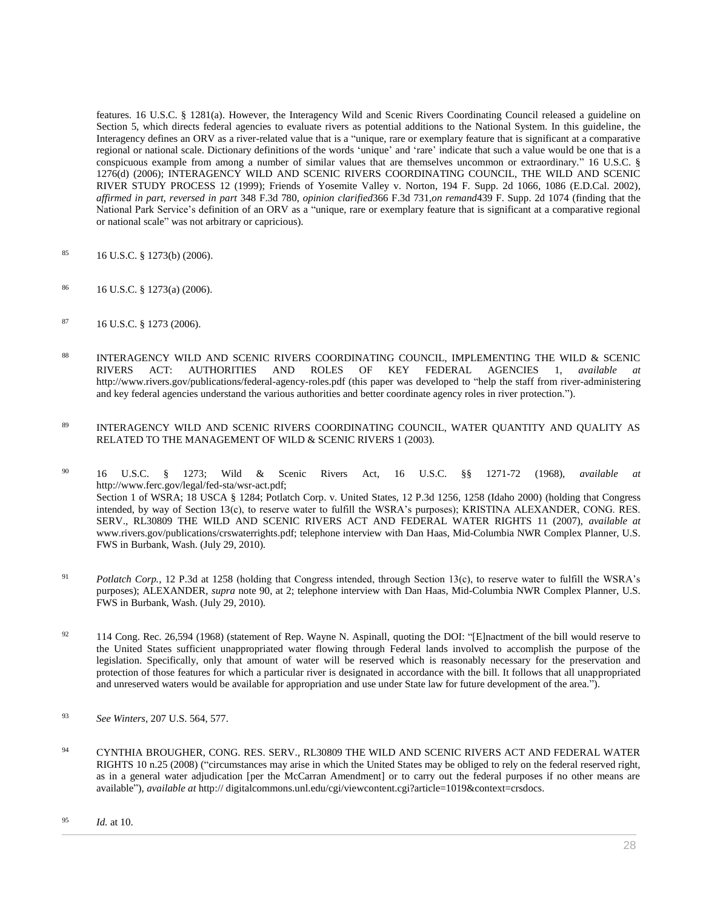features. [16 U.S.C. § 1281\(a\).](http://www.westlaw.com/Link/Document/FullText?findType=L&pubNum=1000546&cite=16USCAS1281&originatingDoc=I0ecc82a82df011e18b05fdf15589d8e8&refType=RB&originationContext=document&vr=3.0&rs=cblt1.0&transitionType=DocumentItem&contextData=(sc.Search)#co_pp_8b3b0000958a4) However, the Interagency Wild and Scenic Rivers Coordinating Council released a guideline on Section 5, which directs federal agencies to evaluate rivers as potential additions to the National System. In this guideline, the Interagency defines an ORV as a river-related value that is a "unique, rare or exemplary feature that is significant at a comparative regional or national scale. Dictionary definitions of the words 'unique' and 'rare' indicate that such a value would be one that is a conspicuous example from among a number of similar values that are themselves uncommon or extraordinary." [16 U.S.C. §](http://www.westlaw.com/Link/Document/FullText?findType=L&pubNum=1000546&cite=16USCAS1276&originatingDoc=I0ecc82a82df011e18b05fdf15589d8e8&refType=RB&originationContext=document&vr=3.0&rs=cblt1.0&transitionType=DocumentItem&contextData=(sc.Search)#co_pp_5ba1000067d06)  [1276\(d\) \(2006\);](http://www.westlaw.com/Link/Document/FullText?findType=L&pubNum=1000546&cite=16USCAS1276&originatingDoc=I0ecc82a82df011e18b05fdf15589d8e8&refType=RB&originationContext=document&vr=3.0&rs=cblt1.0&transitionType=DocumentItem&contextData=(sc.Search)#co_pp_5ba1000067d06) INTERAGENCY WILD AND SCENIC RIVERS COORDINATING COUNCIL, THE WILD AND SCENIC RIVER STUDY PROCESS 12 (1999); [Friends of Yosemite Valley v. Norton, 194 F. Supp. 2d 1066, 1086 \(E.D.Cal. 2002\),](http://www.westlaw.com/Link/Document/FullText?findType=Y&serNum=2002239030&pubNum=0004637&originatingDoc=I0ecc82a82df011e18b05fdf15589d8e8&refType=RP&fi=co_pp_sp_4637_1086&originationContext=document&vr=3.0&rs=cblt1.0&transitionType=DocumentItem&contextData=(sc.Search)#co_pp_sp_4637_1086) *affirmed in part, reversed in part* 348 F.3d 780, *opinion clarified*[366 F.3d 731,](http://www.westlaw.com/Link/Document/FullText?findType=Y&serNum=2004356412&pubNum=506&originatingDoc=I0ecc82a82df011e18b05fdf15589d8e8&refType=RP&originationContext=document&vr=3.0&rs=cblt1.0&transitionType=DocumentItem&contextData=(sc.Search))*on remand*[439 F. Supp. 2d 1074](http://www.westlaw.com/Link/Document/FullText?findType=Y&serNum=2009601937&pubNum=0004637&originatingDoc=I0ecc82a82df011e18b05fdf15589d8e8&refType=RP&originationContext=document&vr=3.0&rs=cblt1.0&transitionType=DocumentItem&contextData=(sc.Search)) (finding that the National Park Service's definition of an ORV as a "unique, rare or exemplary feature that is significant at a comparative regional or national scale" was not arbitrary or capricious).

- <sup>85</sup> [16 U.S.C. § 1273\(b\) \(2006\).](http://www.westlaw.com/Link/Document/FullText?findType=L&pubNum=1000546&cite=16USCAS1273&originatingDoc=I0ecc82a82df011e18b05fdf15589d8e8&refType=RB&originationContext=document&vr=3.0&rs=cblt1.0&transitionType=DocumentItem&contextData=(sc.Search)#co_pp_a83b000018c76)
- <sup>86</sup> [16 U.S.C. § 1273\(a\) \(2006\).](http://www.westlaw.com/Link/Document/FullText?findType=L&pubNum=1000546&cite=16USCAS1273&originatingDoc=I0ecc82a82df011e18b05fdf15589d8e8&refType=RB&originationContext=document&vr=3.0&rs=cblt1.0&transitionType=DocumentItem&contextData=(sc.Search)#co_pp_8b3b0000958a4)
- <sup>87</sup> [16 U.S.C. § 1273 \(2006\).](http://www.westlaw.com/Link/Document/FullText?findType=L&pubNum=1000546&cite=16USCAS1273&originatingDoc=I0ecc82a82df011e18b05fdf15589d8e8&refType=LQ&originationContext=document&vr=3.0&rs=cblt1.0&transitionType=DocumentItem&contextData=(sc.Search))
- 88 INTERAGENCY WILD AND SCENIC RIVERS COORDINATING COUNCIL. IMPLEMENTING THE WILD & SCENIC RIVERS ACT: AUTHORITIES AND ROLES OF KEY FEDERAL AGENCIES 1, *available at* http://www.rivers.gov/publications/federal-agency-roles.pdf (this paper was developed to "help the staff from river-administering and key federal agencies understand the various authorities and better coordinate agency roles in river protection.").
- <sup>89</sup> INTERAGENCY WILD AND SCENIC RIVERS COORDINATING COUNCIL, WATER QUANTITY AND QUALITY AS RELATED TO THE MANAGEMENT OF WILD & SCENIC RIVERS 1 (2003).

<sup>90</sup> [16 U.S.C. § 1273;](http://www.westlaw.com/Link/Document/FullText?findType=L&pubNum=1000546&cite=16USCAS1273&originatingDoc=I0ecc82a82df011e18b05fdf15589d8e8&refType=LQ&originationContext=document&vr=3.0&rs=cblt1.0&transitionType=DocumentItem&contextData=(sc.Search)) Wild & Scenic Rivers Act, [16 U.S.C. §§ 1271-](http://www.westlaw.com/Link/Document/FullText?findType=L&pubNum=1000546&cite=16USCAS1271&originatingDoc=I0ecc82a82df011e18b05fdf15589d8e8&refType=LQ&originationContext=document&vr=3.0&rs=cblt1.0&transitionType=DocumentItem&contextData=(sc.Search))72 (1968), *available at* http://www.ferc.gov/legal/fed-sta/wsr-act.pdf; Section 1 of WSRA; 18 USCA § 1284[; Potlatch Corp. v. United States, 12 P.3d 1256, 1258 \(Idaho 2000\)](http://www.westlaw.com/Link/Document/FullText?findType=Y&serNum=2000583230&pubNum=0004645&originatingDoc=I0ecc82a82df011e18b05fdf15589d8e8&refType=RP&fi=co_pp_sp_4645_1258&originationContext=document&vr=3.0&rs=cblt1.0&transitionType=DocumentItem&contextData=(sc.Search)#co_pp_sp_4645_1258) (holding that Congress intended, by way of Section 13(c), to reserve water to fulfill the WSRA's purposes); KRISTINA ALEXANDER, CONG. RES. SERV., RL30809 THE WILD AND SCENIC RIVERS ACT AND FEDERAL WATER RIGHTS 11 (2007), *available at* www.rivers.gov/publications/crswaterrights.pdf; telephone interview with Dan Haas, Mid-Columbia NWR Complex Planner, U.S. FWS in Burbank, Wash. (July 29, 2010).

- <sup>91</sup> *Potlatch Corp.*[, 12 P.3d at 1258](http://www.westlaw.com/Link/Document/FullText?findType=Y&serNum=2000583230&pubNum=0004645&originatingDoc=I0ecc82a82df011e18b05fdf15589d8e8&refType=RP&fi=co_pp_sp_4645_1258&originationContext=document&vr=3.0&rs=cblt1.0&transitionType=DocumentItem&contextData=(sc.Search)#co_pp_sp_4645_1258) (holding that Congress intended, through Section 13(c), to reserve water to fulfill the WSRA's purposes); ALEXANDER, *supra* note 90, at 2; telephone interview with Dan Haas, Mid-Columbia NWR Complex Planner, U.S. FWS in Burbank, Wash. (July 29, 2010).
- <sup>92</sup> 114 Cong. Rec. 26,594 (1968) (statement of Rep. Wayne N. Aspinall, quoting the DOI: "[E]nactment of the bill would reserve to the United States sufficient unappropriated water flowing through Federal lands involved to accomplish the purpose of the legislation. Specifically, only that amount of water will be reserved which is reasonably necessary for the preservation and protection of those features for which a particular river is designated in accordance with the bill. It follows that all unappropriated and unreserved waters would be available for appropriation and use under State law for future development of the area.").
- <sup>93</sup> *See Winters*[, 207 U.S. 564, 577.](http://www.westlaw.com/Link/Document/FullText?findType=Y&serNum=1908100233&pubNum=0000780&originatingDoc=I0ecc82a82df011e18b05fdf15589d8e8&refType=RP&fi=co_pp_sp_780_577&originationContext=document&vr=3.0&rs=cblt1.0&transitionType=DocumentItem&contextData=(sc.Search)#co_pp_sp_780_577)
- <sup>94</sup> CYNTHIA BROUGHER, CONG. RES. SERV., RL30809 THE WILD AND SCENIC RIVERS ACT AND FEDERAL WATER RIGHTS 10 n.25 (2008) ("circumstances may arise in which the United States may be obliged to rely on the federal reserved right, as in a general water adjudication [per the McCarran Amendment] or to carry out the federal purposes if no other means are available"), *available at* http:// digitalcommons.unl.edu/cgi/viewcontent.cgi?article=1019&context=crsdocs.

<sup>95</sup> *Id.* at 10.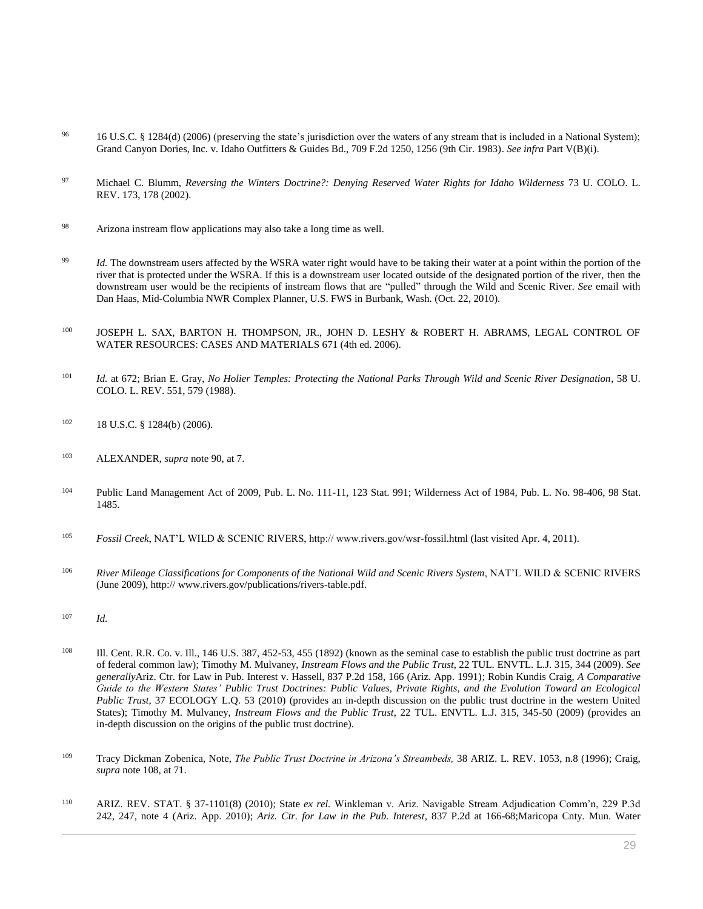- <sup>96</sup> [16 U.S.C. § 1284\(d\) \(2006\)](http://www.westlaw.com/Link/Document/FullText?findType=L&pubNum=1000546&cite=16USCAS1284&originatingDoc=I0ecc82a82df011e18b05fdf15589d8e8&refType=RB&originationContext=document&vr=3.0&rs=cblt1.0&transitionType=DocumentItem&contextData=(sc.Search)#co_pp_5ba1000067d06) (preserving the state's jurisdiction over the waters of any stream that is included in a National System); [Grand Canyon Dories, Inc. v. Idaho Outfitters & Guides Bd., 709 F.2d 1250, 1256 \(9th Cir. 1983\).](http://www.westlaw.com/Link/Document/FullText?findType=Y&serNum=1983126755&pubNum=0000350&originatingDoc=I0ecc82a82df011e18b05fdf15589d8e8&refType=RP&fi=co_pp_sp_350_1256&originationContext=document&vr=3.0&rs=cblt1.0&transitionType=DocumentItem&contextData=(sc.Search)#co_pp_sp_350_1256) *See infra* Part V(B)(i).
- <sup>97</sup> Michael C. Blumm, *[Reversing the Winters Doctrine?: Denying Reserved Water Rights for Idaho Wilderness](http://www.westlaw.com/Link/Document/FullText?findType=Y&serNum=0288274556&pubNum=0001260&originatingDoc=I0ecc82a82df011e18b05fdf15589d8e8&refType=LR&fi=co_pp_sp_1260_178&originationContext=document&vr=3.0&rs=cblt1.0&transitionType=DocumentItem&contextData=(sc.Search)#co_pp_sp_1260_178)* 73 U. COLO. L. [REV. 173, 178 \(2002\).](http://www.westlaw.com/Link/Document/FullText?findType=Y&serNum=0288274556&pubNum=0001260&originatingDoc=I0ecc82a82df011e18b05fdf15589d8e8&refType=LR&fi=co_pp_sp_1260_178&originationContext=document&vr=3.0&rs=cblt1.0&transitionType=DocumentItem&contextData=(sc.Search)#co_pp_sp_1260_178)
- <sup>98</sup> Arizona instream flow applications may also take a long time as well.
- <sup>99</sup> *Id.* The downstream users affected by the WSRA water right would have to be taking their water at a point within the portion of the river that is protected under the WSRA. If this is a downstream user located outside of the designated portion of the river, then the downstream user would be the recipients of instream flows that are "pulled" through the Wild and Scenic River. *See* email with Dan Haas, Mid-Columbia NWR Complex Planner, U.S. FWS in Burbank, Wash. (Oct. 22, 2010).
- 100 JOSEPH L. SAX, BARTON H. THOMPSON, JR., JOHN D. LESHY & ROBERT H. ABRAMS, LEGAL CONTROL OF WATER RESOURCES: CASES AND MATERIALS 671 (4th ed. 2006).
- <sup>101</sup> *Id.* at 672; Brian E. Gray, *[No Holier Temples: Protecting the National Parks Through Wild and Scenic River Designation](http://www.westlaw.com/Link/Document/FullText?findType=Y&serNum=0308171119&pubNum=0001260&originatingDoc=I0ecc82a82df011e18b05fdf15589d8e8&refType=LR&fi=co_pp_sp_1260_579&originationContext=document&vr=3.0&rs=cblt1.0&transitionType=DocumentItem&contextData=(sc.Search)#co_pp_sp_1260_579)*, 58 U. [COLO. L. REV. 551, 579 \(1988\).](http://www.westlaw.com/Link/Document/FullText?findType=Y&serNum=0308171119&pubNum=0001260&originatingDoc=I0ecc82a82df011e18b05fdf15589d8e8&refType=LR&fi=co_pp_sp_1260_579&originationContext=document&vr=3.0&rs=cblt1.0&transitionType=DocumentItem&contextData=(sc.Search)#co_pp_sp_1260_579)
- 102 18 U.S.C. § 1284(b) (2006).
- <sup>103</sup> ALEXANDER, *supra* note 90, at 7.
- <sup>104</sup> Public Land Management Act of 2009, [Pub. L. No. 111-11, 123 Stat. 991;](http://www.westlaw.com/Link/Document/FullText?findType=l&pubNum=1077005&cite=UUID(I0246EF401E-2511DEAA998-2468D7797C3)&originatingDoc=I0ecc82a82df011e18b05fdf15589d8e8&refType=SL&originationContext=document&vr=3.0&rs=cblt1.0&transitionType=DocumentItem&contextData=(sc.Search)) Wilderness Act of 1984, [Pub. L. No. 98-406, 98 Stat.](http://www.westlaw.com/Link/Document/FullText?findType=l&pubNum=1077005&cite=UUID(I8215CAB506-D54F26B6F13-7D2218D196F)&originatingDoc=I0ecc82a82df011e18b05fdf15589d8e8&refType=SL&originationContext=document&vr=3.0&rs=cblt1.0&transitionType=DocumentItem&contextData=(sc.Search))  [1485.](http://www.westlaw.com/Link/Document/FullText?findType=l&pubNum=1077005&cite=UUID(I8215CAB506-D54F26B6F13-7D2218D196F)&originatingDoc=I0ecc82a82df011e18b05fdf15589d8e8&refType=SL&originationContext=document&vr=3.0&rs=cblt1.0&transitionType=DocumentItem&contextData=(sc.Search))
- <sup>105</sup> *Fossil Creek*, NAT'L WILD & SCENIC RIVERS, http:// www.rivers.gov/wsr-fossil.html (last visited Apr. 4, 2011).
- <sup>106</sup> *River Mileage Classifications for Components of the National Wild and Scenic Rivers System*, NAT'L WILD & SCENIC RIVERS (June 2009), http:// www.rivers.gov/publications/rivers-table.pdf.
- <sup>107</sup> *Id.*
- <sup>108</sup> [Ill. Cent. R.R. Co. v. Ill., 146 U.S. 387, 452-53, 455 \(1892\)](http://www.westlaw.com/Link/Document/FullText?findType=Y&serNum=1892180249&pubNum=0000780&originatingDoc=I0ecc82a82df011e18b05fdf15589d8e8&refType=RP&fi=co_pp_sp_780_452&originationContext=document&vr=3.0&rs=cblt1.0&transitionType=DocumentItem&contextData=(sc.Search)#co_pp_sp_780_452) (known as the seminal case to establish the public trust doctrine as part of federal common law); Timothy M. Mulvaney, *Instream Flows and the Public Trust*[, 22 TUL. ENVTL. L.J. 315, 344 \(2009\).](http://www.westlaw.com/Link/Document/FullText?findType=Y&serNum=0344281552&pubNum=0100514&originatingDoc=I0ecc82a82df011e18b05fdf15589d8e8&refType=LR&fi=co_pp_sp_100514_344&originationContext=document&vr=3.0&rs=cblt1.0&transitionType=DocumentItem&contextData=(sc.Search)#co_pp_sp_100514_344) *See generally*[Ariz. Ctr. for Law in Pub. Interest v. Hassell, 837 P.2d 158, 166 \(Ariz. App. 1991\);](http://www.westlaw.com/Link/Document/FullText?findType=Y&serNum=1991152112&pubNum=0000661&originatingDoc=I0ecc82a82df011e18b05fdf15589d8e8&refType=RP&fi=co_pp_sp_661_166&originationContext=document&vr=3.0&rs=cblt1.0&transitionType=DocumentItem&contextData=(sc.Search)#co_pp_sp_661_166) Robin Kundis Craig, *[A Comparative](http://www.westlaw.com/Link/Document/FullText?findType=Y&serNum=0352452184&pubNum=0001450&originatingDoc=I0ecc82a82df011e18b05fdf15589d8e8&refType=LR&originationContext=document&vr=3.0&rs=cblt1.0&transitionType=DocumentItem&contextData=(sc.Search))  Guide to the Western States' [Public Trust Doctrines: Public Values, Private Rights, and the Evolution Toward an Ecological](http://www.westlaw.com/Link/Document/FullText?findType=Y&serNum=0352452184&pubNum=0001450&originatingDoc=I0ecc82a82df011e18b05fdf15589d8e8&refType=LR&originationContext=document&vr=3.0&rs=cblt1.0&transitionType=DocumentItem&contextData=(sc.Search))  Public Trust*[, 37 ECOLOGY L.Q. 53 \(2010\)](http://www.westlaw.com/Link/Document/FullText?findType=Y&serNum=0352452184&pubNum=0001450&originatingDoc=I0ecc82a82df011e18b05fdf15589d8e8&refType=LR&originationContext=document&vr=3.0&rs=cblt1.0&transitionType=DocumentItem&contextData=(sc.Search)) (provides an in-depth discussion on the public trust doctrine in the western United States); Timothy M. Mulvaney, *Instream Flows and the Public Trust*[, 22 TUL. ENVTL. L.J. 315, 345-50 \(2009\)](http://www.westlaw.com/Link/Document/FullText?findType=Y&serNum=0344281552&pubNum=0100514&originatingDoc=I0ecc82a82df011e18b05fdf15589d8e8&refType=LR&fi=co_pp_sp_100514_345&originationContext=document&vr=3.0&rs=cblt1.0&transitionType=DocumentItem&contextData=(sc.Search)#co_pp_sp_100514_345) (provides an in-depth discussion on the origins of the public trust doctrine).
- <sup>109</sup> Tracy Dickman Zobenica, Note, *[The Public Trust Doctrine in Arizona's Streambeds,](http://www.westlaw.com/Link/Document/FullText?findType=Y&serNum=0106970331&pubNum=0001093&originatingDoc=I0ecc82a82df011e18b05fdf15589d8e8&refType=LR&originationContext=document&vr=3.0&rs=cblt1.0&transitionType=DocumentItem&contextData=(sc.Search))* 38 ARIZ. L. REV. 1053, n.8 (1996); Craig, *supra* note 108, at 71.
- <sup>110</sup> [ARIZ. REV. STAT. § 37-1101\(8\)](http://www.westlaw.com/Link/Document/FullText?findType=L&pubNum=1000251&cite=AZSTS37-1101&originatingDoc=I0ecc82a82df011e18b05fdf15589d8e8&refType=LQ&originationContext=document&vr=3.0&rs=cblt1.0&transitionType=DocumentItem&contextData=(sc.Search)) (2010); State *ex rel.* [Winkleman v. Ariz. Navigable Stream Adjudication Comm'n, 229 P.3d](http://www.westlaw.com/Link/Document/FullText?findType=Y&serNum=2021857724&pubNum=0004645&originatingDoc=I0ecc82a82df011e18b05fdf15589d8e8&refType=RP&fi=co_pp_sp_4645_247&originationContext=document&vr=3.0&rs=cblt1.0&transitionType=DocumentItem&contextData=(sc.Search)#co_pp_sp_4645_247) [242, 247, note 4 \(Ariz. App. 2010\);](http://www.westlaw.com/Link/Document/FullText?findType=Y&serNum=2021857724&pubNum=0004645&originatingDoc=I0ecc82a82df011e18b05fdf15589d8e8&refType=RP&fi=co_pp_sp_4645_247&originationContext=document&vr=3.0&rs=cblt1.0&transitionType=DocumentItem&contextData=(sc.Search)#co_pp_sp_4645_247) *[Ariz. Ctr. for Law in the Pub. Interest](http://www.westlaw.com/Link/Document/FullText?findType=Y&serNum=1991152112&pubNum=661&originatingDoc=I0ecc82a82df011e18b05fdf15589d8e8&refType=RP&fi=co_pp_sp_661_166&originationContext=document&vr=3.0&rs=cblt1.0&transitionType=DocumentItem&contextData=(sc.Search)#co_pp_sp_661_166)*, 837 P.2d at 166-6[8;Maricopa Cnty. Mun. Water](http://www.westlaw.com/Link/Document/FullText?findType=Y&serNum=1931117530&pubNum=0000661&originatingDoc=I0ecc82a82df011e18b05fdf15589d8e8&refType=RP&fi=co_pp_sp_661_372&originationContext=document&vr=3.0&rs=cblt1.0&transitionType=DocumentItem&contextData=(sc.Search)#co_pp_sp_661_372)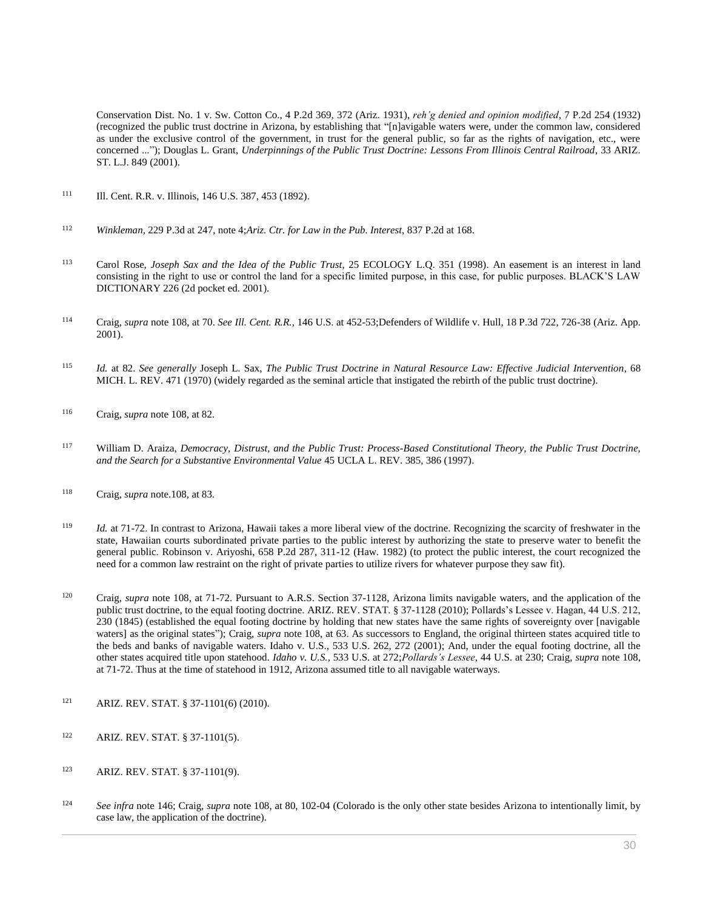[Conservation Dist. No. 1 v. Sw. Cotton Co., 4 P.2d 369, 372 \(Ariz. 1931\),](http://www.westlaw.com/Link/Document/FullText?findType=Y&serNum=1931117530&pubNum=0000661&originatingDoc=I0ecc82a82df011e18b05fdf15589d8e8&refType=RP&fi=co_pp_sp_661_372&originationContext=document&vr=3.0&rs=cblt1.0&transitionType=DocumentItem&contextData=(sc.Search)#co_pp_sp_661_372) *reh'g denied and opinion modified*[, 7 P.2d 254 \(1932\)](http://www.westlaw.com/Link/Document/FullText?findType=Y&serNum=1932117185&pubNum=0000661&originatingDoc=I0ecc82a82df011e18b05fdf15589d8e8&refType=RP&originationContext=document&vr=3.0&rs=cblt1.0&transitionType=DocumentItem&contextData=(sc.Search)) (recognized the public trust doctrine in Arizona, by establishing that "[n]avigable waters were, under the common law, considered as under the exclusive control of the government, in trust for the general public, so far as the rights of navigation, etc., were concerned ..."); Douglas L. Grant, *[Underpinnings of the Public Trust Doctrine: Lessons From Illinois Central Railroad](http://www.westlaw.com/Link/Document/FullText?findType=Y&serNum=0287694002&pubNum=0001094&originatingDoc=I0ecc82a82df011e18b05fdf15589d8e8&refType=LR&originationContext=document&vr=3.0&rs=cblt1.0&transitionType=DocumentItem&contextData=(sc.Search))*, 33 ARIZ. [ST. L.J. 849 \(2001\).](http://www.westlaw.com/Link/Document/FullText?findType=Y&serNum=0287694002&pubNum=0001094&originatingDoc=I0ecc82a82df011e18b05fdf15589d8e8&refType=LR&originationContext=document&vr=3.0&rs=cblt1.0&transitionType=DocumentItem&contextData=(sc.Search))

- 111 [Ill. Cent. R.R. v. Illinois, 146 U.S. 387, 453 \(1892\).](http://www.westlaw.com/Link/Document/FullText?findType=Y&serNum=1892180249&pubNum=0000780&originatingDoc=I0ecc82a82df011e18b05fdf15589d8e8&refType=RP&fi=co_pp_sp_780_453&originationContext=document&vr=3.0&rs=cblt1.0&transitionType=DocumentItem&contextData=(sc.Search)#co_pp_sp_780_453)
- <sup>112</sup> *Winkleman*[, 229 P.3d at 247, note 4;](http://www.westlaw.com/Link/Document/FullText?findType=Y&serNum=2021857724&pubNum=4645&originatingDoc=I0ecc82a82df011e18b05fdf15589d8e8&refType=RP&fi=co_pp_sp_4645_247&originationContext=document&vr=3.0&rs=cblt1.0&transitionType=DocumentItem&contextData=(sc.Search)#co_pp_sp_4645_247)*[Ariz. Ctr. for Law in the Pub. Interest,](http://www.westlaw.com/Link/Document/FullText?findType=Y&serNum=1991152112&pubNum=661&originatingDoc=I0ecc82a82df011e18b05fdf15589d8e8&refType=RP&fi=co_pp_sp_661_168&originationContext=document&vr=3.0&rs=cblt1.0&transitionType=DocumentItem&contextData=(sc.Search)#co_pp_sp_661_168)* 837 P.2d at 168.
- <sup>113</sup> Carol Rose, *[Joseph Sax and the Idea of the Public Trust](http://www.westlaw.com/Link/Document/FullText?findType=Y&serNum=0110082330&pubNum=0001450&originatingDoc=I0ecc82a82df011e18b05fdf15589d8e8&refType=LR&originationContext=document&vr=3.0&rs=cblt1.0&transitionType=DocumentItem&contextData=(sc.Search))*, 25 ECOLOGY L.Q. 351 (1998). An easement is an interest in land consisting in the right to use or control the land for a specific limited purpose, in this case, for public purposes. BLACK'S LAW DICTIONARY 226 (2d pocket ed. 2001).
- <sup>114</sup> Craig, *supra* note 108, at 70. *See Ill. Cent. R.R.*[, 146 U.S. at 452-53;](http://www.westlaw.com/Link/Document/FullText?findType=Y&serNum=1892180249&pubNum=780&originatingDoc=I0ecc82a82df011e18b05fdf15589d8e8&refType=RP&fi=co_pp_sp_780_452&originationContext=document&vr=3.0&rs=cblt1.0&transitionType=DocumentItem&contextData=(sc.Search)#co_pp_sp_780_452)[Defenders of Wildlife v. Hull, 18 P.3d 722, 726-38 \(Ariz. App.](http://www.westlaw.com/Link/Document/FullText?findType=Y&serNum=2001141901&pubNum=0004645&originatingDoc=I0ecc82a82df011e18b05fdf15589d8e8&refType=RP&fi=co_pp_sp_4645_726&originationContext=document&vr=3.0&rs=cblt1.0&transitionType=DocumentItem&contextData=(sc.Search)#co_pp_sp_4645_726)  [2001\).](http://www.westlaw.com/Link/Document/FullText?findType=Y&serNum=2001141901&pubNum=0004645&originatingDoc=I0ecc82a82df011e18b05fdf15589d8e8&refType=RP&fi=co_pp_sp_4645_726&originationContext=document&vr=3.0&rs=cblt1.0&transitionType=DocumentItem&contextData=(sc.Search)#co_pp_sp_4645_726)
- <sup>115</sup> *Id.* at 82. *See generally* Joseph L. Sax, *The Public Trust Doctrine in Natural Resource Law: Effective Judicial Intervention*, 68 MICH. L. REV. 471 (1970) (widely regarded as the seminal article that instigated the rebirth of the public trust doctrine).
- <sup>116</sup> Craig, *supra* note 108, at 82.
- <sup>117</sup> William D. Araiza, *[Democracy, Distrust, and the Public Trust: Process-Based Constitutional Theory, the Public Trust Doctrine,](http://www.westlaw.com/Link/Document/FullText?findType=Y&serNum=0108535508&pubNum=0003041&originatingDoc=I0ecc82a82df011e18b05fdf15589d8e8&refType=LR&fi=co_pp_sp_3041_386&originationContext=document&vr=3.0&rs=cblt1.0&transitionType=DocumentItem&contextData=(sc.Search)#co_pp_sp_3041_386)  [and the Search for a Substantive Environmental Value](http://www.westlaw.com/Link/Document/FullText?findType=Y&serNum=0108535508&pubNum=0003041&originatingDoc=I0ecc82a82df011e18b05fdf15589d8e8&refType=LR&fi=co_pp_sp_3041_386&originationContext=document&vr=3.0&rs=cblt1.0&transitionType=DocumentItem&contextData=(sc.Search)#co_pp_sp_3041_386)* 45 UCLA L. REV. 385, 386 (1997).
- <sup>118</sup> Craig, *supra* note.108, at 83.
- <sup>119</sup> *Id.* at 71-72. In contrast to Arizona, Hawaii takes a more liberal view of the doctrine. Recognizing the scarcity of freshwater in the state, Hawaiian courts subordinated private parties to the public interest by authorizing the state to preserve water to benefit the general public. [Robinson v. Ariyoshi, 658 P.2d 287, 311-12 \(Haw. 1982\)](http://www.westlaw.com/Link/Document/FullText?findType=Y&serNum=1983100725&pubNum=0000661&originatingDoc=I0ecc82a82df011e18b05fdf15589d8e8&refType=RP&fi=co_pp_sp_661_311&originationContext=document&vr=3.0&rs=cblt1.0&transitionType=DocumentItem&contextData=(sc.Search)#co_pp_sp_661_311) (to protect the public interest, the court recognized the need for a common law restraint on the right of private parties to utilize rivers for whatever purpose they saw fit).
- <sup>120</sup> Craig, *supra* note 108, at 71-72. Pursuant to [A.R.S. Section 37-1128,](http://www.westlaw.com/Link/Document/FullText?findType=L&pubNum=1000251&cite=AZSTS37-1128&originatingDoc=I0ecc82a82df011e18b05fdf15589d8e8&refType=LQ&originationContext=document&vr=3.0&rs=cblt1.0&transitionType=DocumentItem&contextData=(sc.Search)) Arizona limits navigable waters, and the application of the public trust doctrine, to the equal footing doctrine[. ARIZ. REV. STAT. § 37-1128](http://www.westlaw.com/Link/Document/FullText?findType=L&pubNum=1000251&cite=AZSTS37-1128&originatingDoc=I0ecc82a82df011e18b05fdf15589d8e8&refType=LQ&originationContext=document&vr=3.0&rs=cblt1.0&transitionType=DocumentItem&contextData=(sc.Search)) (2010)[; Pollards's Lessee v. Hagan, 44 U.S. 212,](http://www.westlaw.com/Link/Document/FullText?findType=Y&serNum=1800105920&pubNum=0000780&originatingDoc=I0ecc82a82df011e18b05fdf15589d8e8&refType=RP&fi=co_pp_sp_780_230&originationContext=document&vr=3.0&rs=cblt1.0&transitionType=DocumentItem&contextData=(sc.Search)#co_pp_sp_780_230)  [230 \(1845\)](http://www.westlaw.com/Link/Document/FullText?findType=Y&serNum=1800105920&pubNum=0000780&originatingDoc=I0ecc82a82df011e18b05fdf15589d8e8&refType=RP&fi=co_pp_sp_780_230&originationContext=document&vr=3.0&rs=cblt1.0&transitionType=DocumentItem&contextData=(sc.Search)#co_pp_sp_780_230) (established the equal footing doctrine by holding that new states have the same rights of sovereignty over [navigable waters] as the original states"); Craig, *supra* note 108, at 63. As successors to England, the original thirteen states acquired title to the beds and banks of navigable waters. [Idaho v. U.S., 533 U.S. 262, 272 \(2001\);](http://www.westlaw.com/Link/Document/FullText?findType=Y&serNum=2001518723&pubNum=0000780&originatingDoc=I0ecc82a82df011e18b05fdf15589d8e8&refType=RP&fi=co_pp_sp_780_272&originationContext=document&vr=3.0&rs=cblt1.0&transitionType=DocumentItem&contextData=(sc.Search)#co_pp_sp_780_272) And, under the equal footing doctrine, all the other states acquired title upon statehood. *Idaho v. U.S.*[, 533 U.S. at 272;](http://www.westlaw.com/Link/Document/FullText?findType=Y&serNum=2001518723&pubNum=780&originatingDoc=I0ecc82a82df011e18b05fdf15589d8e8&refType=RP&fi=co_pp_sp_780_272&originationContext=document&vr=3.0&rs=cblt1.0&transitionType=DocumentItem&contextData=(sc.Search)#co_pp_sp_780_272)*[Pollards's Lessee](http://www.westlaw.com/Link/Document/FullText?findType=Y&serNum=1800105920&pubNum=780&originatingDoc=I0ecc82a82df011e18b05fdf15589d8e8&refType=RP&fi=co_pp_sp_780_230&originationContext=document&vr=3.0&rs=cblt1.0&transitionType=DocumentItem&contextData=(sc.Search)#co_pp_sp_780_230)*, 44 U.S. at 230; Craig, *supra* note 108, at 71-72. Thus at the time of statehood in 1912, Arizona assumed title to all navigable waterways.
- <sup>121</sup> [ARIZ. REV. STAT. § 37-1101\(6\)](http://www.westlaw.com/Link/Document/FullText?findType=L&pubNum=1000251&cite=AZSTS37-1101&originatingDoc=I0ecc82a82df011e18b05fdf15589d8e8&refType=LQ&originationContext=document&vr=3.0&rs=cblt1.0&transitionType=DocumentItem&contextData=(sc.Search)) (2010).
- <sup>122</sup> [ARIZ. REV. STAT. § 37-1101\(5\).](http://www.westlaw.com/Link/Document/FullText?findType=L&pubNum=1000251&cite=AZSTS37-1101&originatingDoc=I0ecc82a82df011e18b05fdf15589d8e8&refType=LQ&originationContext=document&vr=3.0&rs=cblt1.0&transitionType=DocumentItem&contextData=(sc.Search))
- <sup>123</sup> [ARIZ. REV. STAT. § 37-1101\(9\).](http://www.westlaw.com/Link/Document/FullText?findType=L&pubNum=1000251&cite=AZSTS37-1101&originatingDoc=I0ecc82a82df011e18b05fdf15589d8e8&refType=LQ&originationContext=document&vr=3.0&rs=cblt1.0&transitionType=DocumentItem&contextData=(sc.Search))
- <sup>124</sup> *See infra* note 146; Craig, *supra* note 108, at 80, 102-04 (Colorado is the only other state besides Arizona to intentionally limit, by case law, the application of the doctrine).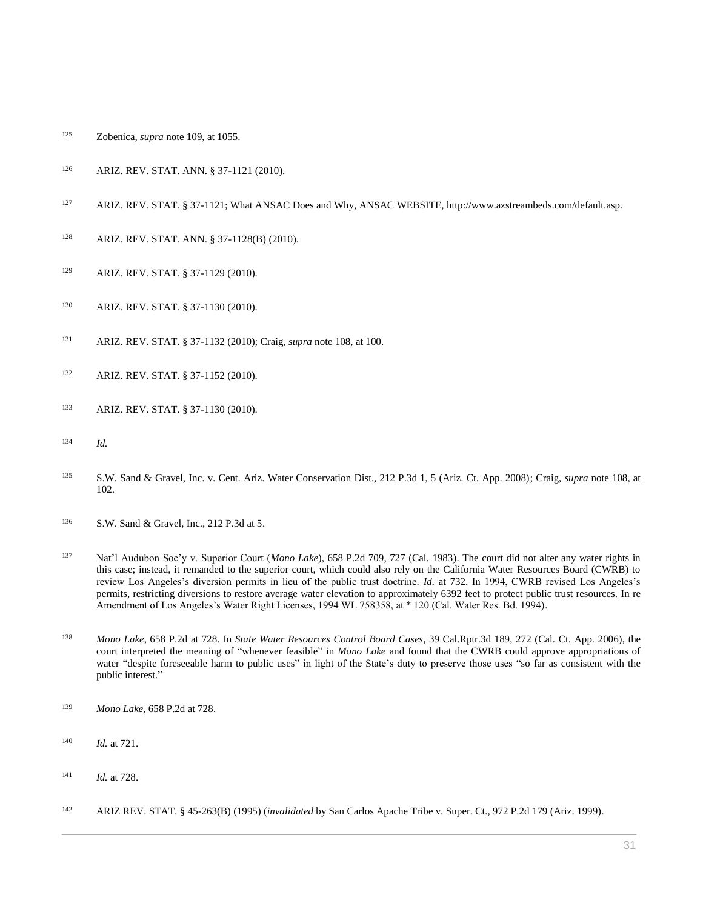- Zobenica, *supra* note 109, at 1055.
- [ARIZ. REV. STAT. ANN. § 37-1121](http://www.westlaw.com/Link/Document/FullText?findType=L&pubNum=1000251&cite=AZSTS37-1121&originatingDoc=I0ecc82a82df011e18b05fdf15589d8e8&refType=LQ&originationContext=document&vr=3.0&rs=cblt1.0&transitionType=DocumentItem&contextData=(sc.Search)) (2010).
- [ARIZ. REV. STAT. § 37-1121;](http://www.westlaw.com/Link/Document/FullText?findType=L&pubNum=1000251&cite=AZSTS37-1121&originatingDoc=I0ecc82a82df011e18b05fdf15589d8e8&refType=LQ&originationContext=document&vr=3.0&rs=cblt1.0&transitionType=DocumentItem&contextData=(sc.Search)) What ANSAC Does and Why, ANSAC WEBSITE, http://www.azstreambeds.com/default.asp.
- [ARIZ. REV. STAT. ANN. § 37-1128\(B\)](http://www.westlaw.com/Link/Document/FullText?findType=L&pubNum=1000251&cite=AZSTS37-1128&originatingDoc=I0ecc82a82df011e18b05fdf15589d8e8&refType=LQ&originationContext=document&vr=3.0&rs=cblt1.0&transitionType=DocumentItem&contextData=(sc.Search)) (2010).
- [ARIZ. REV. STAT. § 37-1129](http://www.westlaw.com/Link/Document/FullText?findType=L&pubNum=1000251&cite=AZSTS37-1129&originatingDoc=I0ecc82a82df011e18b05fdf15589d8e8&refType=LQ&originationContext=document&vr=3.0&rs=cblt1.0&transitionType=DocumentItem&contextData=(sc.Search)) (2010).
- [ARIZ. REV. STAT. § 37-1130](http://www.westlaw.com/Link/Document/FullText?findType=L&pubNum=1000251&cite=AZSTS37-1130&originatingDoc=I0ecc82a82df011e18b05fdf15589d8e8&refType=LQ&originationContext=document&vr=3.0&rs=cblt1.0&transitionType=DocumentItem&contextData=(sc.Search)) (2010).
- [ARIZ. REV. STAT. § 37-1132](http://www.westlaw.com/Link/Document/FullText?findType=L&pubNum=1000251&cite=AZSTS37-1132&originatingDoc=I0ecc82a82df011e18b05fdf15589d8e8&refType=LQ&originationContext=document&vr=3.0&rs=cblt1.0&transitionType=DocumentItem&contextData=(sc.Search)) (2010); Craig, *supra* note 108, at 100.
- [ARIZ. REV. STAT. § 37-1152](http://www.westlaw.com/Link/Document/FullText?findType=L&pubNum=1000251&cite=AZSTS37-1152&originatingDoc=I0ecc82a82df011e18b05fdf15589d8e8&refType=LQ&originationContext=document&vr=3.0&rs=cblt1.0&transitionType=DocumentItem&contextData=(sc.Search)) (2010).
- [ARIZ. REV. STAT. § 37-1130](http://www.westlaw.com/Link/Document/FullText?findType=L&pubNum=1000251&cite=AZSTS37-1130&originatingDoc=I0ecc82a82df011e18b05fdf15589d8e8&refType=LQ&originationContext=document&vr=3.0&rs=cblt1.0&transitionType=DocumentItem&contextData=(sc.Search)) (2010).
- *Id.*
- [S.W. Sand & Gravel, Inc. v. Cent. Ariz. Water Conservation Dist., 212 P.3d 1, 5 \(Ariz. Ct. App. 2008\);](http://www.westlaw.com/Link/Document/FullText?findType=Y&serNum=2017424081&pubNum=0004645&originatingDoc=I0ecc82a82df011e18b05fdf15589d8e8&refType=RP&fi=co_pp_sp_4645_5&originationContext=document&vr=3.0&rs=cblt1.0&transitionType=DocumentItem&contextData=(sc.Search)#co_pp_sp_4645_5) Craig, *supra* note 108, at 102.
- [S.W. Sand & Gravel, Inc., 212 P.3d at 5.](http://www.westlaw.com/Link/Document/FullText?findType=Y&serNum=2017424081&pubNum=0004645&originatingDoc=I0ecc82a82df011e18b05fdf15589d8e8&refType=RP&fi=co_pp_sp_4645_5&originationContext=document&vr=3.0&rs=cblt1.0&transitionType=DocumentItem&contextData=(sc.Search)#co_pp_sp_4645_5)
- [Nat'l Audubon Soc'y v. Superior Court \(](http://www.westlaw.com/Link/Document/FullText?findType=Y&serNum=1983108688&pubNum=0000661&originatingDoc=I0ecc82a82df011e18b05fdf15589d8e8&refType=RP&fi=co_pp_sp_661_727&originationContext=document&vr=3.0&rs=cblt1.0&transitionType=DocumentItem&contextData=(sc.Search)#co_pp_sp_661_727)*Mono Lake*), 658 P.2d 709, 727 (Cal. 1983). The court did not alter any water rights in this case; instead, it remanded to the superior court, which could also rely on the California Water Resources Board (CWRB) to review Los Angeles's diversion permits in lieu of the public trust doctrine. *Id.* [at 732.](http://www.westlaw.com/Link/Document/FullText?findType=Y&serNum=1983108688&originatingDoc=I0ecc82a82df011e18b05fdf15589d8e8&refType=RP&originationContext=document&vr=3.0&rs=cblt1.0&transitionType=DocumentItem&contextData=(sc.Search)) In 1994, CWRB revised Los Angeles's permits, restricting diversions to restore average water elevation to approximately 6392 feet to protect public trust resources. [In re](http://www.westlaw.com/Link/Document/FullText?findType=Y&serNum=0104942711&pubNum=0000999&originatingDoc=I0ecc82a82df011e18b05fdf15589d8e8&refType=DE&originationContext=document&vr=3.0&rs=cblt1.0&transitionType=DocumentItem&contextData=(sc.Search))  [Amendment of Los Angeles's Water Right Licenses, 1994 WL 758358, at \\* 120 \(Cal. Water Res. Bd. 1994\).](http://www.westlaw.com/Link/Document/FullText?findType=Y&serNum=0104942711&pubNum=0000999&originatingDoc=I0ecc82a82df011e18b05fdf15589d8e8&refType=DE&originationContext=document&vr=3.0&rs=cblt1.0&transitionType=DocumentItem&contextData=(sc.Search))
- *Mono Lake*[, 658 P.2d at 728.](http://www.westlaw.com/Link/Document/FullText?findType=Y&serNum=1983108688&pubNum=0000661&originatingDoc=I0ecc82a82df011e18b05fdf15589d8e8&refType=RP&fi=co_pp_sp_661_728&originationContext=document&vr=3.0&rs=cblt1.0&transitionType=DocumentItem&contextData=(sc.Search)#co_pp_sp_661_728) In *State Water Resources Control Board Cases*[, 39 Cal.Rptr.3d 189, 272 \(Cal. Ct. App. 2006\),](http://www.westlaw.com/Link/Document/FullText?findType=Y&serNum=2008381744&pubNum=0007047&originatingDoc=I0ecc82a82df011e18b05fdf15589d8e8&refType=RP&fi=co_pp_sp_7047_272&originationContext=document&vr=3.0&rs=cblt1.0&transitionType=DocumentItem&contextData=(sc.Search)#co_pp_sp_7047_272) the court interpreted the meaning of "whenever feasible" in *Mono Lake* and found that the CWRB could approve appropriations of water "despite foreseeable harm to public uses" in light of the State's duty to preserve those uses "so far as consistent with the public interest."
- *Mono Lake*[, 658 P.2d at 728.](http://www.westlaw.com/Link/Document/FullText?findType=Y&serNum=1983108688&pubNum=0000661&originatingDoc=I0ecc82a82df011e18b05fdf15589d8e8&refType=RP&fi=co_pp_sp_661_728&originationContext=document&vr=3.0&rs=cblt1.0&transitionType=DocumentItem&contextData=(sc.Search)#co_pp_sp_661_728)
- *Id.* [at 721.](http://www.westlaw.com/Link/Document/FullText?findType=Y&serNum=1983108688&originatingDoc=I0ecc82a82df011e18b05fdf15589d8e8&refType=RP&originationContext=document&vr=3.0&rs=cblt1.0&transitionType=DocumentItem&contextData=(sc.Search))
- *Id.* [at 728.](http://www.westlaw.com/Link/Document/FullText?findType=Y&serNum=1983108688&originatingDoc=I0ecc82a82df011e18b05fdf15589d8e8&refType=RP&originationContext=document&vr=3.0&rs=cblt1.0&transitionType=DocumentItem&contextData=(sc.Search))
- [ARIZ REV. STAT. § 45-263\(B\)](http://www.westlaw.com/Link/Document/FullText?findType=L&pubNum=1000251&cite=AZSTS45-263&originatingDoc=I0ecc82a82df011e18b05fdf15589d8e8&refType=LQ&originationContext=document&vr=3.0&rs=cblt1.0&transitionType=DocumentItem&contextData=(sc.Search)) (1995) (*invalidated* b[y San Carlos Apache Tribe v. Super. Ct., 972 P.2d 179 \(Ariz. 1999\).](http://www.westlaw.com/Link/Document/FullText?findType=Y&serNum=1999027967&pubNum=0000661&originatingDoc=I0ecc82a82df011e18b05fdf15589d8e8&refType=RP&originationContext=document&vr=3.0&rs=cblt1.0&transitionType=DocumentItem&contextData=(sc.Search))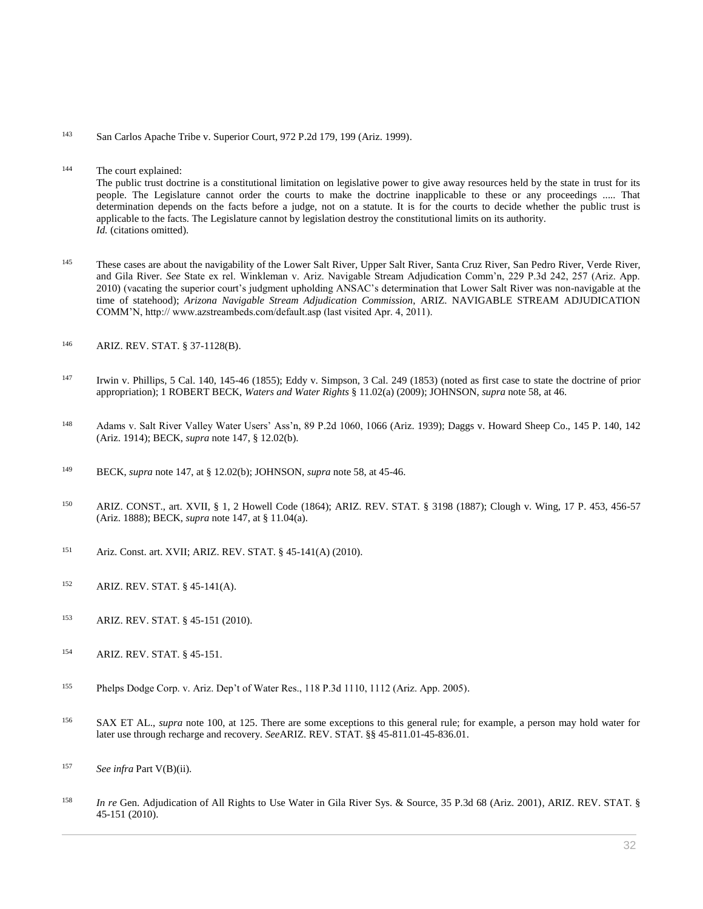- <sup>143</sup> [San Carlos Apache Tribe v. Superior Court, 972 P.2d 179, 199 \(Ariz. 1999\).](http://www.westlaw.com/Link/Document/FullText?findType=Y&serNum=1999027967&pubNum=0000661&originatingDoc=I0ecc82a82df011e18b05fdf15589d8e8&refType=RP&fi=co_pp_sp_661_199&originationContext=document&vr=3.0&rs=cblt1.0&transitionType=DocumentItem&contextData=(sc.Search)#co_pp_sp_661_199)
- <sup>144</sup> The court explained: The public trust doctrine is a constitutional limitation on legislative power to give away resources held by the state in trust for its people. The Legislature cannot order the courts to make the doctrine inapplicable to these or any proceedings ..... That determination depends on the facts before a judge, not on a statute. It is for the courts to decide whether the public trust is applicable to the facts. The Legislature cannot by legislation destroy the constitutional limits on its authority. *Id.* (citations omitted).
- <sup>145</sup> These cases are about the navigability of the Lower Salt [River,](http://www.westlaw.com/Link/Document/FullText?findType=Y&serNum=2021857724&pubNum=4645&originatingDoc=I0ecc82a82df011e18b05fdf15589d8e8&refType=RP&fi=co_pp_sp_4645_257&originationContext=document&vr=3.0&rs=cblt1.0&transitionType=DocumentItem&contextData=(sc.Search)#co_pp_sp_4645_257) Upper Salt River, Santa Cruz River, San Pedro River, Verde River, and Gila River. *See* [State ex rel. Winkleman v. Ariz. Navigable Stream Adjudication Comm'n, 229 P.3d 242, 257 \(Ariz. App.](http://www.westlaw.com/Link/Document/FullText?findType=Y&serNum=2021857724&pubNum=4645&originatingDoc=I0ecc82a82df011e18b05fdf15589d8e8&refType=RP&fi=co_pp_sp_4645_257&originationContext=document&vr=3.0&rs=cblt1.0&transitionType=DocumentItem&contextData=(sc.Search)#co_pp_sp_4645_257)  [2010\)](http://www.westlaw.com/Link/Document/FullText?findType=Y&serNum=2021857724&pubNum=4645&originatingDoc=I0ecc82a82df011e18b05fdf15589d8e8&refType=RP&fi=co_pp_sp_4645_257&originationContext=document&vr=3.0&rs=cblt1.0&transitionType=DocumentItem&contextData=(sc.Search)#co_pp_sp_4645_257) (vacating the superior court's judgment upholding ANSAC's determination that Lower Salt River was non-navigable at the time of statehood); *Arizona Navigable Stream Adjudication Commission*, ARIZ. NAVIGABLE STREAM ADJUDICATION COMM'N, http:// www.azstreambeds.com/default.asp (last visited Apr. 4, 2011).
- <sup>146</sup> [ARIZ. REV. STAT. § 37-1128\(B\).](http://www.westlaw.com/Link/Document/FullText?findType=L&pubNum=1000251&cite=AZSTS37-1128&originatingDoc=I0ecc82a82df011e18b05fdf15589d8e8&refType=LQ&originationContext=document&vr=3.0&rs=cblt1.0&transitionType=DocumentItem&contextData=(sc.Search))
- <sup>147</sup> [Irwin v. Phillips, 5 Cal. 140, 145-46 \(1855\);](http://www.westlaw.com/Link/Document/FullText?findType=Y&serNum=1855001695&pubNum=0000220&originatingDoc=I0ecc82a82df011e18b05fdf15589d8e8&refType=RP&fi=co_pp_sp_220_145&originationContext=document&vr=3.0&rs=cblt1.0&transitionType=DocumentItem&contextData=(sc.Search)#co_pp_sp_220_145) [Eddy v. Simpson, 3 Cal. 249 \(1853\)](http://www.westlaw.com/Link/Document/FullText?findType=Y&serNum=1853001056&pubNum=0000220&originatingDoc=I0ecc82a82df011e18b05fdf15589d8e8&refType=RP&originationContext=document&vr=3.0&rs=cblt1.0&transitionType=DocumentItem&contextData=(sc.Search)) (noted as first case to state the doctrine of prior appropriation); 1 ROBERT BECK, *Waters and Water Rights* § 11.02(a) (2009); JOHNSON, *supra* note 58, at 46.
- <sup>148</sup> [Adams v. Salt River Valley Water Users' Ass'n, 89 P.2d 1060, 1066 \(Ariz. 1939\);](http://www.westlaw.com/Link/Document/FullText?findType=Y&serNum=1939116686&pubNum=0000661&originatingDoc=I0ecc82a82df011e18b05fdf15589d8e8&refType=RP&fi=co_pp_sp_661_1066&originationContext=document&vr=3.0&rs=cblt1.0&transitionType=DocumentItem&contextData=(sc.Search)#co_pp_sp_661_1066) [Daggs v. Howard Sheep Co., 145 P. 140, 142](http://www.westlaw.com/Link/Document/FullText?findType=Y&serNum=1914001780&pubNum=0000660&originatingDoc=I0ecc82a82df011e18b05fdf15589d8e8&refType=RP&fi=co_pp_sp_660_142&originationContext=document&vr=3.0&rs=cblt1.0&transitionType=DocumentItem&contextData=(sc.Search)#co_pp_sp_660_142)  [\(Ariz. 1914\);](http://www.westlaw.com/Link/Document/FullText?findType=Y&serNum=1914001780&pubNum=0000660&originatingDoc=I0ecc82a82df011e18b05fdf15589d8e8&refType=RP&fi=co_pp_sp_660_142&originationContext=document&vr=3.0&rs=cblt1.0&transitionType=DocumentItem&contextData=(sc.Search)#co_pp_sp_660_142) BECK, *supra* note 147, § 12.02(b).
- <sup>149</sup> BECK, *supra* note 147, at § 12.02(b); JOHNSON, *supra* note 58, at 45-46.
- <sup>150</sup> [ARIZ. CONST., art. XVII, § 1,](http://www.westlaw.com/Link/Document/FullText?findType=L&pubNum=1000447&cite=AZCNART17S1&originatingDoc=I0ecc82a82df011e18b05fdf15589d8e8&refType=LQ&originationContext=document&vr=3.0&rs=cblt1.0&transitionType=DocumentItem&contextData=(sc.Search)) [2](http://www.westlaw.com/Link/Document/FullText?findType=L&pubNum=1000447&cite=AZCNART17S2&originatingDoc=I0ecc82a82df011e18b05fdf15589d8e8&refType=LQ&originationContext=document&vr=3.0&rs=cblt1.0&transitionType=DocumentItem&contextData=(sc.Search)) Howell Code (1864); ARIZ. REV. STAT. § 3198 (1887); [Clough v. Wing, 17 P. 453, 456-57](http://www.westlaw.com/Link/Document/FullText?findType=Y&serNum=1888170075&pubNum=0000660&originatingDoc=I0ecc82a82df011e18b05fdf15589d8e8&refType=RP&fi=co_pp_sp_660_456&originationContext=document&vr=3.0&rs=cblt1.0&transitionType=DocumentItem&contextData=(sc.Search)#co_pp_sp_660_456)  [\(Ariz. 1888\);](http://www.westlaw.com/Link/Document/FullText?findType=Y&serNum=1888170075&pubNum=0000660&originatingDoc=I0ecc82a82df011e18b05fdf15589d8e8&refType=RP&fi=co_pp_sp_660_456&originationContext=document&vr=3.0&rs=cblt1.0&transitionType=DocumentItem&contextData=(sc.Search)#co_pp_sp_660_456) BECK, *supra* note 147, at § 11.04(a).
- <sup>151</sup> Ariz. Const. art. XVII[; ARIZ. REV. STAT. § 45-141\(A\)](http://www.westlaw.com/Link/Document/FullText?findType=L&pubNum=1000251&cite=AZSTS45-141&originatingDoc=I0ecc82a82df011e18b05fdf15589d8e8&refType=LQ&originationContext=document&vr=3.0&rs=cblt1.0&transitionType=DocumentItem&contextData=(sc.Search)) (2010).
- <sup>152</sup> [ARIZ. REV. STAT. § 45-141\(A\).](http://www.westlaw.com/Link/Document/FullText?findType=L&pubNum=1000251&cite=AZSTS45-141&originatingDoc=I0ecc82a82df011e18b05fdf15589d8e8&refType=LQ&originationContext=document&vr=3.0&rs=cblt1.0&transitionType=DocumentItem&contextData=(sc.Search))
- <sup>153</sup> [ARIZ. REV. STAT.](http://www.westlaw.com/Link/Document/FullText?findType=L&pubNum=1000251&cite=AZSTS45-151&originatingDoc=I0ecc82a82df011e18b05fdf15589d8e8&refType=LQ&originationContext=document&vr=3.0&rs=cblt1.0&transitionType=DocumentItem&contextData=(sc.Search)) § 45-151 (2010).
- <sup>154</sup> [ARIZ. REV. STAT. § 45-151.](http://www.westlaw.com/Link/Document/FullText?findType=L&pubNum=1000251&cite=AZSTS45-151&originatingDoc=I0ecc82a82df011e18b05fdf15589d8e8&refType=LQ&originationContext=document&vr=3.0&rs=cblt1.0&transitionType=DocumentItem&contextData=(sc.Search))
- <sup>155</sup> [Phelps Dodge Corp. v. Ariz. Dep't of Water Res., 118 P.3d 1110, 1112 \(Ariz. App. 2005\).](http://www.westlaw.com/Link/Document/FullText?findType=Y&serNum=2007228724&pubNum=0004645&originatingDoc=I0ecc82a82df011e18b05fdf15589d8e8&refType=RP&fi=co_pp_sp_4645_1112&originationContext=document&vr=3.0&rs=cblt1.0&transitionType=DocumentItem&contextData=(sc.Search)#co_pp_sp_4645_1112)
- <sup>156</sup> SAX ET AL., *supra* note 100, at 125. There are some exceptions to this general rule; for example, a person may hold water for later use through recharge and recovery. *See*[ARIZ. REV. STAT. §§ 45-811.01](http://www.westlaw.com/Link/Document/FullText?findType=L&pubNum=1000251&cite=AZSTS45-811.01&originatingDoc=I0ecc82a82df011e18b05fdf15589d8e8&refType=LQ&originationContext=document&vr=3.0&rs=cblt1.0&transitionType=DocumentItem&contextData=(sc.Search))[-45-836.01.](http://www.westlaw.com/Link/Document/FullText?findType=L&pubNum=1000251&cite=AZSTS45-836.01&originatingDoc=I0ecc82a82df011e18b05fdf15589d8e8&refType=LQ&originationContext=document&vr=3.0&rs=cblt1.0&transitionType=DocumentItem&contextData=(sc.Search))
- <sup>157</sup> *See infra* Part V(B)(ii).
- <sup>158</sup> *In re* [Gen. Adjudication of All Rights to Use Water in Gila River Sys. & Source, 35 P.3d 68 \(Ariz. 2001\),](http://www.westlaw.com/Link/Document/FullText?findType=Y&serNum=2001473294&pubNum=0004645&originatingDoc=I0ecc82a82df011e18b05fdf15589d8e8&refType=RP&originationContext=document&vr=3.0&rs=cblt1.0&transitionType=DocumentItem&contextData=(sc.Search)) ARIZ. REV. STAT. § [45-151](http://www.westlaw.com/Link/Document/FullText?findType=L&pubNum=1000251&cite=AZSTS45-151&originatingDoc=I0ecc82a82df011e18b05fdf15589d8e8&refType=LQ&originationContext=document&vr=3.0&rs=cblt1.0&transitionType=DocumentItem&contextData=(sc.Search)) (2010).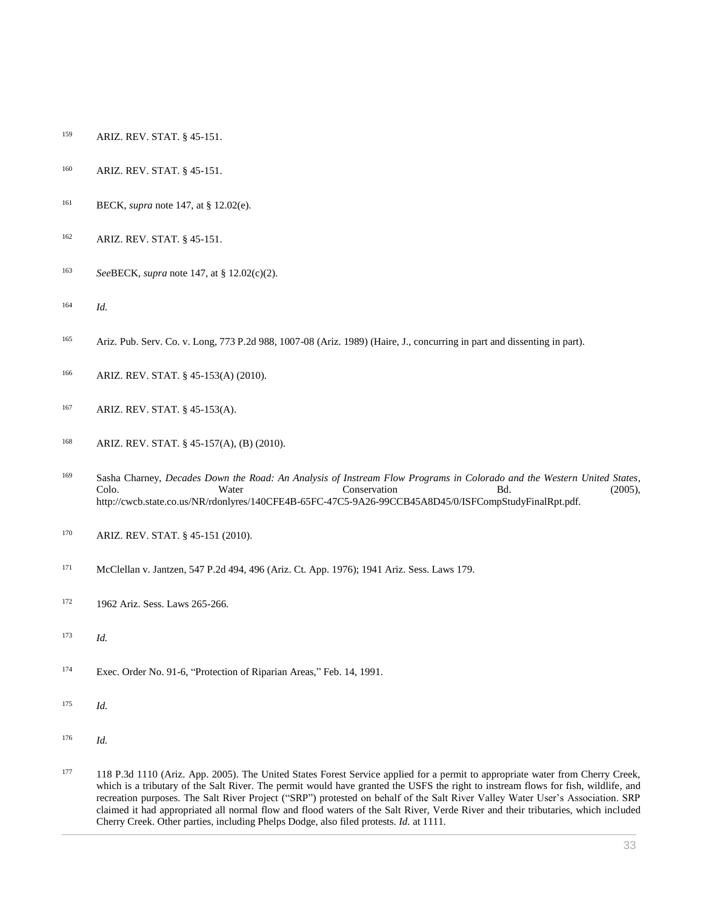- [ARIZ. REV. STAT. § 45-151.](http://www.westlaw.com/Link/Document/FullText?findType=L&pubNum=1000251&cite=AZSTS45-151&originatingDoc=I0ecc82a82df011e18b05fdf15589d8e8&refType=LQ&originationContext=document&vr=3.0&rs=cblt1.0&transitionType=DocumentItem&contextData=(sc.Search))
- [ARIZ. REV. STAT. § 45-151.](http://www.westlaw.com/Link/Document/FullText?findType=L&pubNum=1000251&cite=AZSTS45-151&originatingDoc=I0ecc82a82df011e18b05fdf15589d8e8&refType=LQ&originationContext=document&vr=3.0&rs=cblt1.0&transitionType=DocumentItem&contextData=(sc.Search))
- BECK, *supra* note 147, at § 12.02(e).
- [ARIZ. REV. STAT. § 45-151.](http://www.westlaw.com/Link/Document/FullText?findType=L&pubNum=1000251&cite=AZSTS45-151&originatingDoc=I0ecc82a82df011e18b05fdf15589d8e8&refType=LQ&originationContext=document&vr=3.0&rs=cblt1.0&transitionType=DocumentItem&contextData=(sc.Search))
- *See*BECK, *supra* note 147, at § 12.02(c)(2).
- *Id.*
- [Ariz. Pub. Serv. Co. v. Long, 773 P.2d 988, 1007-08 \(Ariz. 1989\)](http://www.westlaw.com/Link/Document/FullText?findType=Y&serNum=1989058344&pubNum=0000661&originatingDoc=I0ecc82a82df011e18b05fdf15589d8e8&refType=RP&fi=co_pp_sp_661_1007&originationContext=document&vr=3.0&rs=cblt1.0&transitionType=DocumentItem&contextData=(sc.Search)#co_pp_sp_661_1007) (Haire, J., concurring in part and dissenting in part).
- [ARIZ. REV. STAT. § 45-153\(A\)](http://www.westlaw.com/Link/Document/FullText?findType=L&pubNum=1000251&cite=AZSTS45-153&originatingDoc=I0ecc82a82df011e18b05fdf15589d8e8&refType=LQ&originationContext=document&vr=3.0&rs=cblt1.0&transitionType=DocumentItem&contextData=(sc.Search)) (2010).
- [ARIZ. REV. STAT. § 45-153\(A\).](http://www.westlaw.com/Link/Document/FullText?findType=L&pubNum=1000251&cite=AZSTS45-153&originatingDoc=I0ecc82a82df011e18b05fdf15589d8e8&refType=LQ&originationContext=document&vr=3.0&rs=cblt1.0&transitionType=DocumentItem&contextData=(sc.Search))
- [ARIZ. REV. STAT. § 45-157\(A\), \(B\)](http://www.westlaw.com/Link/Document/FullText?findType=L&pubNum=1000251&cite=AZSTS45-157&originatingDoc=I0ecc82a82df011e18b05fdf15589d8e8&refType=LQ&originationContext=document&vr=3.0&rs=cblt1.0&transitionType=DocumentItem&contextData=(sc.Search)) (2010).
- Sasha Charney, *Decades Down the Road: An Analysis of Instream Flow Programs in Colorado and the Western United States*, Colo. Water Conservation Bd. (2005), http://cwcb.state.co.us/NR/rdonlyres/140CFE4B-65FC-47C5-9A26-99CCB45A8D45/0/ISFCompStudyFinalRpt.pdf.
- [ARIZ. REV. STAT. § 45-151](http://www.westlaw.com/Link/Document/FullText?findType=L&pubNum=1000251&cite=AZSTS45-151&originatingDoc=I0ecc82a82df011e18b05fdf15589d8e8&refType=LQ&originationContext=document&vr=3.0&rs=cblt1.0&transitionType=DocumentItem&contextData=(sc.Search)) (2010).
- [McClellan v. Jantzen, 547 P.2d 494, 496 \(Ariz. Ct. App. 1976\);](http://www.westlaw.com/Link/Document/FullText?findType=Y&serNum=1976113356&pubNum=0000661&originatingDoc=I0ecc82a82df011e18b05fdf15589d8e8&refType=RP&fi=co_pp_sp_661_496&originationContext=document&vr=3.0&rs=cblt1.0&transitionType=DocumentItem&contextData=(sc.Search)#co_pp_sp_661_496) 1941 Ariz. Sess. Laws 179.
- 172 1962 Ariz. Sess. Laws 265-266.
- *Id.*
- [Exec. Order No. 91-6,](http://www.westlaw.com/Link/Document/FullText?findType=Y&pubNum=0001043&cite=EXECORDERNO91-6&originatingDoc=I0ecc82a82df011e18b05fdf15589d8e8&refType=CA&originationContext=document&vr=3.0&rs=cblt1.0&transitionType=DocumentItem&contextData=(sc.Search)) "Protection of Riparian Areas," Feb. 14, 1991.
- *Id.*
- *Id.*
- [118 P.3d 1110 \(Ariz. App. 2005\).](http://www.westlaw.com/Link/Document/FullText?findType=Y&serNum=2007228724&pubNum=0004645&originatingDoc=I0ecc82a82df011e18b05fdf15589d8e8&refType=RP&originationContext=document&vr=3.0&rs=cblt1.0&transitionType=DocumentItem&contextData=(sc.Search)) The United States Forest Service applied for a permit to appropriate water from Cherry Creek, which is a tributary of the Salt River. The permit would have granted the USFS the right to instream flows for fish, wildlife, and recreation purposes. The Salt River Project ("SRP") protested on behalf of the Salt River Valley Water User's Association. SRP claimed it had appropriated all normal flow and flood waters of the Salt River, Verde River and their tributaries, which included Cherry Creek. Other parties, including Phelps Dodge, also filed protests. *Id.* [at 1111.](http://www.westlaw.com/Link/Document/FullText?findType=Y&serNum=2007228724&originatingDoc=I0ecc82a82df011e18b05fdf15589d8e8&refType=RP&originationContext=document&vr=3.0&rs=cblt1.0&transitionType=DocumentItem&contextData=(sc.Search))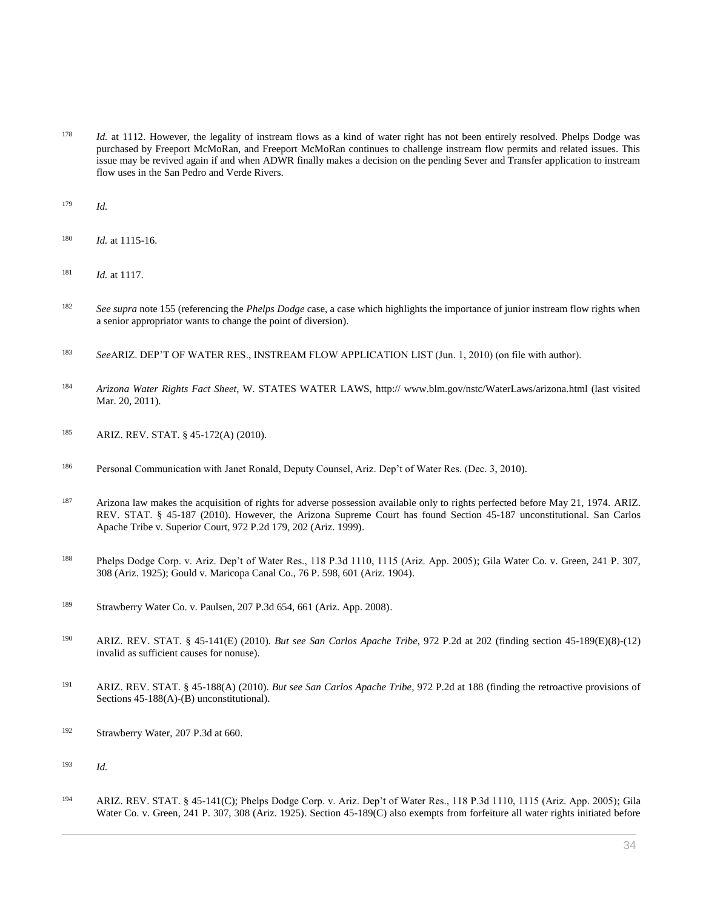<sup>178</sup> *Id.* [at 1112.](http://www.westlaw.com/Link/Document/FullText?findType=Y&serNum=2007228724&originatingDoc=I0ecc82a82df011e18b05fdf15589d8e8&refType=RP&originationContext=document&vr=3.0&rs=cblt1.0&transitionType=DocumentItem&contextData=(sc.Search)) However, the legality of instream flows as a kind of water right has not been entirely resolved. Phelps Dodge was purchased by Freeport McMoRan, and Freeport McMoRan continues to challenge instream flow permits and related issues. This issue may be revived again if and when ADWR finally makes a decision on the pending Sever and Transfer application to instream flow uses in the San Pedro and Verde Rivers.

<sup>179</sup> *Id.*

- <sup>180</sup> *Id.* at 1115-16.
- <sup>181</sup> *Id.* at 1117.
- <sup>182</sup> *See supra* note 155 (referencing the *Phelps Dodge* case, a case which highlights the importance of junior instream flow rights when a senior appropriator wants to change the point of diversion).
- <sup>183</sup> *See*ARIZ. DEP'T OF WATER RES., INSTREAM FLOW APPLICATION LIST (Jun. 1, 2010) (on file with author).
- <sup>184</sup> *Arizona Water Rights Fact Sheet*, W. STATES WATER LAWS, http:// www.blm.gov/nstc/WaterLaws/arizona.html (last visited Mar. 20, 2011).
- 185 [ARIZ. REV. STAT. § 45-172\(A\)](http://www.westlaw.com/Link/Document/FullText?findType=L&pubNum=1000251&cite=AZSTS45-172&originatingDoc=I0ecc82a82df011e18b05fdf15589d8e8&refType=LQ&originationContext=document&vr=3.0&rs=cblt1.0&transitionType=DocumentItem&contextData=(sc.Search)) (2010).
- <sup>186</sup> Personal Communication with Janet Ronald, Deputy Counsel, Ariz. Dep't of Water Res. (Dec. 3, 2010).
- <sup>187</sup> Arizona law makes the acquisition of rights for adverse possession available only to rights perfected before May 21, 1974. ARIZ. [REV. STAT. § 45-187](http://www.westlaw.com/Link/Document/FullText?findType=L&pubNum=1000251&cite=AZSTS45-187&originatingDoc=I0ecc82a82df011e18b05fdf15589d8e8&refType=LQ&originationContext=document&vr=3.0&rs=cblt1.0&transitionType=DocumentItem&contextData=(sc.Search)) (2010). However, the Arizona Supreme Court has found [Section 45-187](http://www.westlaw.com/Link/Document/FullText?findType=L&pubNum=1000251&cite=AZSTS45-187&originatingDoc=I0ecc82a82df011e18b05fdf15589d8e8&refType=LQ&originationContext=document&vr=3.0&rs=cblt1.0&transitionType=DocumentItem&contextData=(sc.Search)) unconstitutional. [San Carlos](http://www.westlaw.com/Link/Document/FullText?findType=Y&serNum=1999027967&pubNum=0000661&originatingDoc=I0ecc82a82df011e18b05fdf15589d8e8&refType=RP&fi=co_pp_sp_661_202&originationContext=document&vr=3.0&rs=cblt1.0&transitionType=DocumentItem&contextData=(sc.Search)#co_pp_sp_661_202)  [Apache Tribe v. Superior Court, 972 P.2d 179, 202 \(Ariz. 1999\).](http://www.westlaw.com/Link/Document/FullText?findType=Y&serNum=1999027967&pubNum=0000661&originatingDoc=I0ecc82a82df011e18b05fdf15589d8e8&refType=RP&fi=co_pp_sp_661_202&originationContext=document&vr=3.0&rs=cblt1.0&transitionType=DocumentItem&contextData=(sc.Search)#co_pp_sp_661_202)
- <sup>188</sup> [Phelps Dodge Corp. v. Ariz. Dep't of Water Res., 118 P.3d 1110, 1115 \(Ariz. App. 2005\);](http://www.westlaw.com/Link/Document/FullText?findType=Y&serNum=2007228724&pubNum=0004645&originatingDoc=I0ecc82a82df011e18b05fdf15589d8e8&refType=RP&fi=co_pp_sp_4645_1115&originationContext=document&vr=3.0&rs=cblt1.0&transitionType=DocumentItem&contextData=(sc.Search)#co_pp_sp_4645_1115) [Gila Water Co. v. Green, 241 P. 307,](http://www.westlaw.com/Link/Document/FullText?findType=Y&serNum=1926116060&pubNum=0000660&originatingDoc=I0ecc82a82df011e18b05fdf15589d8e8&refType=RP&fi=co_pp_sp_660_308&originationContext=document&vr=3.0&rs=cblt1.0&transitionType=DocumentItem&contextData=(sc.Search)#co_pp_sp_660_308)  [308 \(Ariz. 1925\);](http://www.westlaw.com/Link/Document/FullText?findType=Y&serNum=1926116060&pubNum=0000660&originatingDoc=I0ecc82a82df011e18b05fdf15589d8e8&refType=RP&fi=co_pp_sp_660_308&originationContext=document&vr=3.0&rs=cblt1.0&transitionType=DocumentItem&contextData=(sc.Search)#co_pp_sp_660_308) [Gould v. Maricopa Canal Co., 76 P. 598, 601 \(Ariz. 1904\).](http://www.westlaw.com/Link/Document/FullText?findType=Y&serNum=1904001656&pubNum=0000660&originatingDoc=I0ecc82a82df011e18b05fdf15589d8e8&refType=RP&fi=co_pp_sp_660_601&originationContext=document&vr=3.0&rs=cblt1.0&transitionType=DocumentItem&contextData=(sc.Search)#co_pp_sp_660_601)
- <sup>189</sup> [Strawberry Water Co. v. Paulsen, 207 P.3d 654, 661 \(Ariz. App. 2008\).](http://www.westlaw.com/Link/Document/FullText?findType=Y&serNum=2016632803&pubNum=0004645&originatingDoc=I0ecc82a82df011e18b05fdf15589d8e8&refType=RP&fi=co_pp_sp_4645_661&originationContext=document&vr=3.0&rs=cblt1.0&transitionType=DocumentItem&contextData=(sc.Search)#co_pp_sp_4645_661)
- <sup>190</sup> [ARIZ. REV. STAT. § 45-141\(E\)](http://www.westlaw.com/Link/Document/FullText?findType=L&pubNum=1000251&cite=AZSTS45-141&originatingDoc=I0ecc82a82df011e18b05fdf15589d8e8&refType=LQ&originationContext=document&vr=3.0&rs=cblt1.0&transitionType=DocumentItem&contextData=(sc.Search)) (2010)*. But see [San Carlos Apache Tribe](http://www.westlaw.com/Link/Document/FullText?findType=Y&serNum=1999027967&pubNum=0000661&originatingDoc=I0ecc82a82df011e18b05fdf15589d8e8&refType=RP&fi=co_pp_sp_661_202&originationContext=document&vr=3.0&rs=cblt1.0&transitionType=DocumentItem&contextData=(sc.Search)#co_pp_sp_661_202)*, 972 P.2d at 202 (finding section 45-189(E)(8)-(12) invalid as sufficient causes for nonuse).
- <sup>191</sup> [ARIZ. REV. STAT. § 45-188\(A\)](http://www.westlaw.com/Link/Document/FullText?findType=L&pubNum=1000251&cite=AZSTS45-188&originatingDoc=I0ecc82a82df011e18b05fdf15589d8e8&refType=LQ&originationContext=document&vr=3.0&rs=cblt1.0&transitionType=DocumentItem&contextData=(sc.Search)) (2010). *But see [San Carlos Apache Tribe](http://www.westlaw.com/Link/Document/FullText?findType=Y&serNum=1999027967&pubNum=0000661&originatingDoc=I0ecc82a82df011e18b05fdf15589d8e8&refType=RP&fi=co_pp_sp_661_188&originationContext=document&vr=3.0&rs=cblt1.0&transitionType=DocumentItem&contextData=(sc.Search)#co_pp_sp_661_188)*, 972 P.2d at 188 (finding the retroactive provisions of [Sections 45-188\(A\)-\(B\)](http://www.westlaw.com/Link/Document/FullText?findType=L&pubNum=1000251&cite=AZSTS45-188&originatingDoc=I0ecc82a82df011e18b05fdf15589d8e8&refType=LQ&originationContext=document&vr=3.0&rs=cblt1.0&transitionType=DocumentItem&contextData=(sc.Search)) unconstitutional).
- <sup>192</sup> [Strawberry Water, 207 P.3d at 660.](http://www.westlaw.com/Link/Document/FullText?findType=Y&serNum=2016632803&pubNum=0004645&originatingDoc=I0ecc82a82df011e18b05fdf15589d8e8&refType=RP&fi=co_pp_sp_4645_660&originationContext=document&vr=3.0&rs=cblt1.0&transitionType=DocumentItem&contextData=(sc.Search)#co_pp_sp_4645_660)

<sup>193</sup> *Id.*

<sup>194</sup> [ARIZ. REV. STAT. § 45-141\(C\);](http://www.westlaw.com/Link/Document/FullText?findType=L&pubNum=1000251&cite=AZSTS45-141&originatingDoc=I0ecc82a82df011e18b05fdf15589d8e8&refType=LQ&originationContext=document&vr=3.0&rs=cblt1.0&transitionType=DocumentItem&contextData=(sc.Search)) [Phelps Dodge Corp. v. Ariz. Dep't of Water Res., 118 P.3d 1110, 1115 \(Ariz. App. 2005\);](http://www.westlaw.com/Link/Document/FullText?findType=Y&serNum=2007228724&pubNum=0004645&originatingDoc=I0ecc82a82df011e18b05fdf15589d8e8&refType=RP&fi=co_pp_sp_4645_1115&originationContext=document&vr=3.0&rs=cblt1.0&transitionType=DocumentItem&contextData=(sc.Search)#co_pp_sp_4645_1115) [Gila](http://www.westlaw.com/Link/Document/FullText?findType=Y&serNum=1926116060&pubNum=0000660&originatingDoc=I0ecc82a82df011e18b05fdf15589d8e8&refType=RP&fi=co_pp_sp_660_308&originationContext=document&vr=3.0&rs=cblt1.0&transitionType=DocumentItem&contextData=(sc.Search)#co_pp_sp_660_308)  [Water Co. v. Green, 241 P. 307, 308 \(Ariz. 1925\).](http://www.westlaw.com/Link/Document/FullText?findType=Y&serNum=1926116060&pubNum=0000660&originatingDoc=I0ecc82a82df011e18b05fdf15589d8e8&refType=RP&fi=co_pp_sp_660_308&originationContext=document&vr=3.0&rs=cblt1.0&transitionType=DocumentItem&contextData=(sc.Search)#co_pp_sp_660_308) Section 45-189(C) also exempts from forfeiture all water rights initiated before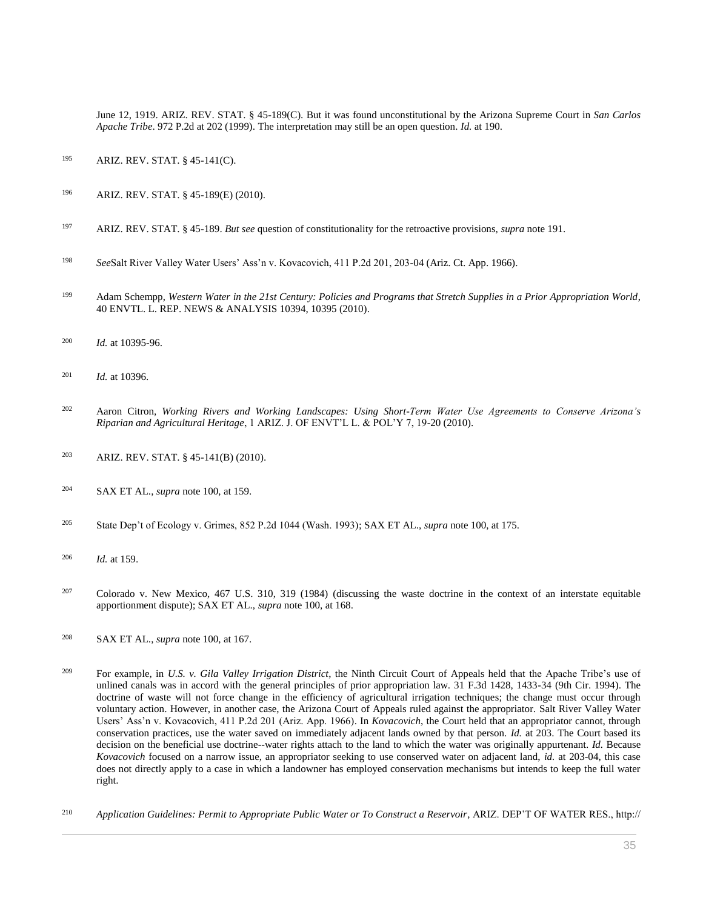June 12, 1919. [ARIZ. REV. STAT. § 45-189\(C\).](http://www.westlaw.com/Link/Document/FullText?findType=L&pubNum=1000251&cite=AZSTS45-189&originatingDoc=I0ecc82a82df011e18b05fdf15589d8e8&refType=LQ&originationContext=document&vr=3.0&rs=cblt1.0&transitionType=DocumentItem&contextData=(sc.Search)) But it was found unconstitutional by the [Arizona Supreme Court in](http://www.westlaw.com/Link/Document/FullText?findType=Y&serNum=1999027967&pubNum=661&originatingDoc=I0ecc82a82df011e18b05fdf15589d8e8&refType=RP&fi=co_pp_sp_661_202&originationContext=document&vr=3.0&rs=cblt1.0&transitionType=DocumentItem&contextData=(sc.Search)#co_pp_sp_661_202) *San Carlos Apache Tribe*[. 972 P.2d at 202 \(1999\).](http://www.westlaw.com/Link/Document/FullText?findType=Y&serNum=1999027967&pubNum=661&originatingDoc=I0ecc82a82df011e18b05fdf15589d8e8&refType=RP&fi=co_pp_sp_661_202&originationContext=document&vr=3.0&rs=cblt1.0&transitionType=DocumentItem&contextData=(sc.Search)#co_pp_sp_661_202) The interpretation may still be an open question. *Id.* [at 190.](http://www.westlaw.com/Link/Document/FullText?findType=Y&serNum=1999027967&originatingDoc=I0ecc82a82df011e18b05fdf15589d8e8&refType=RP&originationContext=document&vr=3.0&rs=cblt1.0&transitionType=DocumentItem&contextData=(sc.Search))

- <sup>195</sup> [ARIZ. REV. STAT. § 45-141\(C\).](http://www.westlaw.com/Link/Document/FullText?findType=L&pubNum=1000251&cite=AZSTS45-141&originatingDoc=I0ecc82a82df011e18b05fdf15589d8e8&refType=LQ&originationContext=document&vr=3.0&rs=cblt1.0&transitionType=DocumentItem&contextData=(sc.Search))
- <sup>196</sup> [ARIZ. REV. STAT. § 45-189\(E\)](http://www.westlaw.com/Link/Document/FullText?findType=L&pubNum=1000251&cite=AZSTS45-189&originatingDoc=I0ecc82a82df011e18b05fdf15589d8e8&refType=LQ&originationContext=document&vr=3.0&rs=cblt1.0&transitionType=DocumentItem&contextData=(sc.Search)) (2010).
- <sup>197</sup> [ARIZ. REV. STAT. § 45-189.](http://www.westlaw.com/Link/Document/FullText?findType=L&pubNum=1000251&cite=AZSTS45-189&originatingDoc=I0ecc82a82df011e18b05fdf15589d8e8&refType=LQ&originationContext=document&vr=3.0&rs=cblt1.0&transitionType=DocumentItem&contextData=(sc.Search)) *But see* question of constitutionality for the retroactive provisions, *supra* note 191.
- <sup>198</sup> *See*[Salt River Valley Water Users' Ass'n v. Kovacovich, 411 P.2d 201, 203-04 \(Ariz. Ct. App. 1966\).](http://www.westlaw.com/Link/Document/FullText?findType=Y&serNum=1966112152&pubNum=0000661&originatingDoc=I0ecc82a82df011e18b05fdf15589d8e8&refType=RP&fi=co_pp_sp_661_203&originationContext=document&vr=3.0&rs=cblt1.0&transitionType=DocumentItem&contextData=(sc.Search)#co_pp_sp_661_203)
- <sup>199</sup> Adam Schempp, *[Western Water in the 21st Century: Policies and Programs that Stretch Supplies in a Prior Appropriation World](http://www.westlaw.com/Link/Document/FullText?findType=Y&serNum=0352718719&pubNum=0204773&originatingDoc=I0ecc82a82df011e18b05fdf15589d8e8&refType=LR&fi=co_pp_sp_204773_10395&originationContext=document&vr=3.0&rs=cblt1.0&transitionType=DocumentItem&contextData=(sc.Search)#co_pp_sp_204773_10395)*, [40 ENVTL. L. REP. NEWS & ANALYSIS 10394, 10395 \(2010\).](http://www.westlaw.com/Link/Document/FullText?findType=Y&serNum=0352718719&pubNum=0204773&originatingDoc=I0ecc82a82df011e18b05fdf15589d8e8&refType=LR&fi=co_pp_sp_204773_10395&originationContext=document&vr=3.0&rs=cblt1.0&transitionType=DocumentItem&contextData=(sc.Search)#co_pp_sp_204773_10395)
- <sup>200</sup> *Id.* [at 10395-96.](http://www.westlaw.com/Link/Document/FullText?findType=Y&serNum=0352718719&originatingDoc=I0ecc82a82df011e18b05fdf15589d8e8&refType=LR&originationContext=document&vr=3.0&rs=cblt1.0&transitionType=DocumentItem&contextData=(sc.Search))
- <sup>201</sup> *Id.* [at 10396.](http://www.westlaw.com/Link/Document/FullText?findType=Y&serNum=0352718719&originatingDoc=I0ecc82a82df011e18b05fdf15589d8e8&refType=LR&originationContext=document&vr=3.0&rs=cblt1.0&transitionType=DocumentItem&contextData=(sc.Search))
- <sup>202</sup> Aaron Citron, *Working Rivers and Working Landscapes: Using Short-Term Water Use Agreements to Conserve Arizona's Riparian and Agricultural Heritage*, 1 ARIZ. J. OF ENVT'L L. & POL'Y 7, 19-20 (2010).
- <sup>203</sup> [ARIZ. REV. STAT. § 45-141\(B\)](http://www.westlaw.com/Link/Document/FullText?findType=L&pubNum=1000251&cite=AZSTS45-141&originatingDoc=I0ecc82a82df011e18b05fdf15589d8e8&refType=LQ&originationContext=document&vr=3.0&rs=cblt1.0&transitionType=DocumentItem&contextData=(sc.Search)) (2010).
- <sup>204</sup> SAX ET AL., *supra* note 100, at 159.
- <sup>205</sup> [State Dep't of Ecology v. Grimes, 852 P.2d 1044 \(Wash. 1993\);](http://www.westlaw.com/Link/Document/FullText?findType=Y&serNum=1993108309&pubNum=0000661&originatingDoc=I0ecc82a82df011e18b05fdf15589d8e8&refType=RP&originationContext=document&vr=3.0&rs=cblt1.0&transitionType=DocumentItem&contextData=(sc.Search)) SAX ET AL., *supra* note 100, at 175.
- <sup>206</sup> *Id.* at 159.
- <sup>207</sup> [Colorado v. New Mexico, 467 U.S. 310, 319 \(1984\)](http://www.westlaw.com/Link/Document/FullText?findType=Y&serNum=1984126796&pubNum=0000780&originatingDoc=I0ecc82a82df011e18b05fdf15589d8e8&refType=RP&fi=co_pp_sp_780_319&originationContext=document&vr=3.0&rs=cblt1.0&transitionType=DocumentItem&contextData=(sc.Search)#co_pp_sp_780_319) (discussing the waste doctrine in the context of an interstate equitable apportionment dispute); SAX ET AL., *supra* note 100, at 168.
- <sup>208</sup> SAX ET AL., *supra* note 100, at 167.
- <sup>209</sup> For example, in *U.S. v. Gila Valley Irrigation District*[, the Ninth Circuit Court of Appeals held that the Apache Tribe's use of](http://www.westlaw.com/Link/Document/FullText?findType=Y&serNum=1994149268&pubNum=0000506&originatingDoc=I0ecc82a82df011e18b05fdf15589d8e8&refType=RP&fi=co_pp_sp_506_1433&originationContext=document&vr=3.0&rs=cblt1.0&transitionType=DocumentItem&contextData=(sc.Search)#co_pp_sp_506_1433)  [unlined canals was in accord with the general principles of prior appropriation law. 31 F.3d 1428, 1433-34 \(9th Cir. 1994\).](http://www.westlaw.com/Link/Document/FullText?findType=Y&serNum=1994149268&pubNum=0000506&originatingDoc=I0ecc82a82df011e18b05fdf15589d8e8&refType=RP&fi=co_pp_sp_506_1433&originationContext=document&vr=3.0&rs=cblt1.0&transitionType=DocumentItem&contextData=(sc.Search)#co_pp_sp_506_1433) The doctrine of waste will not force change in the efficiency of agricultural irrigation techniques; the change must occur through voluntary action. However, in another case, the Arizona Court of Appeals ruled against the appropriator. [Salt River Valley Water](http://www.westlaw.com/Link/Document/FullText?findType=Y&serNum=1966112152&pubNum=0000661&originatingDoc=I0ecc82a82df011e18b05fdf15589d8e8&refType=RP&originationContext=document&vr=3.0&rs=cblt1.0&transitionType=DocumentItem&contextData=(sc.Search))  [Users' Ass'n v. Kovacovich, 411 P.2d 201 \(Ariz. App. 1966\).](http://www.westlaw.com/Link/Document/FullText?findType=Y&serNum=1966112152&pubNum=0000661&originatingDoc=I0ecc82a82df011e18b05fdf15589d8e8&refType=RP&originationContext=document&vr=3.0&rs=cblt1.0&transitionType=DocumentItem&contextData=(sc.Search)) In *Kovacovich*, the Court held that an appropriator cannot, through conservation practices, use the water saved on immediately adjacent lands owned by that person. *Id.* at 203. The Court based its decision on the beneficial use doctrine--water rights attach to the land to which the water was originally appurtenant. *Id.* Because *Kovacovich* focused on a narrow issue, an appropriator seeking to use conserved water on adjacent land, *id.* at 203-04, this case does not directly apply to a case in which a landowner has employed conservation mechanisms but intends to keep the full water right.
- <sup>210</sup> *Application Guidelines: Permit to Appropriate Public Water or To Construct a Reservoir*, ARIZ. DEP'T OF WATER RES., http://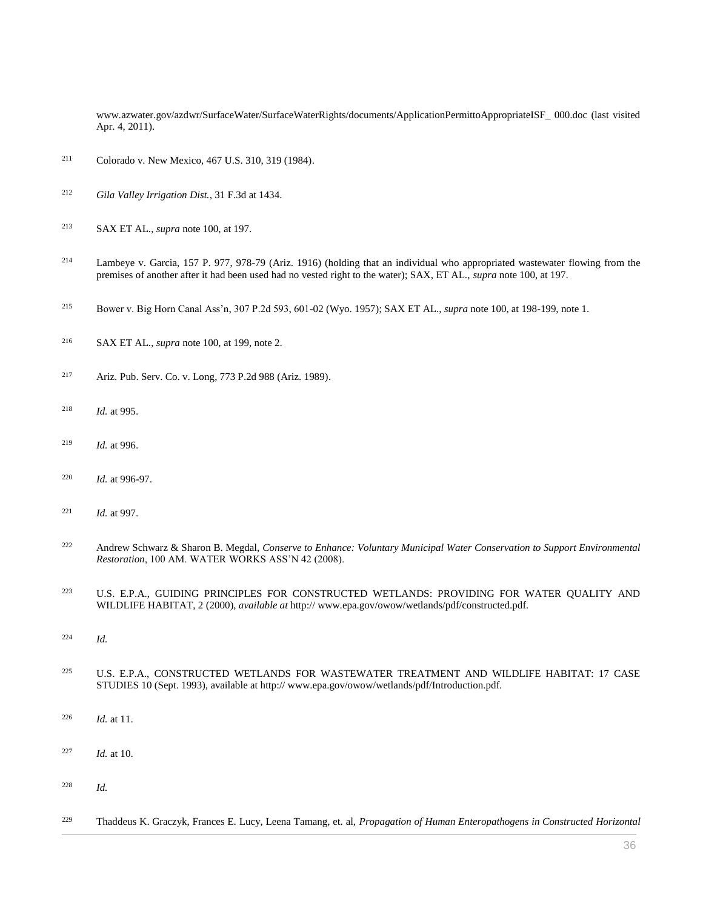www.azwater.gov/azdwr/SurfaceWater/SurfaceWaterRights/documents/ApplicationPermittoAppropriateISF\_ 000.doc (last visited Apr. 4, 2011).

- [Colorado v. New Mexico, 467 U.S. 310, 319 \(1984\).](http://www.westlaw.com/Link/Document/FullText?findType=Y&serNum=1984126796&pubNum=0000780&originatingDoc=I0ecc82a82df011e18b05fdf15589d8e8&refType=RP&fi=co_pp_sp_780_319&originationContext=document&vr=3.0&rs=cblt1.0&transitionType=DocumentItem&contextData=(sc.Search)#co_pp_sp_780_319)
- *[Gila Valley Irrigation Dist.](http://www.westlaw.com/Link/Document/FullText?findType=Y&serNum=1994149268&pubNum=0000506&originatingDoc=I0ecc82a82df011e18b05fdf15589d8e8&refType=RP&fi=co_pp_sp_506_1434&originationContext=document&vr=3.0&rs=cblt1.0&transitionType=DocumentItem&contextData=(sc.Search)#co_pp_sp_506_1434)*, 31 F.3d at 1434.
- SAX ET AL., *supra* note 100, at 197.
- [Lambeye v. Garcia, 157 P. 977, 978-79 \(Ariz. 1916\)](http://www.westlaw.com/Link/Document/FullText?findType=Y&serNum=1916001884&pubNum=0000660&originatingDoc=I0ecc82a82df011e18b05fdf15589d8e8&refType=RP&fi=co_pp_sp_660_978&originationContext=document&vr=3.0&rs=cblt1.0&transitionType=DocumentItem&contextData=(sc.Search)#co_pp_sp_660_978) (holding that an individual who appropriated wastewater flowing from the premises of another after it had been used had no vested right to the water); SAX, ET AL., *supra* note 100, at 197.
- [Bower v. Big Horn Canal Ass'n, 307 P.2d 593, 601-02 \(Wyo. 1957\);](http://www.westlaw.com/Link/Document/FullText?findType=Y&serNum=1957128681&pubNum=0000661&originatingDoc=I0ecc82a82df011e18b05fdf15589d8e8&refType=RP&fi=co_pp_sp_661_601&originationContext=document&vr=3.0&rs=cblt1.0&transitionType=DocumentItem&contextData=(sc.Search)#co_pp_sp_661_601) SAX ET AL., *supra* note 100, at 198-199, note 1.
- SAX ET AL., *supra* note 100, at 199, note 2.
- [Ariz. Pub. Serv. Co. v. Long, 773 P.2d 988 \(Ariz. 1989\).](http://www.westlaw.com/Link/Document/FullText?findType=Y&serNum=1989058344&pubNum=0000661&originatingDoc=I0ecc82a82df011e18b05fdf15589d8e8&refType=RP&originationContext=document&vr=3.0&rs=cblt1.0&transitionType=DocumentItem&contextData=(sc.Search))
- *Id.* [at 995.](http://www.westlaw.com/Link/Document/FullText?findType=Y&serNum=1989058344&originatingDoc=I0ecc82a82df011e18b05fdf15589d8e8&refType=RP&originationContext=document&vr=3.0&rs=cblt1.0&transitionType=DocumentItem&contextData=(sc.Search))
- *Id.* [at 996.](http://www.westlaw.com/Link/Document/FullText?findType=Y&serNum=1989058344&originatingDoc=I0ecc82a82df011e18b05fdf15589d8e8&refType=RP&originationContext=document&vr=3.0&rs=cblt1.0&transitionType=DocumentItem&contextData=(sc.Search))
- *Id.* [at 996-97.](http://www.westlaw.com/Link/Document/FullText?findType=Y&serNum=1989058344&originatingDoc=I0ecc82a82df011e18b05fdf15589d8e8&refType=RP&originationContext=document&vr=3.0&rs=cblt1.0&transitionType=DocumentItem&contextData=(sc.Search))
- *Id.* [at 997.](http://www.westlaw.com/Link/Document/FullText?findType=Y&serNum=1989058344&originatingDoc=I0ecc82a82df011e18b05fdf15589d8e8&refType=RP&originationContext=document&vr=3.0&rs=cblt1.0&transitionType=DocumentItem&contextData=(sc.Search))
- Andrew Schwarz & Sharon B. Megdal, *Conserve to Enhance: Voluntary Municipal Water Conservation to Support Environmental Restoration*, 100 AM. WATER WORKS ASS'N 42 (2008).
- U.S. E.P.A., GUIDING PRINCIPLES FOR CONSTRUCTED WETLANDS: PROVIDING FOR WATER QUALITY AND WILDLIFE HABITAT, 2 (2000), *available at* http:// www.epa.gov/owow/wetlands/pdf/constructed.pdf.
- *Id.*
- U.S. E.P.A., CONSTRUCTED WETLANDS FOR WASTEWATER TREATMENT AND WILDLIFE HABITAT: 17 CASE STUDIES 10 (Sept. 1993), available at http:// www.epa.gov/owow/wetlands/pdf/Introduction.pdf.
- *Id.* at 11.
- *Id.* at 10.
- *Id.*
- Thaddeus K. Graczyk, Frances E. Lucy, Leena Tamang, et. al, *Propagation of Human Enteropathogens in Constructed Horizontal*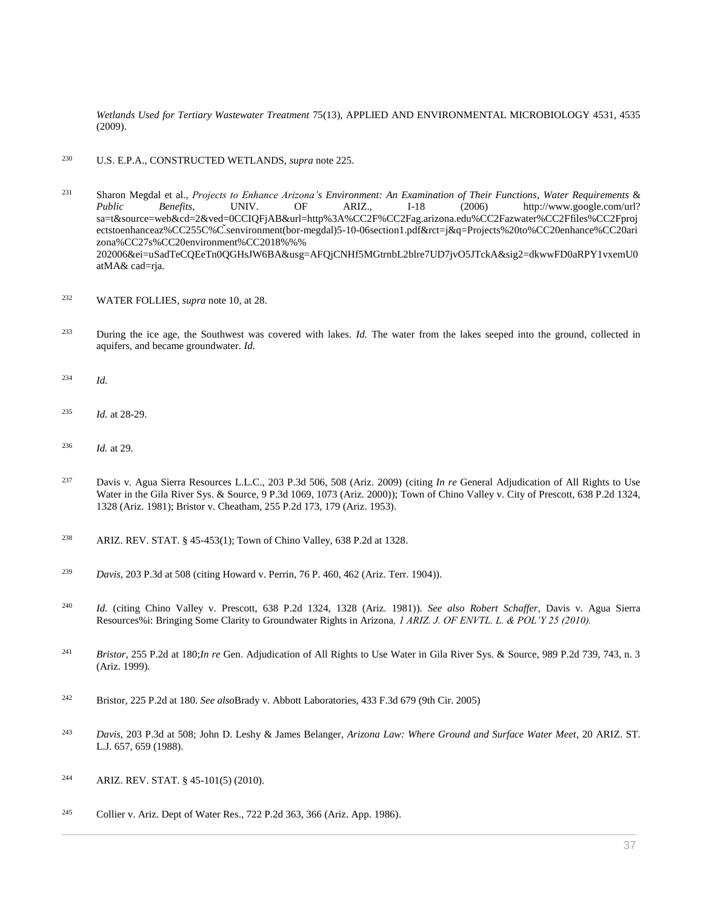*Wetlands Used for Tertiary Wastewater Treatment* 75(13), APPLIED AND ENVIRONMENTAL MICROBIOLOGY 4531, 4535 (2009).

<sup>230</sup> U.S. E.P.A., CONSTRUCTED WETLANDS, *supra* note 225.

<sup>231</sup> Sharon Megdal et al., *Projects to Enhance Arizona's Environment: An Examination of Their Functions*, *Water Requirements* & *Public Benefits*, UNIV. OF ARIZ., I-18 (2006) http://www.google.com/url? sa=t&source=web&cd=2&ved=0CCIQFjAB&url=http%3A%CC2F%CC2Fag.arizona.edu%CC2Fazwater%CC2Ffiles%CC2Fproj ectstoenhanceaz%CC255C%C.̃senvironment(bor-megdal)5-10-06section1.pdf&rct=j&q=Projects%20to%CC20enhance%CC20ari zona%CC27s%CC20environment%CC2018%%% 202006&ei=uSadTeCQEeTn0QGHsJW6BA&usg=AFQjCNHf5MGtrnbL2blre7UD7jvO5JTckA&sig2=dkwwFD0aRPY1vxemU0 atMA& cad=rja.

- <sup>232</sup> WATER FOLLIES, *supra* note 10, at 28.
- <sup>233</sup> During the ice age, the Southwest was covered with lakes. *Id.* The water from the lakes seeped into the ground, collected in aquifers, and became groundwater. *Id.*
- <sup>234</sup> *Id.*
- <sup>235</sup> *Id.* at 28-29.
- <sup>236</sup> *Id.* at 29.
- <sup>237</sup> [Davis v. Agua Sierra Resources L.L.C., 203 P.3d 506, 508 \(Ariz. 2009\)](http://www.westlaw.com/Link/Document/FullText?findType=Y&serNum=2018387096&pubNum=0004645&originatingDoc=I0ecc82a82df011e18b05fdf15589d8e8&refType=RP&fi=co_pp_sp_4645_508&originationContext=document&vr=3.0&rs=cblt1.0&transitionType=DocumentItem&contextData=(sc.Search)#co_pp_sp_4645_508) (citing *In re* [General Adjudication of All Rights to Use](http://www.westlaw.com/Link/Document/FullText?findType=Y&serNum=2000531688&pubNum=0004645&originatingDoc=I0ecc82a82df011e18b05fdf15589d8e8&refType=RP&fi=co_pp_sp_4645_1073&originationContext=document&vr=3.0&rs=cblt1.0&transitionType=DocumentItem&contextData=(sc.Search)#co_pp_sp_4645_1073)  [Water in the Gila River Sys. & Source, 9 P.3d 1069, 1073 \(Ariz. 2000\)\)](http://www.westlaw.com/Link/Document/FullText?findType=Y&serNum=2000531688&pubNum=0004645&originatingDoc=I0ecc82a82df011e18b05fdf15589d8e8&refType=RP&fi=co_pp_sp_4645_1073&originationContext=document&vr=3.0&rs=cblt1.0&transitionType=DocumentItem&contextData=(sc.Search)#co_pp_sp_4645_1073); [Town of Chino Valley v. City of Prescott, 638 P.2d 1324,](http://www.westlaw.com/Link/Document/FullText?findType=Y&serNum=1982102592&pubNum=0000661&originatingDoc=I0ecc82a82df011e18b05fdf15589d8e8&refType=RP&fi=co_pp_sp_661_1328&originationContext=document&vr=3.0&rs=cblt1.0&transitionType=DocumentItem&contextData=(sc.Search)#co_pp_sp_661_1328)  [1328 \(Ariz. 1981\);](http://www.westlaw.com/Link/Document/FullText?findType=Y&serNum=1982102592&pubNum=0000661&originatingDoc=I0ecc82a82df011e18b05fdf15589d8e8&refType=RP&fi=co_pp_sp_661_1328&originationContext=document&vr=3.0&rs=cblt1.0&transitionType=DocumentItem&contextData=(sc.Search)#co_pp_sp_661_1328) [Bristor v. Cheatham, 255 P.2d 173, 179 \(Ariz. 1953\).](http://www.westlaw.com/Link/Document/FullText?findType=Y&serNum=1953113383&pubNum=0000661&originatingDoc=I0ecc82a82df011e18b05fdf15589d8e8&refType=RP&fi=co_pp_sp_661_179&originationContext=document&vr=3.0&rs=cblt1.0&transitionType=DocumentItem&contextData=(sc.Search)#co_pp_sp_661_179)
- <sup>238</sup> [ARIZ. REV. STAT. § 45-453\(1\);](http://www.westlaw.com/Link/Document/FullText?findType=L&pubNum=1000251&cite=AZSTS45-453&originatingDoc=I0ecc82a82df011e18b05fdf15589d8e8&refType=LQ&originationContext=document&vr=3.0&rs=cblt1.0&transitionType=DocumentItem&contextData=(sc.Search)) [Town of Chino Valley, 638 P.2d at 1328.](http://www.westlaw.com/Link/Document/FullText?findType=Y&serNum=1982102592&pubNum=0000661&originatingDoc=I0ecc82a82df011e18b05fdf15589d8e8&refType=RP&fi=co_pp_sp_661_1328&originationContext=document&vr=3.0&rs=cblt1.0&transitionType=DocumentItem&contextData=(sc.Search)#co_pp_sp_661_1328)
- <sup>239</sup> *Davis*[, 203 P.3d at 508](http://www.westlaw.com/Link/Document/FullText?findType=Y&serNum=2018387096&pubNum=0004645&originatingDoc=I0ecc82a82df011e18b05fdf15589d8e8&refType=RP&fi=co_pp_sp_4645_508&originationContext=document&vr=3.0&rs=cblt1.0&transitionType=DocumentItem&contextData=(sc.Search)#co_pp_sp_4645_508) (citing [Howard v. Perrin, 76 P. 460, 462 \(Ariz. Terr. 1904\)\)](http://www.westlaw.com/Link/Document/FullText?findType=Y&serNum=1904001641&pubNum=0000660&originatingDoc=I0ecc82a82df011e18b05fdf15589d8e8&refType=RP&fi=co_pp_sp_660_462&originationContext=document&vr=3.0&rs=cblt1.0&transitionType=DocumentItem&contextData=(sc.Search)#co_pp_sp_660_462).
- <sup>240</sup> *Id.* (citing [Chino Valley v. Prescott, 638 P.2d 1324, 1328 \(Ariz. 1981\)\)](http://www.westlaw.com/Link/Document/FullText?findType=Y&serNum=1982102592&pubNum=0000661&originatingDoc=I0ecc82a82df011e18b05fdf15589d8e8&refType=RP&fi=co_pp_sp_661_1328&originationContext=document&vr=3.0&rs=cblt1.0&transitionType=DocumentItem&contextData=(sc.Search)#co_pp_sp_661_1328). *See also Robert Schaffer,* Davis v. Agua Sierra Resources%i: Bringing Some Clarity to Groundwater Rights in Arizona*, 1 ARIZ. J. OF ENVTL. L. & POL'Y 25 (2010).*
- <sup>241</sup> *Bristor*[, 255 P.2d at 180;](http://www.westlaw.com/Link/Document/FullText?findType=Y&serNum=1953113383&pubNum=661&originatingDoc=I0ecc82a82df011e18b05fdf15589d8e8&refType=RP&fi=co_pp_sp_661_180&originationContext=document&vr=3.0&rs=cblt1.0&transitionType=DocumentItem&contextData=(sc.Search)#co_pp_sp_661_180)*In re* [Gen. Adjudication of All Rights to Use Water in Gila River Sys. & Source, 989 P.2d 739, 743, n. 3](http://www.westlaw.com/Link/Document/FullText?findType=Y&serNum=1999255784&pubNum=0000661&originatingDoc=I0ecc82a82df011e18b05fdf15589d8e8&refType=RP&fi=co_pp_sp_661_743&originationContext=document&vr=3.0&rs=cblt1.0&transitionType=DocumentItem&contextData=(sc.Search)#co_pp_sp_661_743)  [\(Ariz. 1999\).](http://www.westlaw.com/Link/Document/FullText?findType=Y&serNum=1999255784&pubNum=0000661&originatingDoc=I0ecc82a82df011e18b05fdf15589d8e8&refType=RP&fi=co_pp_sp_661_743&originationContext=document&vr=3.0&rs=cblt1.0&transitionType=DocumentItem&contextData=(sc.Search)#co_pp_sp_661_743)
- <sup>242</sup> Bristor, 225 P.2d at 180. *See also*[Brady v. Abbott Laboratories, 433 F.3d 679 \(9th Cir. 2005\)](http://www.westlaw.com/Link/Document/FullText?findType=Y&serNum=2007973295&pubNum=0000506&originatingDoc=I0ecc82a82df011e18b05fdf15589d8e8&refType=RP&originationContext=document&vr=3.0&rs=cblt1.0&transitionType=DocumentItem&contextData=(sc.Search))
- <sup>243</sup> *Davis*[, 203 P.3d at 508;](http://www.westlaw.com/Link/Document/FullText?findType=Y&serNum=2018387096&pubNum=4645&originatingDoc=I0ecc82a82df011e18b05fdf15589d8e8&refType=RP&fi=co_pp_sp_4645_508&originationContext=document&vr=3.0&rs=cblt1.0&transitionType=DocumentItem&contextData=(sc.Search)#co_pp_sp_4645_508) John D. Leshy & James Belanger, *Arizona Law: Where Ground and Surface Water Meet*, 20 ARIZ. ST. L.J. 657, 659 (1988).
- <sup>244</sup> [ARIZ. REV. STAT. § 45-101\(5\)](http://www.westlaw.com/Link/Document/FullText?findType=L&pubNum=1000251&cite=AZSTS45-101&originatingDoc=I0ecc82a82df011e18b05fdf15589d8e8&refType=LQ&originationContext=document&vr=3.0&rs=cblt1.0&transitionType=DocumentItem&contextData=(sc.Search)) (2010).
- <sup>245</sup> [Collier v. Ariz. Dept of Water Res., 722 P.2d 363, 366 \(Ariz. App. 1986\).](http://www.westlaw.com/Link/Document/FullText?findType=Y&serNum=1986137451&pubNum=0000661&originatingDoc=I0ecc82a82df011e18b05fdf15589d8e8&refType=RP&fi=co_pp_sp_661_366&originationContext=document&vr=3.0&rs=cblt1.0&transitionType=DocumentItem&contextData=(sc.Search)#co_pp_sp_661_366)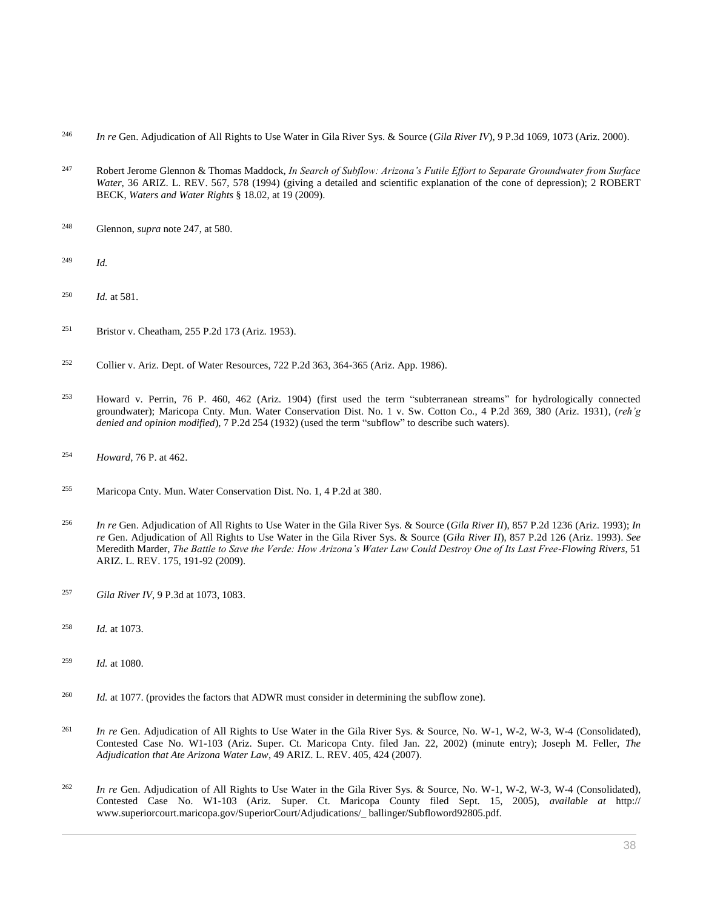- <sup>246</sup> *In re* [Gen. Adjudication of All Rights to Use Water in Gila River Sys. & Source \(](http://www.westlaw.com/Link/Document/FullText?findType=Y&serNum=2000531688&pubNum=0004645&originatingDoc=I0ecc82a82df011e18b05fdf15589d8e8&refType=RP&fi=co_pp_sp_4645_1073&originationContext=document&vr=3.0&rs=cblt1.0&transitionType=DocumentItem&contextData=(sc.Search)#co_pp_sp_4645_1073)*Gila River IV*), 9 P.3d 1069, 1073 (Ariz. 2000).
- <sup>247</sup> Robert Jerome Glennon & Thomas Maddock, *[In Search of Subflow: Arizona's Futile Effort to Separate Groundwater from Surface](http://www.westlaw.com/Link/Document/FullText?findType=Y&serNum=0104660561&pubNum=0001093&originatingDoc=I0ecc82a82df011e18b05fdf15589d8e8&refType=LR&fi=co_pp_sp_1093_578&originationContext=document&vr=3.0&rs=cblt1.0&transitionType=DocumentItem&contextData=(sc.Search)#co_pp_sp_1093_578)  Water*[, 36 ARIZ. L. REV. 567, 578 \(1994\)](http://www.westlaw.com/Link/Document/FullText?findType=Y&serNum=0104660561&pubNum=0001093&originatingDoc=I0ecc82a82df011e18b05fdf15589d8e8&refType=LR&fi=co_pp_sp_1093_578&originationContext=document&vr=3.0&rs=cblt1.0&transitionType=DocumentItem&contextData=(sc.Search)#co_pp_sp_1093_578) (giving a detailed and scientific explanation of the cone of depression); 2 ROBERT BECK, *Waters and Water Rights* § 18.02, at 19 (2009).
- <sup>248</sup> Glennon, *supra* note 247, at 580.
- <sup>249</sup> *Id.*
- <sup>250</sup> *Id.* at 581.
- <sup>251</sup> [Bristor v. Cheatham, 255 P.2d 173 \(Ariz. 1953\).](http://www.westlaw.com/Link/Document/FullText?findType=Y&serNum=1953113383&pubNum=0000661&originatingDoc=I0ecc82a82df011e18b05fdf15589d8e8&refType=RP&originationContext=document&vr=3.0&rs=cblt1.0&transitionType=DocumentItem&contextData=(sc.Search))
- <sup>252</sup> [Collier v. Ariz. Dept. of Water Resources, 722 P.2d 363, 364-365 \(Ariz. App. 1986\).](http://www.westlaw.com/Link/Document/FullText?findType=Y&serNum=1986137451&pubNum=0000661&originatingDoc=I0ecc82a82df011e18b05fdf15589d8e8&refType=RP&fi=co_pp_sp_661_364&originationContext=document&vr=3.0&rs=cblt1.0&transitionType=DocumentItem&contextData=(sc.Search)#co_pp_sp_661_364)
- <sup>253</sup> [Howard v. Perrin, 76 P. 460, 462 \(Ariz. 1904\)](http://www.westlaw.com/Link/Document/FullText?findType=Y&serNum=1904001641&pubNum=0000660&originatingDoc=I0ecc82a82df011e18b05fdf15589d8e8&refType=RP&fi=co_pp_sp_660_462&originationContext=document&vr=3.0&rs=cblt1.0&transitionType=DocumentItem&contextData=(sc.Search)#co_pp_sp_660_462) (first used the term "subterranean streams" for hydrologically connected groundwater); [Maricopa Cnty. Mun. Water Conservation Dist. No. 1 v. Sw. Cotton Co., 4 P.2d 369, 380 \(Ariz. 1931\),](http://www.westlaw.com/Link/Document/FullText?findType=Y&serNum=1931117530&pubNum=0000661&originatingDoc=I0ecc82a82df011e18b05fdf15589d8e8&refType=RP&fi=co_pp_sp_661_380&originationContext=document&vr=3.0&rs=cblt1.0&transitionType=DocumentItem&contextData=(sc.Search)#co_pp_sp_661_380) (*reh'g denied and opinion modified*)[, 7 P.2d 254 \(1932\)](http://www.westlaw.com/Link/Document/FullText?findType=Y&serNum=1932117185&pubNum=0000661&originatingDoc=I0ecc82a82df011e18b05fdf15589d8e8&refType=RP&originationContext=document&vr=3.0&rs=cblt1.0&transitionType=DocumentItem&contextData=(sc.Search)) (used the term "subflow" to describe such waters).
- <sup>254</sup> *Howard*[, 76 P. at 462.](http://www.westlaw.com/Link/Document/FullText?findType=Y&serNum=1904001641&pubNum=0000660&originatingDoc=I0ecc82a82df011e18b05fdf15589d8e8&refType=RP&fi=co_pp_sp_660_462&originationContext=document&vr=3.0&rs=cblt1.0&transitionType=DocumentItem&contextData=(sc.Search)#co_pp_sp_660_462)
- <sup>255</sup> [Maricopa Cnty. Mun. Water Conservation Dist. No. 1, 4 P.2d at 380.](http://www.westlaw.com/Link/Document/FullText?findType=Y&serNum=1931117530&pubNum=0000661&originatingDoc=I0ecc82a82df011e18b05fdf15589d8e8&refType=RP&fi=co_pp_sp_661_380&originationContext=document&vr=3.0&rs=cblt1.0&transitionType=DocumentItem&contextData=(sc.Search)#co_pp_sp_661_380)
- <sup>256</sup> *In re* [Gen. Adjudication of All Rights to Use Water in the Gila River Sys. & Source \(](http://www.westlaw.com/Link/Document/FullText?findType=Y&serNum=1993156548&pubNum=0000661&originatingDoc=I0ecc82a82df011e18b05fdf15589d8e8&refType=RP&originationContext=document&vr=3.0&rs=cblt1.0&transitionType=DocumentItem&contextData=(sc.Search))*Gila River II*), 857 P.2d 1236 (Ariz. 1993); *In re* Gen. Adjudication of All Rights to Use Water in the Gila River Sys. & Source (*Gila River II*[\), 857 P.2d 126 \(Ariz. 1993\).](http://www.westlaw.com/Link/Document/FullText?findType=Y&serNum=1993172068&pubNum=661&originatingDoc=I0ecc82a82df011e18b05fdf15589d8e8&refType=RP&originationContext=document&vr=3.0&rs=cblt1.0&transitionType=DocumentItem&contextData=(sc.Search)) *See* Meredith Marder, *[The Battle to Save the Verde: How Arizona's Water Law Could Destroy One of Its Last Free-Flowing Rivers](http://www.westlaw.com/Link/Document/FullText?findType=Y&serNum=0343434398&pubNum=0001093&originatingDoc=I0ecc82a82df011e18b05fdf15589d8e8&refType=LR&fi=co_pp_sp_1093_191&originationContext=document&vr=3.0&rs=cblt1.0&transitionType=DocumentItem&contextData=(sc.Search)#co_pp_sp_1093_191)*, 51 [ARIZ. L. REV. 175, 191-92 \(2009\).](http://www.westlaw.com/Link/Document/FullText?findType=Y&serNum=0343434398&pubNum=0001093&originatingDoc=I0ecc82a82df011e18b05fdf15589d8e8&refType=LR&fi=co_pp_sp_1093_191&originationContext=document&vr=3.0&rs=cblt1.0&transitionType=DocumentItem&contextData=(sc.Search)#co_pp_sp_1093_191)
- <sup>257</sup> *Gila River IV*[, 9 P.3d at 1073, 1083.](http://www.westlaw.com/Link/Document/FullText?findType=Y&serNum=2000531688&pubNum=0004645&originatingDoc=I0ecc82a82df011e18b05fdf15589d8e8&refType=RP&fi=co_pp_sp_4645_1073&originationContext=document&vr=3.0&rs=cblt1.0&transitionType=DocumentItem&contextData=(sc.Search)#co_pp_sp_4645_1073)
- <sup>258</sup> *Id.* [at 1073.](http://www.westlaw.com/Link/Document/FullText?findType=Y&serNum=2000531688&originatingDoc=I0ecc82a82df011e18b05fdf15589d8e8&refType=RP&originationContext=document&vr=3.0&rs=cblt1.0&transitionType=DocumentItem&contextData=(sc.Search))
- <sup>259</sup> *Id.* [at 1080.](http://www.westlaw.com/Link/Document/FullText?findType=Y&serNum=2000531688&originatingDoc=I0ecc82a82df011e18b05fdf15589d8e8&refType=RP&originationContext=document&vr=3.0&rs=cblt1.0&transitionType=DocumentItem&contextData=(sc.Search))
- <sup>260</sup> *Id.* [at 1077.](http://www.westlaw.com/Link/Document/FullText?findType=Y&serNum=2000531688&originatingDoc=I0ecc82a82df011e18b05fdf15589d8e8&refType=RP&originationContext=document&vr=3.0&rs=cblt1.0&transitionType=DocumentItem&contextData=(sc.Search)) (provides the factors that ADWR must consider in determining the subflow zone).
- <sup>261</sup> *In re* Gen. Adjudication of All Rights to Use Water in the Gila River Sys. & Source, No. W-1, W-2, W-3, W-4 (Consolidated), Contested Case No. W1-103 (Ariz. Super. Ct. Maricopa Cnty. filed Jan. 22, 2002) (minute entry); Joseph M. Feller, *[The](http://www.westlaw.com/Link/Document/FullText?findType=Y&serNum=0332237055&pubNum=0001093&originatingDoc=I0ecc82a82df011e18b05fdf15589d8e8&refType=LR&fi=co_pp_sp_1093_424&originationContext=document&vr=3.0&rs=cblt1.0&transitionType=DocumentItem&contextData=(sc.Search)#co_pp_sp_1093_424)  [Adjudication that Ate Arizona Water Law](http://www.westlaw.com/Link/Document/FullText?findType=Y&serNum=0332237055&pubNum=0001093&originatingDoc=I0ecc82a82df011e18b05fdf15589d8e8&refType=LR&fi=co_pp_sp_1093_424&originationContext=document&vr=3.0&rs=cblt1.0&transitionType=DocumentItem&contextData=(sc.Search)#co_pp_sp_1093_424)*, 49 ARIZ. L. REV. 405, 424 (2007).
- <sup>262</sup> *In re* Gen. Adjudication of All Rights to Use Water in the Gila River Sys. & Source, No. W-1, W-2, W-3, W-4 (Consolidated), Contested Case No. W1-103 (Ariz. Super. Ct. Maricopa County filed Sept. 15, 2005), *available at* http:// www.superiorcourt.maricopa.gov/SuperiorCourt/Adjudications/\_ ballinger/Subfloword92805.pdf.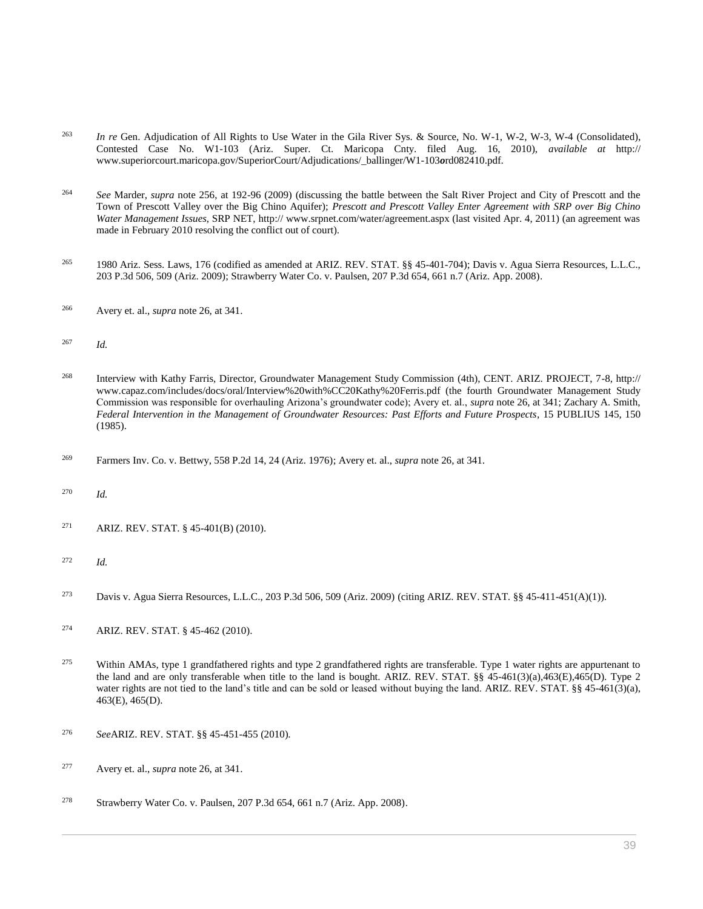- <sup>263</sup> *In re* Gen. Adjudication of All Rights to Use Water in the Gila River Sys. & Source, No. W-1, W-2, W-3, W-4 (Consolidated), Contested Case No. W1-103 (Ariz. Super. Ct. Maricopa Cnty. filed Aug. 16, 2010), *available at* http:// www.superiorcourt.maricopa.gov/SuperiorCourt/Adjudications/\_ballinger/W1-103*o*rd082410.pdf.
- <sup>264</sup> *See* Marder, *supra* note 256, at 192-96 (2009) (discussing the battle between the Salt River Project and City of Prescott and the Town of Prescott Valley over the Big Chino Aquifer); *Prescott and Prescott Valley Enter Agreement with SRP over Big Chino Water Management Issues*, SRP NET, http:// www.srpnet.com/water/agreement.aspx (last visited Apr. 4, 2011) (an agreement was made in February 2010 resolving the conflict out of court).
- <sup>265</sup> 1980 Ariz. Sess. Laws, 176 (codified as amended at [ARIZ. REV. STAT. §§ 45-401-](http://www.westlaw.com/Link/Document/FullText?findType=L&pubNum=1000251&cite=AZSTS45-401&originatingDoc=I0ecc82a82df011e18b05fdf15589d8e8&refType=LQ&originationContext=document&vr=3.0&rs=cblt1.0&transitionType=DocumentItem&contextData=(sc.Search))704); [Davis v. Agua Sierra Resources, L.L.C.,](http://www.westlaw.com/Link/Document/FullText?findType=Y&serNum=2018387096&pubNum=0004645&originatingDoc=I0ecc82a82df011e18b05fdf15589d8e8&refType=RP&fi=co_pp_sp_4645_509&originationContext=document&vr=3.0&rs=cblt1.0&transitionType=DocumentItem&contextData=(sc.Search)#co_pp_sp_4645_509)  [203 P.3d 506, 509 \(Ariz. 2009\);](http://www.westlaw.com/Link/Document/FullText?findType=Y&serNum=2018387096&pubNum=0004645&originatingDoc=I0ecc82a82df011e18b05fdf15589d8e8&refType=RP&fi=co_pp_sp_4645_509&originationContext=document&vr=3.0&rs=cblt1.0&transitionType=DocumentItem&contextData=(sc.Search)#co_pp_sp_4645_509) [Strawberry Water Co. v. Paulsen, 207 P.3d 654, 661 n.7 \(Ariz. App. 2008\).](http://www.westlaw.com/Link/Document/FullText?findType=Y&serNum=2016632803&pubNum=0004645&originatingDoc=I0ecc82a82df011e18b05fdf15589d8e8&refType=RP&fi=co_pp_sp_4645_661&originationContext=document&vr=3.0&rs=cblt1.0&transitionType=DocumentItem&contextData=(sc.Search)#co_pp_sp_4645_661)
- <sup>266</sup> Avery et. al., *supra* note 26, at 341.
- <sup>267</sup> *Id.*
- <sup>268</sup> Interview with Kathy Farris, Director, Groundwater Management Study Commission (4th), CENT. ARIZ. PROJECT, 7-8, http:// www.capaz.com/includes/docs/oral/Interview%20with%CC20Kathy%20Ferris.pdf (the fourth Groundwater Management Study Commission was responsible for overhauling Arizona's groundwater code); Avery et. al., *supra* note 26, at 341; Zachary A. Smith, *Federal Intervention in the Management of Groundwater Resources: Past Efforts and Future Prospects*, 15 PUBLIUS 145, 150 (1985).
- <sup>269</sup> [Farmers Inv. Co. v. Bettwy, 558 P.2d 14, 24 \(Ariz. 1976\);](http://www.westlaw.com/Link/Document/FullText?findType=Y&serNum=1976134936&pubNum=0000661&originatingDoc=I0ecc82a82df011e18b05fdf15589d8e8&refType=RP&fi=co_pp_sp_661_24&originationContext=document&vr=3.0&rs=cblt1.0&transitionType=DocumentItem&contextData=(sc.Search)#co_pp_sp_661_24) Avery et. al., *supra* note 26, at 341.
- <sup>270</sup> *Id.*
- <sup>271</sup> [ARIZ. REV. STAT. § 45-401\(B\)](http://www.westlaw.com/Link/Document/FullText?findType=L&pubNum=1000251&cite=AZSTS45-401&originatingDoc=I0ecc82a82df011e18b05fdf15589d8e8&refType=LQ&originationContext=document&vr=3.0&rs=cblt1.0&transitionType=DocumentItem&contextData=(sc.Search)) (2010).
- <sup>272</sup> *Id.*
- <sup>273</sup> [Davis v. Agua Sierra Resources, L.L.C., 203 P.3d 506, 509 \(Ariz. 2009\)](http://www.westlaw.com/Link/Document/FullText?findType=Y&serNum=2018387096&pubNum=0004645&originatingDoc=I0ecc82a82df011e18b05fdf15589d8e8&refType=RP&fi=co_pp_sp_4645_509&originationContext=document&vr=3.0&rs=cblt1.0&transitionType=DocumentItem&contextData=(sc.Search)#co_pp_sp_4645_509) (citing [ARIZ. REV. STAT. §§ 45-411-](http://www.westlaw.com/Link/Document/FullText?findType=L&pubNum=1000251&cite=AZSTS45-411&originatingDoc=I0ecc82a82df011e18b05fdf15589d8e8&refType=LQ&originationContext=document&vr=3.0&rs=cblt1.0&transitionType=DocumentItem&contextData=(sc.Search))451(A)(1)).
- <sup>274</sup> [ARIZ. REV. STAT. § 45-462](http://www.westlaw.com/Link/Document/FullText?findType=L&pubNum=1000251&cite=AZSTS45-462&originatingDoc=I0ecc82a82df011e18b05fdf15589d8e8&refType=LQ&originationContext=document&vr=3.0&rs=cblt1.0&transitionType=DocumentItem&contextData=(sc.Search)) (2010).
- <sup>275</sup> Within AMAs, type 1 grandfathered rights and type 2 grandfathered rights are transferable. Type 1 water rights are appurtenant to the land and are only transferable when title to the land is bought. [ARIZ. REV. STAT. §§ 45-461\(3\)\(a\),](http://www.westlaw.com/Link/Document/FullText?findType=L&pubNum=1000251&cite=AZSTS45-461&originatingDoc=I0ecc82a82df011e18b05fdf15589d8e8&refType=LQ&originationContext=document&vr=3.0&rs=cblt1.0&transitionType=DocumentItem&contextData=(sc.Search))463(E),465(D). Type 2 water rights are not tied to the land's title and can be sold or leased without buying the land. [ARIZ. REV. STAT. §§ 45-461\(3\)\(a\),](http://www.westlaw.com/Link/Document/FullText?findType=L&pubNum=1000251&cite=AZSTS45-461&originatingDoc=I0ecc82a82df011e18b05fdf15589d8e8&refType=LQ&originationContext=document&vr=3.0&rs=cblt1.0&transitionType=DocumentItem&contextData=(sc.Search)) 463(E), 465(D).
- <sup>276</sup> *See*[ARIZ. REV. STAT. §§ 45-451-](http://www.westlaw.com/Link/Document/FullText?findType=L&pubNum=1000251&cite=AZSTS45-451&originatingDoc=I0ecc82a82df011e18b05fdf15589d8e8&refType=LQ&originationContext=document&vr=3.0&rs=cblt1.0&transitionType=DocumentItem&contextData=(sc.Search))455 (2010).
- <sup>277</sup> Avery et. al., *supra* note 26, at 341.
- <sup>278</sup> [Strawberry Water Co. v. Paulsen, 207 P.3d 654, 661 n.7 \(Ariz. App. 2008\).](http://www.westlaw.com/Link/Document/FullText?findType=Y&serNum=2016632803&pubNum=0004645&originatingDoc=I0ecc82a82df011e18b05fdf15589d8e8&refType=RP&fi=co_pp_sp_4645_661&originationContext=document&vr=3.0&rs=cblt1.0&transitionType=DocumentItem&contextData=(sc.Search)#co_pp_sp_4645_661)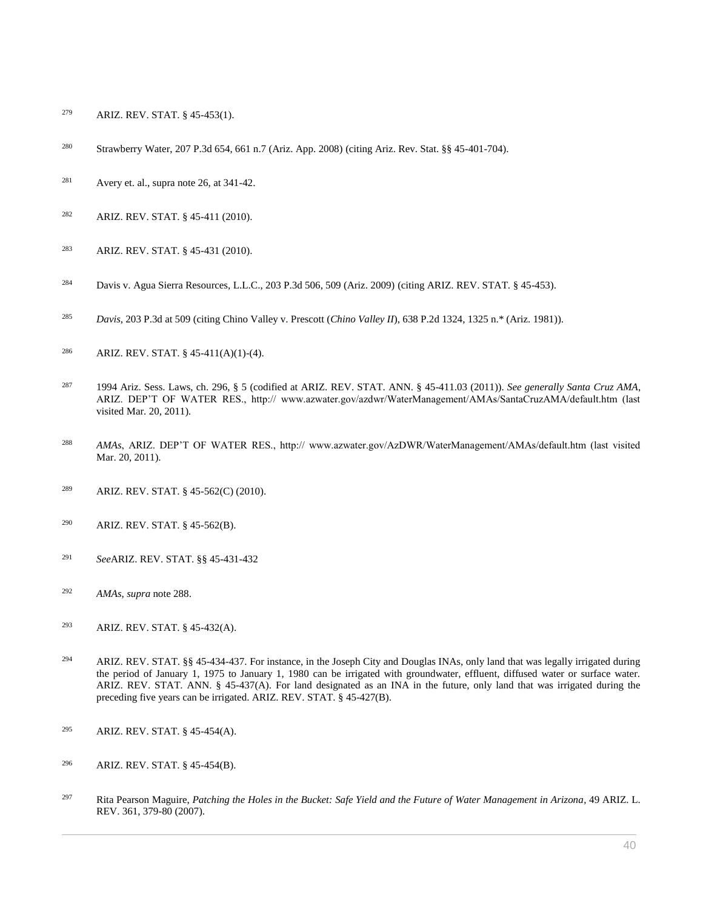- [ARIZ. REV. STAT. § 45-453\(1\).](http://www.westlaw.com/Link/Document/FullText?findType=L&pubNum=1000251&cite=AZSTS45-453&originatingDoc=I0ecc82a82df011e18b05fdf15589d8e8&refType=LQ&originationContext=document&vr=3.0&rs=cblt1.0&transitionType=DocumentItem&contextData=(sc.Search))
- [Strawberry Water, 207 P.3d 654, 661 n.7 \(Ariz. App. 2008\)](http://www.westlaw.com/Link/Document/FullText?findType=Y&serNum=2016632803&pubNum=0004645&originatingDoc=I0ecc82a82df011e18b05fdf15589d8e8&refType=RP&fi=co_pp_sp_4645_661&originationContext=document&vr=3.0&rs=cblt1.0&transitionType=DocumentItem&contextData=(sc.Search)#co_pp_sp_4645_661) (citin[g Ariz. Rev. Stat. §§ 45-401-](http://www.westlaw.com/Link/Document/FullText?findType=L&pubNum=1000251&cite=AZSTS45-401&originatingDoc=I0ecc82a82df011e18b05fdf15589d8e8&refType=LQ&originationContext=document&vr=3.0&rs=cblt1.0&transitionType=DocumentItem&contextData=(sc.Search))704).
- <sup>281</sup> Avery et. al., supra note 26, at  $341-42$ .
- [ARIZ. REV. STAT. § 45-411](http://www.westlaw.com/Link/Document/FullText?findType=L&pubNum=1000251&cite=AZSTS45-411&originatingDoc=I0ecc82a82df011e18b05fdf15589d8e8&refType=LQ&originationContext=document&vr=3.0&rs=cblt1.0&transitionType=DocumentItem&contextData=(sc.Search)) (2010).
- [ARIZ. REV. STAT. § 45-431](http://www.westlaw.com/Link/Document/FullText?findType=L&pubNum=1000251&cite=AZSTS45-431&originatingDoc=I0ecc82a82df011e18b05fdf15589d8e8&refType=LQ&originationContext=document&vr=3.0&rs=cblt1.0&transitionType=DocumentItem&contextData=(sc.Search)) (2010).
- [Davis v. Agua Sierra Resources, L.L.C., 203 P.3d 506, 509 \(Ariz. 2009\)](http://www.westlaw.com/Link/Document/FullText?findType=Y&serNum=2018387096&pubNum=0004645&originatingDoc=I0ecc82a82df011e18b05fdf15589d8e8&refType=RP&fi=co_pp_sp_4645_509&originationContext=document&vr=3.0&rs=cblt1.0&transitionType=DocumentItem&contextData=(sc.Search)#co_pp_sp_4645_509) (citing [ARIZ. REV. STAT. § 45-453\)](http://www.westlaw.com/Link/Document/FullText?findType=L&pubNum=1000251&cite=AZSTS45-453&originatingDoc=I0ecc82a82df011e18b05fdf15589d8e8&refType=LQ&originationContext=document&vr=3.0&rs=cblt1.0&transitionType=DocumentItem&contextData=(sc.Search)).
- *Davis*[, 203 P.3d at 509](http://www.westlaw.com/Link/Document/FullText?findType=Y&serNum=2018387096&pubNum=0004645&originatingDoc=I0ecc82a82df011e18b05fdf15589d8e8&refType=RP&fi=co_pp_sp_4645_509&originationContext=document&vr=3.0&rs=cblt1.0&transitionType=DocumentItem&contextData=(sc.Search)#co_pp_sp_4645_509) (citing Chino Valley v. Prescott (*Chino Valley II*[\), 638 P.2d 1324, 1325 n.\\* \(Ariz. 1981\)\)](http://www.westlaw.com/Link/Document/FullText?findType=Y&serNum=1982102592&pubNum=0000661&originatingDoc=I0ecc82a82df011e18b05fdf15589d8e8&refType=RP&fi=co_pp_sp_661_1325&originationContext=document&vr=3.0&rs=cblt1.0&transitionType=DocumentItem&contextData=(sc.Search)#co_pp_sp_661_1325).
- [ARIZ. REV. STAT. § 45-411\(A\)\(1\)-\(4\).](http://www.westlaw.com/Link/Document/FullText?findType=L&pubNum=1000251&cite=AZSTS45-411&originatingDoc=I0ecc82a82df011e18b05fdf15589d8e8&refType=LQ&originationContext=document&vr=3.0&rs=cblt1.0&transitionType=DocumentItem&contextData=(sc.Search))
- 1994 Ariz. Sess. Laws, ch. 296, § 5 (codified at [ARIZ. REV. STAT. ANN. § 45-411.03](http://www.westlaw.com/Link/Document/FullText?findType=L&pubNum=1000251&cite=AZSTS45-411.03&originatingDoc=I0ecc82a82df011e18b05fdf15589d8e8&refType=LQ&originationContext=document&vr=3.0&rs=cblt1.0&transitionType=DocumentItem&contextData=(sc.Search)) (2011)). *See generally Santa Cruz AMA*, ARIZ. DEP'T OF WATER RES., http:// www.azwater.gov/azdwr/WaterManagement/AMAs/SantaCruzAMA/default.htm (last visited Mar. 20, 2011).
- *AMAs*, ARIZ. DEP'T OF WATER RES., http:// www.azwater.gov/AzDWR/WaterManagement/AMAs/default.htm (last visited Mar. 20, 2011).
- [ARIZ. REV. STAT. § 45-562\(C\)](http://www.westlaw.com/Link/Document/FullText?findType=L&pubNum=1000251&cite=AZSTS45-562&originatingDoc=I0ecc82a82df011e18b05fdf15589d8e8&refType=LQ&originationContext=document&vr=3.0&rs=cblt1.0&transitionType=DocumentItem&contextData=(sc.Search)) (2010).
- [ARIZ. REV. STAT. § 45-562\(B\).](http://www.westlaw.com/Link/Document/FullText?findType=L&pubNum=1000251&cite=AZSTS45-562&originatingDoc=I0ecc82a82df011e18b05fdf15589d8e8&refType=LQ&originationContext=document&vr=3.0&rs=cblt1.0&transitionType=DocumentItem&contextData=(sc.Search))
- *See*[ARIZ. REV. STAT. §§ 45-431-](http://www.westlaw.com/Link/Document/FullText?findType=L&pubNum=1000251&cite=AZSTS45-431&originatingDoc=I0ecc82a82df011e18b05fdf15589d8e8&refType=LQ&originationContext=document&vr=3.0&rs=cblt1.0&transitionType=DocumentItem&contextData=(sc.Search))432
- *AMAs*, *supra* note 288.
- [ARIZ. REV. STAT. § 45-432\(A\).](http://www.westlaw.com/Link/Document/FullText?findType=L&pubNum=1000251&cite=AZSTS45-432&originatingDoc=I0ecc82a82df011e18b05fdf15589d8e8&refType=LQ&originationContext=document&vr=3.0&rs=cblt1.0&transitionType=DocumentItem&contextData=(sc.Search))
- [ARIZ. REV. STAT. §§ 45-434-](http://www.westlaw.com/Link/Document/FullText?findType=L&pubNum=1000251&cite=AZSTS45-434&originatingDoc=I0ecc82a82df011e18b05fdf15589d8e8&refType=LQ&originationContext=document&vr=3.0&rs=cblt1.0&transitionType=DocumentItem&contextData=(sc.Search))437. For instance, in the Joseph City and Douglas INAs, only land that was legally irrigated during the period of January 1, 1975 to January 1, 1980 can be irrigated with groundwater, effluent, diffused water or surface water. [ARIZ. REV. STAT. ANN. § 45-437\(A\).](http://www.westlaw.com/Link/Document/FullText?findType=L&pubNum=1000251&cite=AZSTS45-437&originatingDoc=I0ecc82a82df011e18b05fdf15589d8e8&refType=LQ&originationContext=document&vr=3.0&rs=cblt1.0&transitionType=DocumentItem&contextData=(sc.Search)) For land designated as an INA in the future, only land that was irrigated during the preceding five years can be irrigated. ARIZ. REV. STAT. § 45-427(B).
- [ARIZ. REV. STAT. § 45-454\(A\).](http://www.westlaw.com/Link/Document/FullText?findType=L&pubNum=1000251&cite=AZSTS45-454&originatingDoc=I0ecc82a82df011e18b05fdf15589d8e8&refType=LQ&originationContext=document&vr=3.0&rs=cblt1.0&transitionType=DocumentItem&contextData=(sc.Search))
- [ARIZ. REV. STAT. § 45-454\(B\).](http://www.westlaw.com/Link/Document/FullText?findType=L&pubNum=1000251&cite=AZSTS45-454&originatingDoc=I0ecc82a82df011e18b05fdf15589d8e8&refType=LQ&originationContext=document&vr=3.0&rs=cblt1.0&transitionType=DocumentItem&contextData=(sc.Search))
- Rita Pearson Maguire, *[Patching the Holes in the Bucket: Safe Yield and the Future of Water Management in Arizona](http://www.westlaw.com/Link/Document/FullText?findType=Y&serNum=0332237053&pubNum=0001093&originatingDoc=I0ecc82a82df011e18b05fdf15589d8e8&refType=LR&fi=co_pp_sp_1093_379&originationContext=document&vr=3.0&rs=cblt1.0&transitionType=DocumentItem&contextData=(sc.Search)#co_pp_sp_1093_379)*, 49 ARIZ. L. [REV. 361, 379-80 \(2007\).](http://www.westlaw.com/Link/Document/FullText?findType=Y&serNum=0332237053&pubNum=0001093&originatingDoc=I0ecc82a82df011e18b05fdf15589d8e8&refType=LR&fi=co_pp_sp_1093_379&originationContext=document&vr=3.0&rs=cblt1.0&transitionType=DocumentItem&contextData=(sc.Search)#co_pp_sp_1093_379)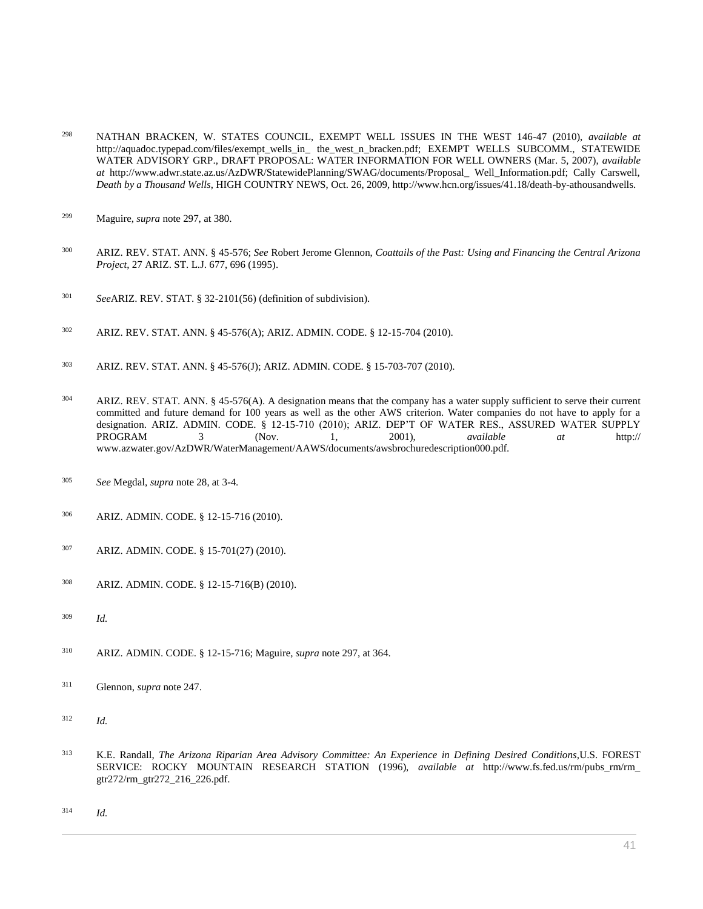- NATHAN BRACKEN, W. STATES COUNCIL, EXEMPT WELL ISSUES IN THE WEST 146-47 (2010), *available at* http://aquadoc.typepad.com/files/exempt\_wells\_in\_ the\_west\_n\_bracken.pdf; EXEMPT WELLS SUBCOMM., STATEWIDE WATER ADVISORY GRP., DRAFT PROPOSAL: WATER INFORMATION FOR WELL OWNERS (Mar. 5, 2007), *available at* http://www.adwr.state.az.us/AzDWR/StatewidePlanning/SWAG/documents/Proposal\_ Well\_Information.pdf; Cally Carswell, *Death by a Thousand Wells*, HIGH COUNTRY NEWS, Oct. 26, 2009, http://www.hcn.org/issues/41.18/death-by-athousandwells.
- Maguire, *supra* note 297, at 380.
- [ARIZ. REV. STAT. ANN. § 45-576;](http://www.westlaw.com/Link/Document/FullText?findType=L&pubNum=1000251&cite=AZSTS45-576&originatingDoc=I0ecc82a82df011e18b05fdf15589d8e8&refType=LQ&originationContext=document&vr=3.0&rs=cblt1.0&transitionType=DocumentItem&contextData=(sc.Search)) *See* Robert Jerome Glennon, *[Coattails of the Past: Using and Financing the Central Arizona](http://www.westlaw.com/Link/Document/FullText?findType=Y&serNum=0105297681&pubNum=0001094&originatingDoc=I0ecc82a82df011e18b05fdf15589d8e8&refType=LR&fi=co_pp_sp_1094_696&originationContext=document&vr=3.0&rs=cblt1.0&transitionType=DocumentItem&contextData=(sc.Search)#co_pp_sp_1094_696)  Project*[, 27 ARIZ. ST. L.J. 677, 696 \(1995\).](http://www.westlaw.com/Link/Document/FullText?findType=Y&serNum=0105297681&pubNum=0001094&originatingDoc=I0ecc82a82df011e18b05fdf15589d8e8&refType=LR&fi=co_pp_sp_1094_696&originationContext=document&vr=3.0&rs=cblt1.0&transitionType=DocumentItem&contextData=(sc.Search)#co_pp_sp_1094_696)
- *See*[ARIZ. REV. STAT. § 32-2101\(56\)](http://www.westlaw.com/Link/Document/FullText?findType=L&pubNum=1000251&cite=AZSTS32-2101&originatingDoc=I0ecc82a82df011e18b05fdf15589d8e8&refType=LQ&originationContext=document&vr=3.0&rs=cblt1.0&transitionType=DocumentItem&contextData=(sc.Search)) (definition of subdivision).
- [ARIZ. REV. STAT. ANN. § 45-576\(A\);](http://www.westlaw.com/Link/Document/FullText?findType=L&pubNum=1000251&cite=AZSTS45-576&originatingDoc=I0ecc82a82df011e18b05fdf15589d8e8&refType=LQ&originationContext=document&vr=3.0&rs=cblt1.0&transitionType=DocumentItem&contextData=(sc.Search)) ARIZ. ADMIN. CODE. § 12-15-704 (2010).
- [ARIZ. REV. STAT. ANN. § 45-576\(J\);](http://www.westlaw.com/Link/Document/FullText?findType=L&pubNum=1000251&cite=AZSTS45-576&originatingDoc=I0ecc82a82df011e18b05fdf15589d8e8&refType=LQ&originationContext=document&vr=3.0&rs=cblt1.0&transitionType=DocumentItem&contextData=(sc.Search)) ARIZ. ADMIN. CODE. § 15-703-707 (2010).
- [ARIZ. REV. STAT. ANN. § 45-576\(A\).](http://www.westlaw.com/Link/Document/FullText?findType=L&pubNum=1000251&cite=AZSTS45-576&originatingDoc=I0ecc82a82df011e18b05fdf15589d8e8&refType=LQ&originationContext=document&vr=3.0&rs=cblt1.0&transitionType=DocumentItem&contextData=(sc.Search)) A designation means that the company has a water supply sufficient to serve their current committed and future demand for 100 years as well as the other AWS criterion. Water companies do not have to apply for a designation. ARIZ. ADMIN. CODE. § 12-15-710 (2010); ARIZ. DEP'T OF WATER RES., ASSURED WATER SUPPLY PROGRAM 3 (Nov. 1, 2001), *available at* http:// www.azwater.gov/AzDWR/WaterManagement/AAWS/documents/awsbrochuredescription000.pdf.
- *See* Megdal, *supra* note 28, at 3-4.
- ARIZ. ADMIN. CODE. § 12-15-716 (2010).
- ARIZ. ADMIN. CODE. § 15-701(27) (2010).
- ARIZ. ADMIN. CODE. § 12-15-716(B) (2010).
- *Id.*
- ARIZ. ADMIN. CODE. § 12-15-716; Maguire, *supra* note 297, at 364.
- Glennon, *supra* note 247.
- *Id.*
- K.E. Randall, *The Arizona Riparian Area Advisory Committee: An Experience in Defining Desired Conditions,*U.S. FOREST SERVICE: ROCKY MOUNTAIN RESEARCH STATION (1996), *available at* http://www.fs.fed.us/rm/pubs\_rm/rm\_ gtr272/rm\_gtr272\_216\_226.pdf.
- *Id.*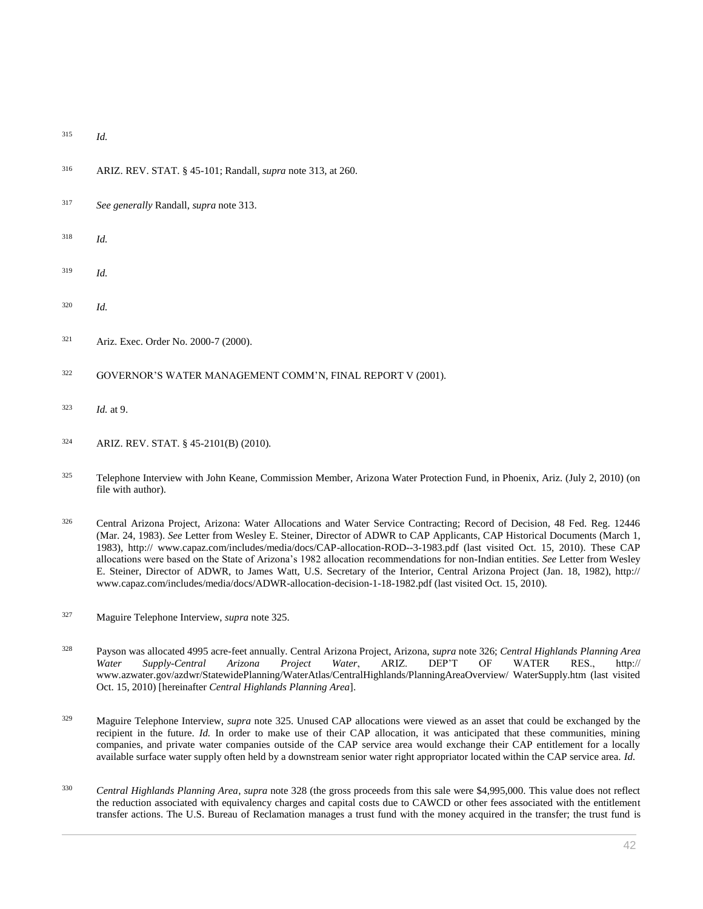- <sup>315</sup> *Id.*
- <sup>316</sup> [ARIZ. REV. STAT. § 45-101;](http://www.westlaw.com/Link/Document/FullText?findType=L&pubNum=1000251&cite=AZSTS45-101&originatingDoc=I0ecc82a82df011e18b05fdf15589d8e8&refType=LQ&originationContext=document&vr=3.0&rs=cblt1.0&transitionType=DocumentItem&contextData=(sc.Search)) Randall, *supra* note 313, at 260.
- <sup>317</sup> *See generally* Randall, *supra* note 313.
- <sup>318</sup> *Id.*
- <sup>319</sup> *Id.*
- <sup>320</sup> *Id.*
- <sup>321</sup> Ariz[. Exec. Order No. 2000-7 \(2000\).](http://www.westlaw.com/Link/Document/FullText?findType=Y&pubNum=0001043&cite=EXECORDERNO2000-7&originatingDoc=I0ecc82a82df011e18b05fdf15589d8e8&refType=CA&originationContext=document&vr=3.0&rs=cblt1.0&transitionType=DocumentItem&contextData=(sc.Search))
- <sup>322</sup> GOVERNOR'S WATER MANAGEMENT COMM'N, FINAL REPORT V (2001).
- <sup>323</sup> *Id.* at 9.
- <sup>324</sup> [ARIZ. REV. STAT. § 45-2101\(B\)](http://www.westlaw.com/Link/Document/FullText?findType=L&pubNum=1000251&cite=AZSTS45-2101&originatingDoc=I0ecc82a82df011e18b05fdf15589d8e8&refType=LQ&originationContext=document&vr=3.0&rs=cblt1.0&transitionType=DocumentItem&contextData=(sc.Search)) (2010).
- <sup>325</sup> Telephone Interview with John Keane, Commission Member, Arizona Water Protection Fund, in Phoenix, Ariz. (July 2, 2010) (on file with author).
- <sup>326</sup> [Central Arizona Project, Arizona: Water Allocations and Water Service Contracting; Record of Decision, 48 Fed. Reg. 12446](http://www.westlaw.com/Link/Document/FullText?findType=l&pubNum=0001037&cite=UUID(ID0BFDF10347E11DA8794AB47DD0CABB0)&originatingDoc=I0ecc82a82df011e18b05fdf15589d8e8&refType=CP&fi=co_pp_sp_1037_12446&originationContext=document&vr=3.0&rs=cblt1.0&transitionType=DocumentItem&contextData=(sc.Search)#co_pp_sp_1037_12446)  [\(Mar. 24, 1983\).](http://www.westlaw.com/Link/Document/FullText?findType=l&pubNum=0001037&cite=UUID(ID0BFDF10347E11DA8794AB47DD0CABB0)&originatingDoc=I0ecc82a82df011e18b05fdf15589d8e8&refType=CP&fi=co_pp_sp_1037_12446&originationContext=document&vr=3.0&rs=cblt1.0&transitionType=DocumentItem&contextData=(sc.Search)#co_pp_sp_1037_12446) *See* Letter from Wesley E. Steiner, Director of ADWR to CAP Applicants, CAP Historical Documents (March 1, 1983), http:// www.capaz.com/includes/media/docs/CAP-allocation-ROD--3-1983.pdf (last visited Oct. 15, 2010). These CAP allocations were based on the State of Arizona's 1982 allocation recommendations for non-Indian entities. *See* Letter from Wesley E. Steiner, Director of ADWR, to James Watt, U.S. Secretary of the Interior, Central Arizona Project (Jan. 18, 1982), http:// www.capaz.com/includes/media/docs/ADWR-allocation-decision-1-18-1982.pdf (last visited Oct. 15, 2010).
- <sup>327</sup> Maguire Telephone Interview, *supra* note 325.
- <sup>328</sup> Payson was allocated 4995 acre-feet annually. [Central Arizona Project, Arizona,](http://www.westlaw.com/Link/Document/FullText?findType=l&pubNum=0001037&cite=UUID(ID0BFDF10347E11DA8794AB47DD0CABB0)&originatingDoc=I0ecc82a82df011e18b05fdf15589d8e8&refType=CP&fi=co_pp_sp_1037_12446&originationContext=document&vr=3.0&rs=cblt1.0&transitionType=DocumentItem&contextData=(sc.Search)#co_pp_sp_1037_12446) *supra* note 326; *Central Highlands Planning Area Water Supply-Central Arizona Project Water*, ARIZ. DEP'T OF WATER RES., http:// www.azwater.gov/azdwr/StatewidePlanning/WaterAtlas/CentralHighlands/PlanningAreaOverview/ WaterSupply.htm (last visited Oct. 15, 2010) [hereinafter *Central Highlands Planning Area*].
- <sup>329</sup> Maguire Telephone Interview, *supra* note 325. Unused CAP allocations were viewed as an asset that could be exchanged by the recipient in the future. *Id*. In order to make use of their CAP allocation, it was anticipated that these communities, mining companies, and private water companies outside of the CAP service area would exchange their CAP entitlement for a locally available surface water supply often held by a downstream senior water right appropriator located within the CAP service area. *Id.*
- <sup>330</sup> *Central Highlands Planning Area*, *supra* note 328 (the gross proceeds from this sale were \$4,995,000. This value does not reflect the reduction associated with equivalency charges and capital costs due to CAWCD or other fees associated with the entitlement transfer actions. The U.S. Bureau of Reclamation manages a trust fund with the money acquired in the transfer; the trust fund is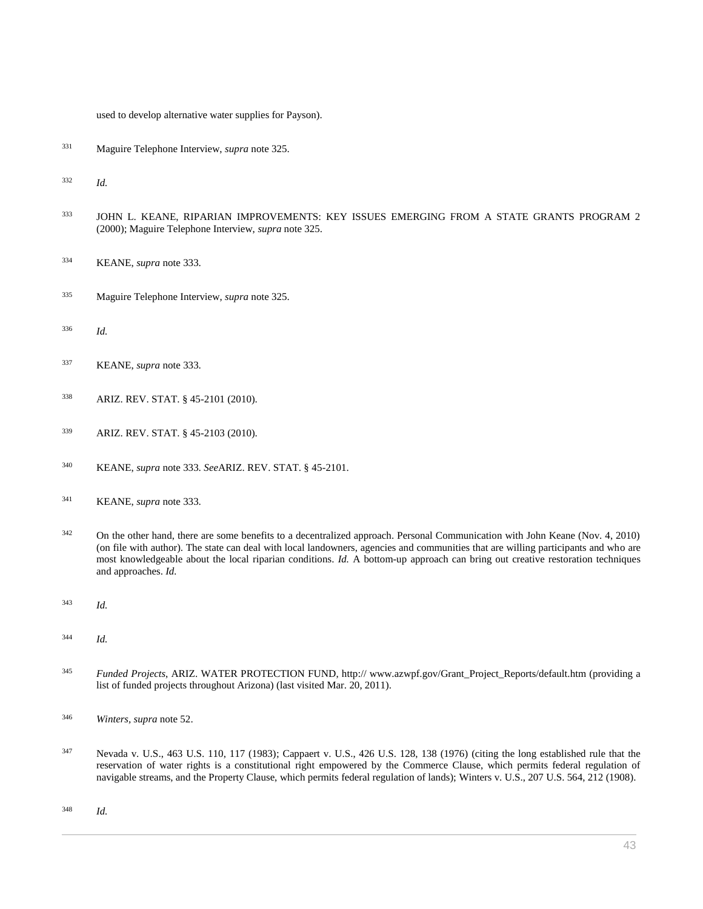used to develop alternative water supplies for Payson).

Maguire Telephone Interview, *supra* note 325.

*Id.*

- JOHN L. KEANE, RIPARIAN IMPROVEMENTS: KEY ISSUES EMERGING FROM A STATE GRANTS PROGRAM 2 (2000); Maguire Telephone Interview, *supra* note 325.
- KEANE, *supra* note 333.
- Maguire Telephone Interview, *supra* note 325.
- *Id.*
- KEANE, *supra* note 333.
- [ARIZ. REV. STAT. § 45-2101](http://www.westlaw.com/Link/Document/FullText?findType=L&pubNum=1000251&cite=AZSTS45-2101&originatingDoc=I0ecc82a82df011e18b05fdf15589d8e8&refType=LQ&originationContext=document&vr=3.0&rs=cblt1.0&transitionType=DocumentItem&contextData=(sc.Search)) (2010).
- [ARIZ. REV. STAT. § 45-2103](http://www.westlaw.com/Link/Document/FullText?findType=L&pubNum=1000251&cite=AZSTS45-2103&originatingDoc=I0ecc82a82df011e18b05fdf15589d8e8&refType=LQ&originationContext=document&vr=3.0&rs=cblt1.0&transitionType=DocumentItem&contextData=(sc.Search)) (2010).
- KEANE, *supra* note 333. *See*[ARIZ. REV. STAT. § 45-2101.](http://www.westlaw.com/Link/Document/FullText?findType=L&pubNum=1000251&cite=AZSTS45-2101&originatingDoc=I0ecc82a82df011e18b05fdf15589d8e8&refType=LQ&originationContext=document&vr=3.0&rs=cblt1.0&transitionType=DocumentItem&contextData=(sc.Search))
- KEANE, *supra* note 333.
- <sup>342</sup> On the other hand, there are some benefits to a decentralized approach. Personal Communication with John Keane (Nov. 4, 2010) (on file with author). The state can deal with local landowners, agencies and communities that are willing participants and who are most knowledgeable about the local riparian conditions. *Id.* A bottom-up approach can bring out creative restoration techniques and approaches. *Id.*
- *Id.*
- *Id.*
- *Funded Projects*, ARIZ. WATER PROTECTION FUND, http:// www.azwpf.gov/Grant\_Project\_Reports/default.htm (providing a list of funded projects throughout Arizona) (last visited Mar. 20, 2011).
- *Winters, supra* note 52.
- [Nevada v. U.S., 463 U.S. 110, 117 \(1983\);](http://www.westlaw.com/Link/Document/FullText?findType=Y&serNum=1983129664&pubNum=0000780&originatingDoc=I0ecc82a82df011e18b05fdf15589d8e8&refType=RP&fi=co_pp_sp_780_117&originationContext=document&vr=3.0&rs=cblt1.0&transitionType=DocumentItem&contextData=(sc.Search)#co_pp_sp_780_117) [Cappaert v. U.S., 426 U.S. 128, 138 \(1976\)](http://www.westlaw.com/Link/Document/FullText?findType=Y&serNum=1976142393&pubNum=0000780&originatingDoc=I0ecc82a82df011e18b05fdf15589d8e8&refType=RP&fi=co_pp_sp_780_138&originationContext=document&vr=3.0&rs=cblt1.0&transitionType=DocumentItem&contextData=(sc.Search)#co_pp_sp_780_138) (citing the long established rule that the reservation of water rights is a constitutional right empowered by the Commerce Clause, which permits federal regulation of navigable streams, and the Property Clause, which permits federal regulation of lands); [Winters v. U.S., 207 U.S. 564, 212 \(1908\).](http://www.westlaw.com/Link/Document/FullText?findType=Y&serNum=1908100233&pubNum=0000780&originatingDoc=I0ecc82a82df011e18b05fdf15589d8e8&refType=RP&originationContext=document&vr=3.0&rs=cblt1.0&transitionType=DocumentItem&contextData=(sc.Search))

*Id.*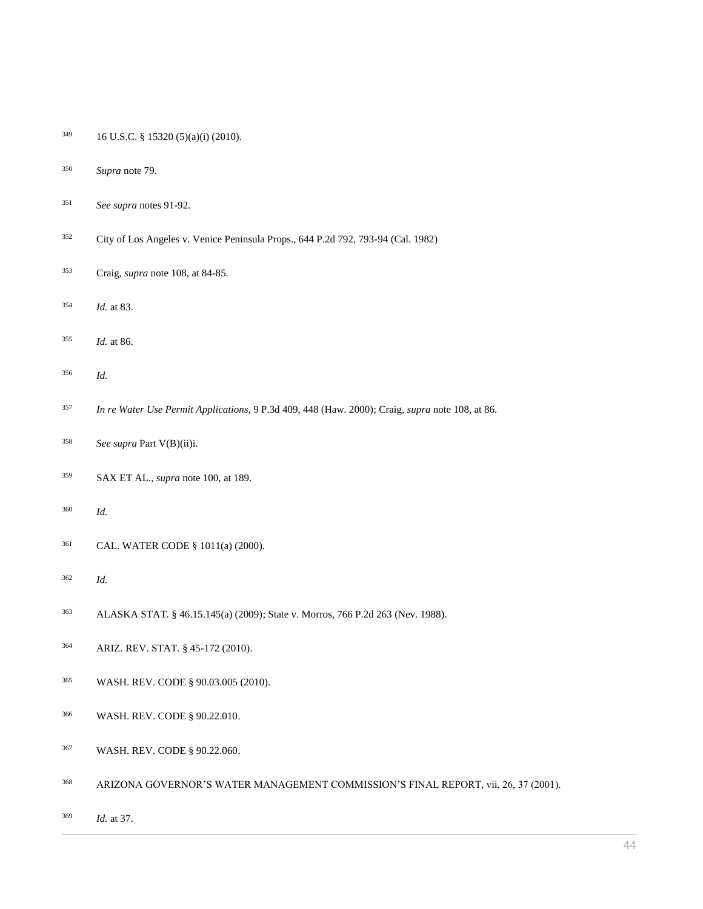- 16 U.S.C. § 15320 (5)(a)(i) (2010).
- *Supra* note 79.
- *See supra* notes 91-92.
- [City of Los Angeles v. Venice Peninsula Props., 644 P.2d 792, 793-94 \(Cal. 1982\)](http://www.westlaw.com/Link/Document/FullText?findType=Y&serNum=1982121245&pubNum=0000661&originatingDoc=I0ecc82a82df011e18b05fdf15589d8e8&refType=RP&fi=co_pp_sp_661_793&originationContext=document&vr=3.0&rs=cblt1.0&transitionType=DocumentItem&contextData=(sc.Search)#co_pp_sp_661_793)
- Craig, *supra* note 108, at 84-85.
- *Id.* at 83.
- *Id.* at 86.
- *Id.*
- *[In re Water Use Permit Applications](http://www.westlaw.com/Link/Document/FullText?findType=Y&serNum=2000484474&pubNum=0004645&originatingDoc=I0ecc82a82df011e18b05fdf15589d8e8&refType=RP&fi=co_pp_sp_4645_448&originationContext=document&vr=3.0&rs=cblt1.0&transitionType=DocumentItem&contextData=(sc.Search)#co_pp_sp_4645_448)*, 9 P.3d 409, 448 (Haw. 2000); Craig, *supra* note 108, at 86.
- *See supra* Part V(B)(ii)i.
- SAX ET AL., *supra* note 100, at 189.
- *Id.*
- [CAL. WATER CODE § 1011\(a\)](http://www.westlaw.com/Link/Document/FullText?findType=L&pubNum=1000226&cite=CAWAS1011&originatingDoc=I0ecc82a82df011e18b05fdf15589d8e8&refType=LQ&originationContext=document&vr=3.0&rs=cblt1.0&transitionType=DocumentItem&contextData=(sc.Search)) (2000).
- *Id.*
- [ALASKA STAT. § 46.15.145\(a\) \(2009\);](http://www.westlaw.com/Link/Document/FullText?findType=L&pubNum=1000003&cite=AKSTS46.15.145&originatingDoc=I0ecc82a82df011e18b05fdf15589d8e8&refType=LQ&originationContext=document&vr=3.0&rs=cblt1.0&transitionType=DocumentItem&contextData=(sc.Search)) [State v. Morros, 766 P.2d 263](http://www.westlaw.com/Link/Document/FullText?findType=Y&serNum=1988164678&pubNum=0000661&originatingDoc=I0ecc82a82df011e18b05fdf15589d8e8&refType=RP&originationContext=document&vr=3.0&rs=cblt1.0&transitionType=DocumentItem&contextData=(sc.Search)) (Nev. 1988).
- [ARIZ. REV. STAT. § 45-172](http://www.westlaw.com/Link/Document/FullText?findType=L&pubNum=1000251&cite=AZSTS45-172&originatingDoc=I0ecc82a82df011e18b05fdf15589d8e8&refType=LQ&originationContext=document&vr=3.0&rs=cblt1.0&transitionType=DocumentItem&contextData=(sc.Search)) (2010).
- [WASH. REV. CODE § 90.03.005](http://www.westlaw.com/Link/Document/FullText?findType=L&pubNum=1000259&cite=WAST90.03.005&originatingDoc=I0ecc82a82df011e18b05fdf15589d8e8&refType=LQ&originationContext=document&vr=3.0&rs=cblt1.0&transitionType=DocumentItem&contextData=(sc.Search)) (2010).
- [WASH. REV. CODE § 90.22.010.](http://www.westlaw.com/Link/Document/FullText?findType=L&pubNum=1000259&cite=WAST90.22.010&originatingDoc=I0ecc82a82df011e18b05fdf15589d8e8&refType=LQ&originationContext=document&vr=3.0&rs=cblt1.0&transitionType=DocumentItem&contextData=(sc.Search))
- [WASH. REV. CODE § 90.22.060.](http://www.westlaw.com/Link/Document/FullText?findType=L&pubNum=1000259&cite=WAST90.22.060&originatingDoc=I0ecc82a82df011e18b05fdf15589d8e8&refType=LQ&originationContext=document&vr=3.0&rs=cblt1.0&transitionType=DocumentItem&contextData=(sc.Search))
- ARIZONA GOVERNOR'S WATER MANAGEMENT COMMISSION'S FINAL REPORT, vii, 26, 37 (2001).
- *Id.* at 37.